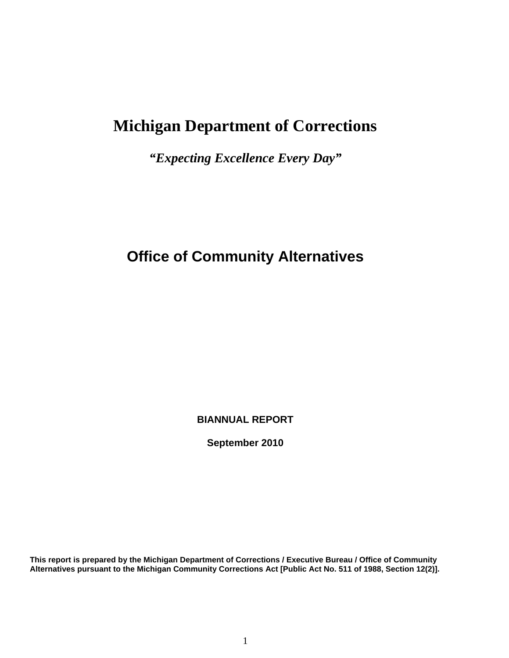# **Michigan Department of Corrections**

*"Expecting Excellence Every Day"*

# **Office of Community Alternatives**

**BIANNUAL REPORT**

**September 2010**

**This report is prepared by the Michigan Department of Corrections / Executive Bureau / Office of Community Alternatives pursuant to the Michigan Community Corrections Act [Public Act No. 511 of 1988, Section 12(2)].**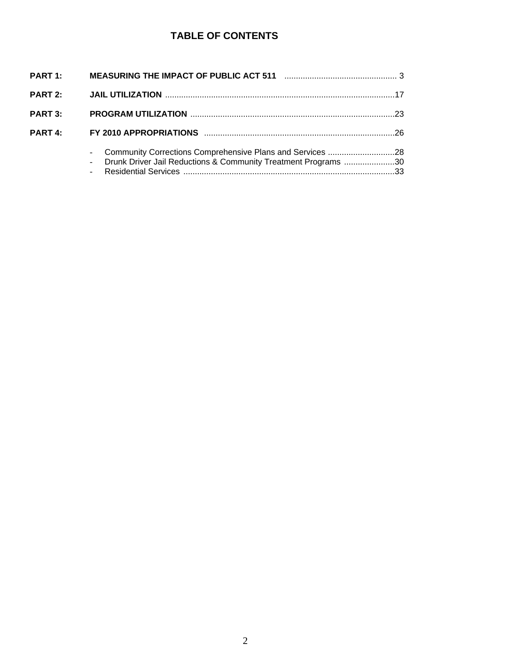# **TABLE OF CONTENTS**

| <b>PART 2:</b> |                                                                                                                                 |  |
|----------------|---------------------------------------------------------------------------------------------------------------------------------|--|
| <b>PART 3:</b> |                                                                                                                                 |  |
| <b>PART 4:</b> |                                                                                                                                 |  |
|                | - Community Corrections Comprehensive Plans and Services 28<br>- Drunk Driver Jail Reductions & Community Treatment Programs 30 |  |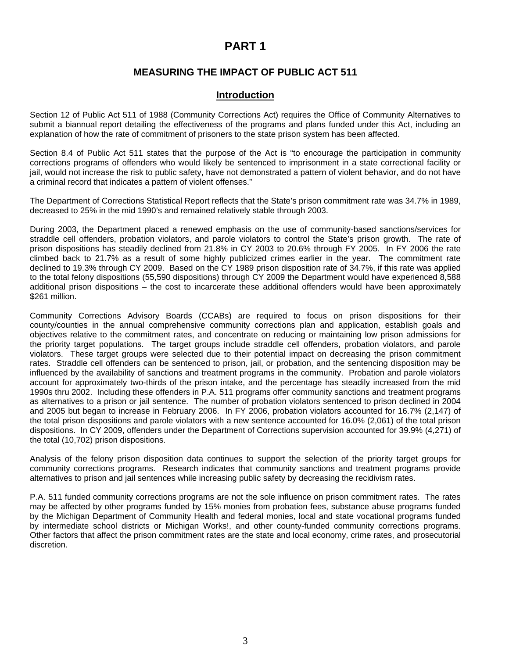# **PART 1**

# **MEASURING THE IMPACT OF PUBLIC ACT 511**

# **Introduction**

Section 12 of Public Act 511 of 1988 (Community Corrections Act) requires the Office of Community Alternatives to submit a biannual report detailing the effectiveness of the programs and plans funded under this Act, including an explanation of how the rate of commitment of prisoners to the state prison system has been affected.

Section 8.4 of Public Act 511 states that the purpose of the Act is "to encourage the participation in community corrections programs of offenders who would likely be sentenced to imprisonment in a state correctional facility or jail, would not increase the risk to public safety, have not demonstrated a pattern of violent behavior, and do not have a criminal record that indicates a pattern of violent offenses."

The Department of Corrections Statistical Report reflects that the State's prison commitment rate was 34.7% in 1989, decreased to 25% in the mid 1990's and remained relatively stable through 2003.

During 2003, the Department placed a renewed emphasis on the use of community-based sanctions/services for straddle cell offenders, probation violators, and parole violators to control the State's prison growth. The rate of prison dispositions has steadily declined from 21.8% in CY 2003 to 20.6% through FY 2005. In FY 2006 the rate climbed back to 21.7% as a result of some highly publicized crimes earlier in the year. The commitment rate declined to 19.3% through CY 2009. Based on the CY 1989 prison disposition rate of 34.7%, if this rate was applied to the total felony dispositions (55,590 dispositions) through CY 2009 the Department would have experienced 8,588 additional prison dispositions – the cost to incarcerate these additional offenders would have been approximately \$261 million.

Community Corrections Advisory Boards (CCABs) are required to focus on prison dispositions for their county/counties in the annual comprehensive community corrections plan and application, establish goals and objectives relative to the commitment rates, and concentrate on reducing or maintaining low prison admissions for the priority target populations. The target groups include straddle cell offenders, probation violators, and parole violators. These target groups were selected due to their potential impact on decreasing the prison commitment rates. Straddle cell offenders can be sentenced to prison, jail, or probation, and the sentencing disposition may be influenced by the availability of sanctions and treatment programs in the community. Probation and parole violators account for approximately two-thirds of the prison intake, and the percentage has steadily increased from the mid 1990s thru 2002. Including these offenders in P.A. 511 programs offer community sanctions and treatment programs as alternatives to a prison or jail sentence. The number of probation violators sentenced to prison declined in 2004 and 2005 but began to increase in February 2006. In FY 2006, probation violators accounted for 16.7% (2,147) of the total prison dispositions and parole violators with a new sentence accounted for 16.0% (2,061) of the total prison dispositions. In CY 2009, offenders under the Department of Corrections supervision accounted for 39.9% (4,271) of the total (10,702) prison dispositions.

Analysis of the felony prison disposition data continues to support the selection of the priority target groups for community corrections programs. Research indicates that community sanctions and treatment programs provide alternatives to prison and jail sentences while increasing public safety by decreasing the recidivism rates.

P.A. 511 funded community corrections programs are not the sole influence on prison commitment rates. The rates may be affected by other programs funded by 15% monies from probation fees, substance abuse programs funded by the Michigan Department of Community Health and federal monies, local and state vocational programs funded by intermediate school districts or Michigan Works!, and other county-funded community corrections programs. Other factors that affect the prison commitment rates are the state and local economy, crime rates, and prosecutorial discretion.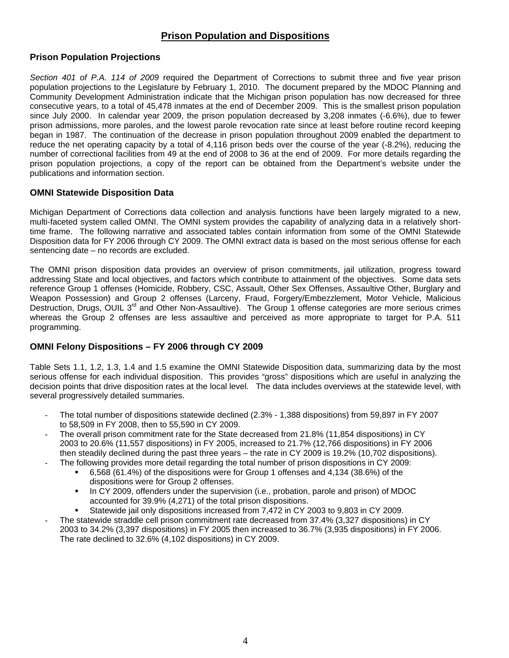# **Prison Population and Dispositions**

# **Prison Population Projections**

*Section 401 of P.A. 114 of 2009* required the Department of Corrections to submit three and five year prison population projections to the Legislature by February 1, 2010. The document prepared by the MDOC Planning and Community Development Administration indicate that the Michigan prison population has now decreased for three consecutive years, to a total of 45,478 inmates at the end of December 2009. This is the smallest prison population since July 2000. In calendar year 2009, the prison population decreased by 3,208 inmates (-6.6%), due to fewer prison admissions, more paroles, and the lowest parole revocation rate since at least before routine record keeping began in 1987. The continuation of the decrease in prison population throughout 2009 enabled the department to reduce the net operating capacity by a total of 4,116 prison beds over the course of the year (-8.2%), reducing the number of correctional facilities from 49 at the end of 2008 to 36 at the end of 2009. For more details regarding the prison population projections, a copy of the report can be obtained from the Department's website under the publications and information section.

### **OMNI Statewide Disposition Data**

Michigan Department of Corrections data collection and analysis functions have been largely migrated to a new, multi-faceted system called OMNI. The OMNI system provides the capability of analyzing data in a relatively shorttime frame. The following narrative and associated tables contain information from some of the OMNI Statewide Disposition data for FY 2006 through CY 2009. The OMNI extract data is based on the most serious offense for each sentencing date – no records are excluded.

The OMNI prison disposition data provides an overview of prison commitments, jail utilization, progress toward addressing State and local objectives, and factors which contribute to attainment of the objectives. Some data sets reference Group 1 offenses (Homicide, Robbery, CSC, Assault, Other Sex Offenses, Assaultive Other, Burglary and Weapon Possession) and Group 2 offenses (Larceny, Fraud, Forgery/Embezzlement, Motor Vehicle, Malicious Destruction, Drugs, OUIL 3<sup>rd</sup> and Other Non-Assaultive). The Group 1 offense categories are more serious crimes whereas the Group 2 offenses are less assaultive and perceived as more appropriate to target for P.A. 511 programming.

## **OMNI Felony Dispositions – FY 2006 through CY 2009**

Table Sets 1.1, 1.2, 1.3, 1.4 and 1.5 examine the OMNI Statewide Disposition data, summarizing data by the most serious offense for each individual disposition. This provides "gross" dispositions which are useful in analyzing the decision points that drive disposition rates at the local level. The data includes overviews at the statewide level, with several progressively detailed summaries.

- The total number of dispositions statewide declined (2.3% 1,388 dispositions) from 59,897 in FY 2007 to 58,509 in FY 2008, then to 55,590 in CY 2009.
- The overall prison commitment rate for the State decreased from 21.8% (11,854 dispositions) in CY 2003 to 20.6% (11,557 dispositions) in FY 2005, increased to 21.7% (12,766 dispositions) in FY 2006 then steadily declined during the past three years – the rate in CY 2009 is 19.2% (10,702 dispositions).
	- The following provides more detail regarding the total number of prison dispositions in CY 2009:
		- 6,568 (61.4%) of the dispositions were for Group 1 offenses and 4,134 (38.6%) of the dispositions were for Group 2 offenses.
		- In CY 2009, offenders under the supervision (i.e., probation, parole and prison) of MDOC accounted for 39.9% (4,271) of the total prison dispositions.
		- Statewide jail only dispositions increased from 7,472 in CY 2003 to 9,803 in CY 2009.
- The statewide straddle cell prison commitment rate decreased from 37.4% (3,327 dispositions) in CY 2003 to 34.2% (3,397 dispositions) in FY 2005 then increased to 36.7% (3,935 dispositions) in FY 2006. The rate declined to 32.6% (4,102 dispositions) in CY 2009.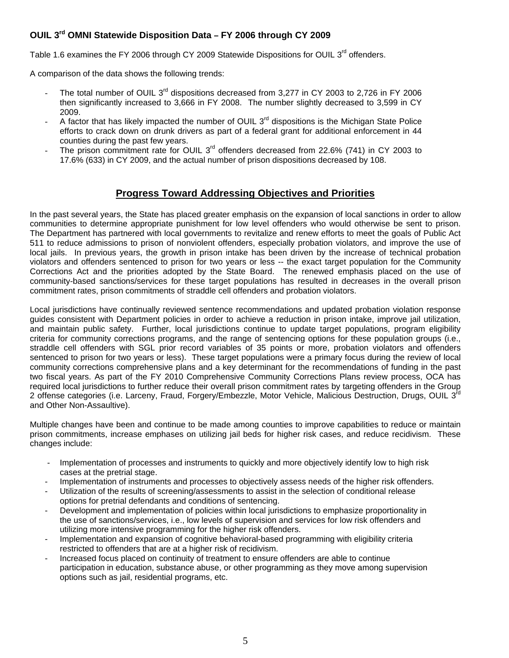## **OUIL 3rd OMNI Statewide Disposition Data – FY 2006 through CY 2009**

Table 1.6 examines the FY 2006 through CY 2009 Statewide Dispositions for OUIL 3<sup>rd</sup> offenders.

A comparison of the data shows the following trends:

- The total number of OUIL 3<sup>rd</sup> dispositions decreased from 3,277 in CY 2003 to 2,726 in FY 2006 then significantly increased to 3,666 in FY 2008. The number slightly decreased to 3,599 in CY 2009.
- A factor that has likely impacted the number of OUIL  $3<sup>rd</sup>$  dispositions is the Michigan State Police efforts to crack down on drunk drivers as part of a federal grant for additional enforcement in 44 counties during the past few years.
- The prison commitment rate for OUIL 3<sup>rd</sup> offenders decreased from 22.6% (741) in CY 2003 to 17.6% (633) in CY 2009, and the actual number of prison dispositions decreased by 108.

# **Progress Toward Addressing Objectives and Priorities**

In the past several years, the State has placed greater emphasis on the expansion of local sanctions in order to allow communities to determine appropriate punishment for low level offenders who would otherwise be sent to prison. The Department has partnered with local governments to revitalize and renew efforts to meet the goals of Public Act 511 to reduce admissions to prison of nonviolent offenders, especially probation violators, and improve the use of local jails. In previous years, the growth in prison intake has been driven by the increase of technical probation violators and offenders sentenced to prison for two years or less -- the exact target population for the Community Corrections Act and the priorities adopted by the State Board. The renewed emphasis placed on the use of community-based sanctions/services for these target populations has resulted in decreases in the overall prison commitment rates, prison commitments of straddle cell offenders and probation violators.

Local jurisdictions have continually reviewed sentence recommendations and updated probation violation response guides consistent with Department policies in order to achieve a reduction in prison intake, improve jail utilization, and maintain public safety. Further, local jurisdictions continue to update target populations, program eligibility criteria for community corrections programs, and the range of sentencing options for these population groups (i.e., straddle cell offenders with SGL prior record variables of 35 points or more, probation violators and offenders sentenced to prison for two years or less). These target populations were a primary focus during the review of local community corrections comprehensive plans and a key determinant for the recommendations of funding in the past two fiscal years. As part of the FY 2010 Comprehensive Community Corrections Plans review process, OCA has required local jurisdictions to further reduce their overall prison commitment rates by targeting offenders in the Group 2 offense categories (i.e. Larceny, Fraud, Forgery/Embezzle, Motor Vehicle, Malicious Destruction, Drugs, OUIL 3<sup>rd</sup> and Other Non-Assaultive).

Multiple changes have been and continue to be made among counties to improve capabilities to reduce or maintain prison commitments, increase emphases on utilizing jail beds for higher risk cases, and reduce recidivism. These changes include:

- Implementation of processes and instruments to quickly and more objectively identify low to high risk cases at the pretrial stage.
- Implementation of instruments and processes to objectively assess needs of the higher risk offenders.
- Utilization of the results of screening/assessments to assist in the selection of conditional release options for pretrial defendants and conditions of sentencing.
- Development and implementation of policies within local jurisdictions to emphasize proportionality in the use of sanctions/services, i.e., low levels of supervision and services for low risk offenders and utilizing more intensive programming for the higher risk offenders.
- Implementation and expansion of cognitive behavioral-based programming with eligibility criteria restricted to offenders that are at a higher risk of recidivism.
- Increased focus placed on continuity of treatment to ensure offenders are able to continue participation in education, substance abuse, or other programming as they move among supervision options such as jail, residential programs, etc.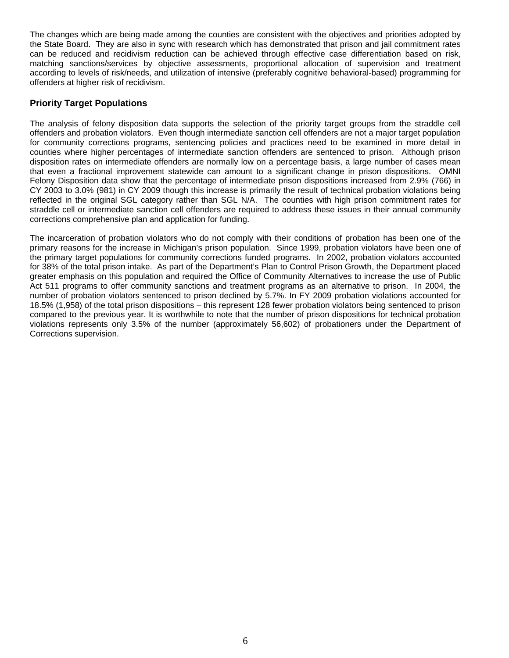The changes which are being made among the counties are consistent with the objectives and priorities adopted by the State Board. They are also in sync with research which has demonstrated that prison and jail commitment rates can be reduced and recidivism reduction can be achieved through effective case differentiation based on risk, matching sanctions/services by objective assessments, proportional allocation of supervision and treatment according to levels of risk/needs, and utilization of intensive (preferably cognitive behavioral-based) programming for offenders at higher risk of recidivism.

### **Priority Target Populations**

The analysis of felony disposition data supports the selection of the priority target groups from the straddle cell offenders and probation violators. Even though intermediate sanction cell offenders are not a major target population for community corrections programs, sentencing policies and practices need to be examined in more detail in counties where higher percentages of intermediate sanction offenders are sentenced to prison. Although prison disposition rates on intermediate offenders are normally low on a percentage basis, a large number of cases mean that even a fractional improvement statewide can amount to a significant change in prison dispositions. OMNI Felony Disposition data show that the percentage of intermediate prison dispositions increased from 2.9% (766) in CY 2003 to 3.0% (981) in CY 2009 though this increase is primarily the result of technical probation violations being reflected in the original SGL category rather than SGL N/A. The counties with high prison commitment rates for straddle cell or intermediate sanction cell offenders are required to address these issues in their annual community corrections comprehensive plan and application for funding.

The incarceration of probation violators who do not comply with their conditions of probation has been one of the primary reasons for the increase in Michigan's prison population. Since 1999, probation violators have been one of the primary target populations for community corrections funded programs. In 2002, probation violators accounted for 38% of the total prison intake. As part of the Department's Plan to Control Prison Growth, the Department placed greater emphasis on this population and required the Office of Community Alternatives to increase the use of Public Act 511 programs to offer community sanctions and treatment programs as an alternative to prison. In 2004, the number of probation violators sentenced to prison declined by 5.7%. In FY 2009 probation violations accounted for 18.5% (1,958) of the total prison dispositions – this represent 128 fewer probation violators being sentenced to prison compared to the previous year. It is worthwhile to note that the number of prison dispositions for technical probation violations represents only 3.5% of the number (approximately 56,602) of probationers under the Department of Corrections supervision.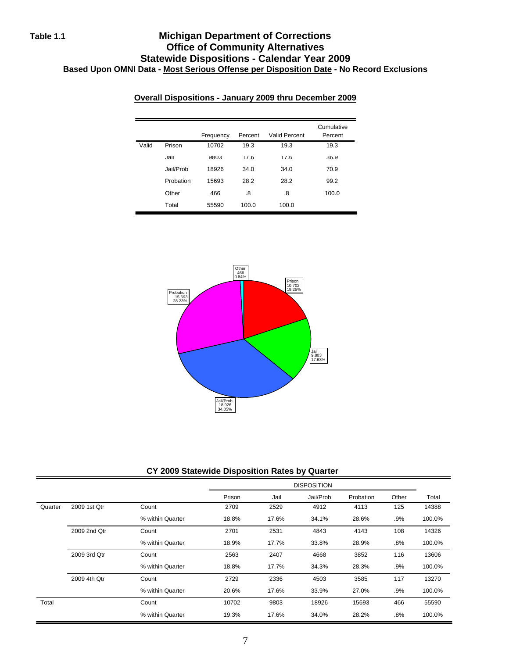# **Table 1.1 Michigan Department of Corrections Office of Community Alternatives Statewide Dispositions - Calendar Year 2009 Based Upon OMNI Data - Most Serious Offense per Disposition Date - No Record Exclusions**

|       |           | Frequency   | Percent | Valid Percent | Cumulative<br>Percent |
|-------|-----------|-------------|---------|---------------|-----------------------|
| Valid | Prison    | 10702       | 19.3    | 19.3          | 19.3                  |
|       | Jall      | <b>YOU3</b> | 11.6    | 11.6          | 36.9                  |
|       | Jail/Prob | 18926       | 34.0    | 34.0          | 70.9                  |
|       | Probation | 15693       | 28.2    | 28.2          | 99.2                  |
|       | Other     | 466         | .8      | .8            | 100.0                 |
|       | Total     | 55590       | 100.0   | 100.0         |                       |

### **Overall Dispositions - January 2009 thru December 2009**



#### **CY 2009 Statewide Disposition Rates by Quarter**

|         |              |                  | Prison | Jail  | Jail/Prob | Probation | Other  | Total  |
|---------|--------------|------------------|--------|-------|-----------|-----------|--------|--------|
| Quarter | 2009 1st Qtr | Count            | 2709   | 2529  | 4912      | 4113      | 125    | 14388  |
|         |              | % within Quarter | 18.8%  | 17.6% | 34.1%     | 28.6%     | $.9\%$ | 100.0% |
|         | 2009 2nd Qtr | Count            | 2701   | 2531  | 4843      | 4143      | 108    | 14326  |
|         |              | % within Quarter | 18.9%  | 17.7% | 33.8%     | 28.9%     | $.8\%$ | 100.0% |
|         | 2009 3rd Qtr | Count            | 2563   | 2407  | 4668      | 3852      | 116    | 13606  |
|         |              | % within Quarter | 18.8%  | 17.7% | 34.3%     | 28.3%     | $.9\%$ | 100.0% |
|         | 2009 4th Qtr | Count            | 2729   | 2336  | 4503      | 3585      | 117    | 13270  |
|         |              | % within Quarter | 20.6%  | 17.6% | 33.9%     | 27.0%     | .9%    | 100.0% |
| Total   |              | Count            | 10702  | 9803  | 18926     | 15693     | 466    | 55590  |
|         |              | % within Quarter | 19.3%  | 17.6% | 34.0%     | 28.2%     | $.8\%$ | 100.0% |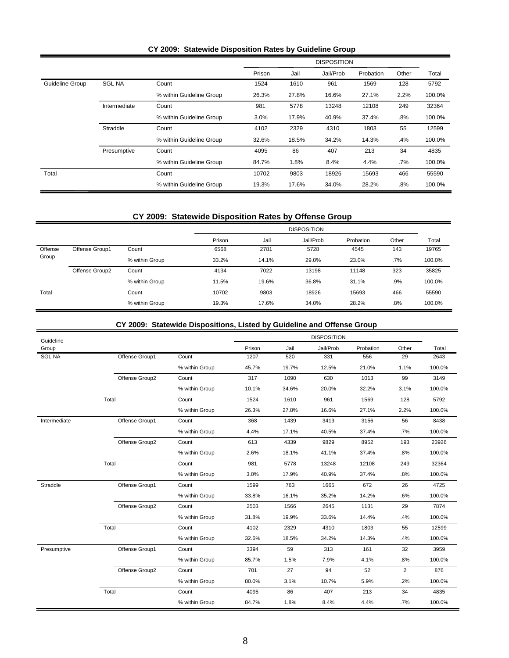|                 |               |                          |        |       | <b>DISPOSITION</b> |           |       |        |
|-----------------|---------------|--------------------------|--------|-------|--------------------|-----------|-------|--------|
|                 |               |                          | Prison | Jail  | Jail/Prob          | Probation | Other | Total  |
| Guideline Group | <b>SGL NA</b> | Count                    | 1524   | 1610  | 961                | 1569      | 128   | 5792   |
|                 |               | % within Guideline Group | 26.3%  | 27.8% | 16.6%              | 27.1%     | 2.2%  | 100.0% |
|                 | Intermediate  | Count                    | 981    | 5778  | 13248              | 12108     | 249   | 32364  |
|                 |               | % within Guideline Group | 3.0%   | 17.9% | 40.9%              | 37.4%     | .8%   | 100.0% |
|                 | Straddle      | Count                    | 4102   | 2329  | 4310               | 1803      | 55    | 12599  |
|                 |               | % within Guideline Group | 32.6%  | 18.5% | 34.2%              | 14.3%     | .4%   | 100.0% |
|                 | Presumptive   | Count                    | 4095   | 86    | 407                | 213       | 34    | 4835   |
|                 |               | % within Guideline Group | 84.7%  | 1.8%  | 8.4%               | 4.4%      | .7%   | 100.0% |
| Total           |               | Count                    | 10702  | 9803  | 18926              | 15693     | 466   | 55590  |
|                 |               | % within Guideline Group | 19.3%  | 17.6% | 34.0%              | 28.2%     | .8%   | 100.0% |

#### **CY 2009: Statewide Disposition Rates by Guideline Group**

# **CY 2009: Statewide Disposition Rates by Offense Group**

|         |                |                |        | <b>DISPOSITION</b> |           |           |       |        |  |  |
|---------|----------------|----------------|--------|--------------------|-----------|-----------|-------|--------|--|--|
|         |                |                | Prison | Jail               | Jail/Prob | Probation | Other | Total  |  |  |
| Offense | Offense Group1 | Count          | 6568   | 2781               | 5728      | 4545      | 143   | 19765  |  |  |
| Group   |                | % within Group | 33.2%  | 14.1%              | 29.0%     | 23.0%     | .7%   | 100.0% |  |  |
|         | Offense Group2 | Count          | 4134   | 7022               | 13198     | 11148     | 323   | 35825  |  |  |
|         |                | % within Group | 11.5%  | 19.6%              | 36.8%     | 31.1%     | .9%   | 100.0% |  |  |
| Total   |                | Count          | 10702  | 9803               | 18926     | 15693     | 466   | 55590  |  |  |
|         |                | % within Group | 19.3%  | 17.6%              | 34.0%     | 28.2%     | .8%   | 100.0% |  |  |

### **CY 2009: Statewide Dispositions, Listed by Guideline and Offense Group**

| Guideline     |                |                |        |       | <b>DISPOSITION</b> |           |                |        |
|---------------|----------------|----------------|--------|-------|--------------------|-----------|----------------|--------|
| Group         |                |                | Prison | Jail  | Jail/Prob          | Probation | Other          | Total  |
| <b>SGL NA</b> | Offense Group1 | Count          | 1207   | 520   | 331                | 556       | 29             | 2643   |
|               |                | % within Group | 45.7%  | 19.7% | 12.5%              | 21.0%     | 1.1%           | 100.0% |
|               | Offense Group2 | Count          | 317    | 1090  | 630                | 1013      | 99             | 3149   |
|               |                | % within Group | 10.1%  | 34.6% | 20.0%              | 32.2%     | 3.1%           | 100.0% |
|               | Total          | Count          | 1524   | 1610  | 961                | 1569      | 128            | 5792   |
|               |                | % within Group | 26.3%  | 27.8% | 16.6%              | 27.1%     | 2.2%           | 100.0% |
| Intermediate  | Offense Group1 | Count          | 368    | 1439  | 3419               | 3156      | 56             | 8438   |
|               |                | % within Group | 4.4%   | 17.1% | 40.5%              | 37.4%     | .7%            | 100.0% |
|               | Offense Group2 | Count          | 613    | 4339  | 9829               | 8952      | 193            | 23926  |
|               |                | % within Group | 2.6%   | 18.1% | 41.1%              | 37.4%     | .8%            | 100.0% |
|               | Total          | Count          | 981    | 5778  | 13248              | 12108     | 249            | 32364  |
|               |                | % within Group | 3.0%   | 17.9% | 40.9%              | 37.4%     | .8%            | 100.0% |
| Straddle      | Offense Group1 | Count          | 1599   | 763   | 1665               | 672       | 26             | 4725   |
|               |                | % within Group | 33.8%  | 16.1% | 35.2%              | 14.2%     | .6%            | 100.0% |
|               | Offense Group2 | Count          | 2503   | 1566  | 2645               | 1131      | 29             | 7874   |
|               |                | % within Group | 31.8%  | 19.9% | 33.6%              | 14.4%     | .4%            | 100.0% |
|               | Total          | Count          | 4102   | 2329  | 4310               | 1803      | 55             | 12599  |
|               |                | % within Group | 32.6%  | 18.5% | 34.2%              | 14.3%     | .4%            | 100.0% |
| Presumptive   | Offense Group1 | Count          | 3394   | 59    | 313                | 161       | 32             | 3959   |
|               |                | % within Group | 85.7%  | 1.5%  | 7.9%               | 4.1%      | .8%            | 100.0% |
|               | Offense Group2 | Count          | 701    | 27    | 94                 | 52        | $\overline{2}$ | 876    |
|               |                | % within Group | 80.0%  | 3.1%  | 10.7%              | 5.9%      | .2%            | 100.0% |
|               | Total          | Count          | 4095   | 86    | 407                | 213       | 34             | 4835   |
|               |                | % within Group | 84.7%  | 1.8%  | 8.4%               | 4.4%      | .7%            | 100.0% |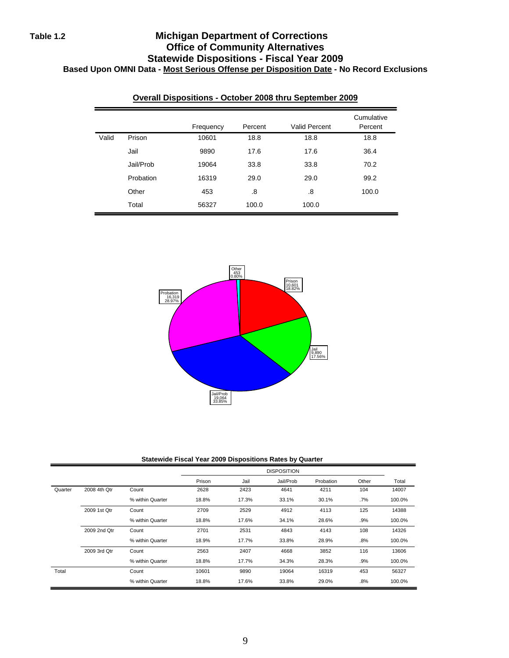# **Table 1.2 Michigan Department of Corrections Office of Community Alternatives Statewide Dispositions - Fiscal Year 2009 Based Upon OMNI Data - Most Serious Offense per Disposition Date - No Record Exclusions**

|       |           | Frequency | Percent | <b>Valid Percent</b> | Cumulative<br>Percent |
|-------|-----------|-----------|---------|----------------------|-----------------------|
| Valid | Prison    | 10601     | 18.8    | 18.8                 | 18.8                  |
|       | Jail      | 9890      | 17.6    | 17.6                 | 36.4                  |
|       | Jail/Prob | 19064     | 33.8    | 33.8                 | 70.2                  |
|       | Probation | 16319     | 29.0    | 29.0                 | 99.2                  |
|       | Other     | 453       | .8      | .8                   | 100.0                 |
|       | Total     | 56327     | 100.0   | 100.0                |                       |

### **Overall Dispositions - October 2008 thru September 2009**



**Statewide Fiscal Year 2009 Dispositions Rates by Quarter**

|         |              |                  |        |       | <b>DISPOSITION</b> |           |        |        |
|---------|--------------|------------------|--------|-------|--------------------|-----------|--------|--------|
|         |              |                  | Prison | Jail  | Jail/Prob          | Probation | Other  | Total  |
| Quarter | 2008 4th Qtr | Count            | 2628   | 2423  | 4641               | 4211      | 104    | 14007  |
|         |              | % within Quarter | 18.8%  | 17.3% | 33.1%              | 30.1%     | $.7\%$ | 100.0% |
|         | 2009 1st Qtr | Count            | 2709   | 2529  | 4912               | 4113      | 125    | 14388  |
|         |              | % within Quarter | 18.8%  | 17.6% | 34.1%              | 28.6%     | .9%    | 100.0% |
|         | 2009 2nd Qtr | Count            | 2701   | 2531  | 4843               | 4143      | 108    | 14326  |
|         |              | % within Quarter | 18.9%  | 17.7% | 33.8%              | 28.9%     | .8%    | 100.0% |
|         | 2009 3rd Qtr | Count            | 2563   | 2407  | 4668               | 3852      | 116    | 13606  |
|         |              | % within Quarter | 18.8%  | 17.7% | 34.3%              | 28.3%     | .9%    | 100.0% |
| Total   |              | Count            | 10601  | 9890  | 19064              | 16319     | 453    | 56327  |
|         |              | % within Quarter | 18.8%  | 17.6% | 33.8%              | 29.0%     | .8%    | 100.0% |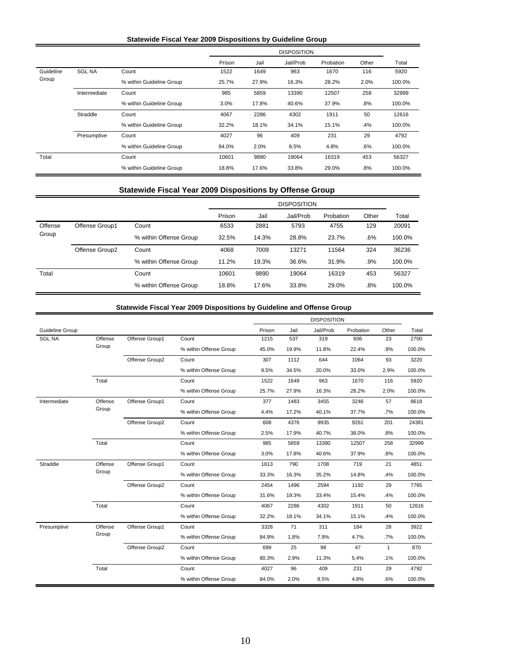#### **Statewide Fiscal Year 2009 Dispositions by Guideline Group**

|           |               |                          |        | <b>DISPOSITION</b> |           |           |       |        |  |
|-----------|---------------|--------------------------|--------|--------------------|-----------|-----------|-------|--------|--|
|           |               |                          | Prison | Jail               | Jail/Prob | Probation | Other | Total  |  |
| Guideline | <b>SGL NA</b> | Count                    | 1522   | 1649               | 963       | 1670      | 116   | 5920   |  |
| Group     |               | % within Guideline Group | 25.7%  | 27.9%              | 16.3%     | 28.2%     | 2.0%  | 100.0% |  |
|           | Intermediate  | Count                    | 985    | 5859               | 13390     | 12507     | 258   | 32999  |  |
|           |               | % within Guideline Group | 3.0%   | 17.8%              | 40.6%     | 37.9%     | .8%   | 100.0% |  |
|           | Straddle      | Count                    | 4067   | 2286               | 4302      | 1911      | 50    | 12616  |  |
|           |               | % within Guideline Group | 32.2%  | 18.1%              | 34.1%     | 15.1%     | .4%   | 100.0% |  |
|           | Presumptive   | Count                    | 4027   | 96                 | 409       | 231       | 29    | 4792   |  |
|           |               | % within Guideline Group | 84.0%  | 2.0%               | 8.5%      | 4.8%      | .6%   | 100.0% |  |
| Total     |               | Count                    | 10601  | 9890               | 19064     | 16319     | 453   | 56327  |  |
|           |               | % within Guideline Group | 18.8%  | 17.6%              | 33.8%     | 29.0%     | .8%   | 100.0% |  |

#### **Statewide Fiscal Year 2009 Dispositions by Offense Group**

|         |                |                        | <b>DISPOSITION</b> |       |           |           |       |        |
|---------|----------------|------------------------|--------------------|-------|-----------|-----------|-------|--------|
|         |                |                        | Prison             | Jail  | Jail/Prob | Probation | Other | Total  |
| Offense | Offense Group1 | Count                  | 6533               | 2881  | 5793      | 4755      | 129   | 20091  |
| Group   |                | % within Offense Group | 32.5%              | 14.3% | 28.8%     | 23.7%     | .6%   | 100.0% |
|         | Offense Group2 | Count                  | 4068               | 7009  | 13271     | 11564     | 324   | 36236  |
|         |                | % within Offense Group | 11.2%              | 19.3% | 36.6%     | 31.9%     | .9%   | 100.0% |
| Total   |                | Count                  | 10601              | 9890  | 19064     | 16319     | 453   | 56327  |
|         |                | % within Offense Group | 18.8%              | 17.6% | 33.8%     | 29.0%     | .8%   | 100.0% |

#### **Statewide Fiscal Year 2009 Dispositions by Guideline and Offense Group**

|                 |         |                |                        |        |       | <b>DISPOSITION</b> |           |              |        |
|-----------------|---------|----------------|------------------------|--------|-------|--------------------|-----------|--------------|--------|
| Guideline Group |         |                |                        | Prison | Jail  | Jail/Prob          | Probation | Other        | Total  |
| <b>SGL NA</b>   | Offense | Offense Group1 | Count                  | 1215   | 537   | 319                | 606       | 23           | 2700   |
|                 | Group   |                | % within Offense Group | 45.0%  | 19.9% | 11.8%              | 22.4%     | .9%          | 100.0% |
|                 |         | Offense Group2 | Count                  | 307    | 1112  | 644                | 1064      | 93           | 3220   |
|                 |         |                | % within Offense Group | 9.5%   | 34.5% | 20.0%              | 33.0%     | 2.9%         | 100.0% |
|                 | Total   |                | Count                  | 1522   | 1649  | 963                | 1670      | 116          | 5920   |
|                 |         |                | % within Offense Group | 25.7%  | 27.9% | 16.3%              | 28.2%     | 2.0%         | 100.0% |
| Intermediate    | Offense | Offense Group1 | Count                  | 377    | 1483  | 3455               | 3246      | 57           | 8618   |
|                 | Group   |                | % within Offense Group | 4.4%   | 17.2% | 40.1%              | 37.7%     | .7%          | 100.0% |
|                 |         | Offense Group2 | Count                  | 608    | 4376  | 9935               | 9261      | 201          | 24381  |
|                 |         |                | % within Offense Group | 2.5%   | 17.9% | 40.7%              | 38.0%     | .8%          | 100.0% |
|                 | Total   |                | Count                  | 985    | 5859  | 13390              | 12507     | 258          | 32999  |
|                 |         |                | % within Offense Group | 3.0%   | 17.8% | 40.6%              | 37.9%     | .8%          | 100.0% |
| Straddle        | Offense | Offense Group1 | Count                  | 1613   | 790   | 1708               | 719       | 21           | 4851   |
|                 | Group   |                | % within Offense Group | 33.3%  | 16.3% | 35.2%              | 14.8%     | .4%          | 100.0% |
|                 |         | Offense Group2 | Count                  | 2454   | 1496  | 2594               | 1192      | 29           | 7765   |
|                 |         |                | % within Offense Group | 31.6%  | 19.3% | 33.4%              | 15.4%     | .4%          | 100.0% |
|                 | Total   |                | Count                  | 4067   | 2286  | 4302               | 1911      | 50           | 12616  |
|                 |         |                | % within Offense Group | 32.2%  | 18.1% | 34.1%              | 15.1%     | .4%          | 100.0% |
| Presumptive     | Offense | Offense Group1 | Count                  | 3328   | 71    | 311                | 184       | 28           | 3922   |
|                 | Group   |                | % within Offense Group | 84.9%  | 1.8%  | 7.9%               | 4.7%      | .7%          | 100.0% |
|                 |         | Offense Group2 | Count                  | 699    | 25    | 98                 | 47        | $\mathbf{1}$ | 870    |
|                 |         |                | % within Offense Group | 80.3%  | 2.9%  | 11.3%              | 5.4%      | .1%          | 100.0% |
|                 | Total   |                | Count                  | 4027   | 96    | 409                | 231       | 29           | 4792   |
|                 |         |                | % within Offense Group | 84.0%  | 2.0%  | 8.5%               | 4.8%      | .6%          | 100.0% |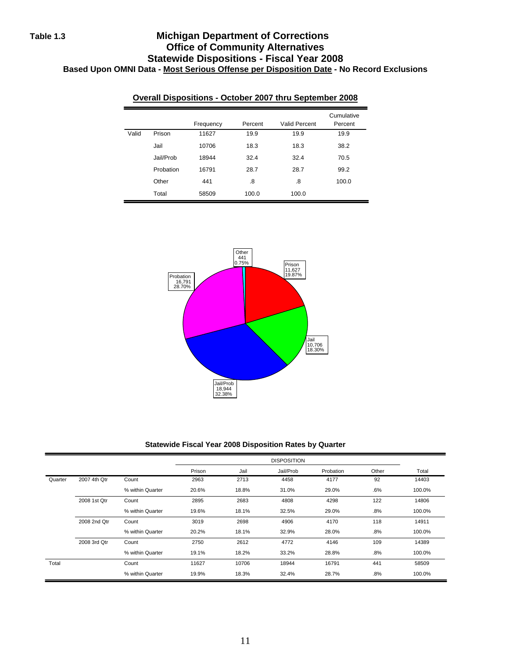# **Table 1.3 Michigan Department of Corrections Office of Community Alternatives Statewide Dispositions - Fiscal Year 2008 Based Upon OMNI Data - Most Serious Offense per Disposition Date - No Record Exclusions**

|       |           | Frequency | Percent | Valid Percent | Cumulative<br>Percent |
|-------|-----------|-----------|---------|---------------|-----------------------|
| Valid | Prison    | 11627     | 19.9    | 19.9          | 19.9                  |
|       | Jail      | 10706     | 18.3    | 18.3          | 38.2                  |
|       | Jail/Prob | 18944     | 32.4    | 32.4          | 70.5                  |
|       | Probation | 16791     | 28.7    | 28.7          | 99.2                  |
|       | Other     | 441       | .8      | .8            | 100.0                 |
|       | Total     | 58509     | 100.0   | 100.0         |                       |

#### **Overall Dispositions - October 2007 thru September 2008**



#### **Statewide Fiscal Year 2008 Disposition Rates by Quarter**

|         |              |                  |        |       | <b>DISPOSITION</b> |           |       |        |
|---------|--------------|------------------|--------|-------|--------------------|-----------|-------|--------|
|         |              |                  | Prison | Jail  | Jail/Prob          | Probation | Other | Total  |
| Quarter | 2007 4th Qtr | Count            | 2963   | 2713  | 4458               | 4177      | 92    | 14403  |
|         |              | % within Quarter | 20.6%  | 18.8% | 31.0%              | 29.0%     | .6%   | 100.0% |
|         | 2008 1st Qtr | Count            | 2895   | 2683  | 4808               | 4298      | 122   | 14806  |
|         |              | % within Quarter | 19.6%  | 18.1% | 32.5%              | 29.0%     | .8%   | 100.0% |
|         | 2008 2nd Qtr | Count            | 3019   | 2698  | 4906               | 4170      | 118   | 14911  |
|         |              | % within Quarter | 20.2%  | 18.1% | 32.9%              | 28.0%     | .8%   | 100.0% |
|         | 2008 3rd Qtr | Count            | 2750   | 2612  | 4772               | 4146      | 109   | 14389  |
|         |              | % within Quarter | 19.1%  | 18.2% | 33.2%              | 28.8%     | .8%   | 100.0% |
| Total   |              | Count            | 11627  | 10706 | 18944              | 16791     | 441   | 58509  |
|         |              | % within Quarter | 19.9%  | 18.3% | 32.4%              | 28.7%     | .8%   | 100.0% |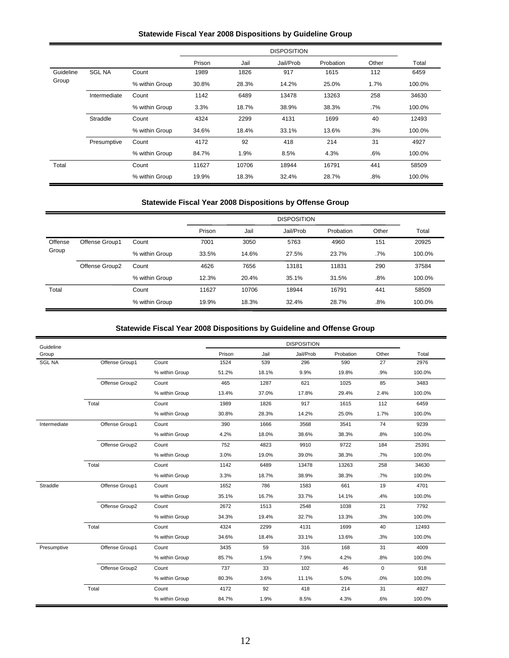#### **Statewide Fiscal Year 2008 Dispositions by Guideline Group**

|           |               |                |        |       | <b>DISPOSITION</b> |           |        |        |
|-----------|---------------|----------------|--------|-------|--------------------|-----------|--------|--------|
|           |               |                | Prison | Jail  | Jail/Prob          | Probation | Other  | Total  |
| Guideline | <b>SGL NA</b> | Count          | 1989   | 1826  | 917                | 1615      | 112    | 6459   |
| Group     |               | % within Group | 30.8%  | 28.3% | 14.2%              | 25.0%     | 1.7%   | 100.0% |
|           | Intermediate  | Count          | 1142   | 6489  | 13478              | 13263     | 258    | 34630  |
|           |               | % within Group | 3.3%   | 18.7% | 38.9%              | 38.3%     | .7%    | 100.0% |
|           | Straddle      | Count          | 4324   | 2299  | 4131               | 1699      | 40     | 12493  |
|           |               | % within Group | 34.6%  | 18.4% | 33.1%              | 13.6%     | .3%    | 100.0% |
|           | Presumptive   | Count          | 4172   | 92    | 418                | 214       | 31     | 4927   |
|           |               | % within Group | 84.7%  | 1.9%  | 8.5%               | 4.3%      | .6%    | 100.0% |
| Total     |               | Count          | 11627  | 10706 | 18944              | 16791     | 441    | 58509  |
|           |               | % within Group | 19.9%  | 18.3% | 32.4%              | 28.7%     | $.8\%$ | 100.0% |

#### **Statewide Fiscal Year 2008 Dispositions by Offense Group**

|         |                |                |        |       | <b>DISPOSITION</b> |           |       |        |
|---------|----------------|----------------|--------|-------|--------------------|-----------|-------|--------|
|         |                |                | Prison | Jail  | Jail/Prob          | Probation | Other | Total  |
| Offense | Offense Group1 | Count          | 7001   | 3050  | 5763               | 4960      | 151   | 20925  |
| Group   |                | % within Group | 33.5%  | 14.6% | 27.5%              | 23.7%     | .7%   | 100.0% |
|         | Offense Group2 | Count          | 4626   | 7656  | 13181              | 11831     | 290   | 37584  |
|         |                | % within Group | 12.3%  | 20.4% | 35.1%              | 31.5%     | .8%   | 100.0% |
| Total   |                | Count          | 11627  | 10706 | 18944              | 16791     | 441   | 58509  |
|         |                | % within Group | 19.9%  | 18.3% | 32.4%              | 28.7%     | .8%   | 100.0% |

# **Statewide Fiscal Year 2008 Dispositions by Guideline and Offense Group**

| Guideline     |                |                |        |       | <b>DISPOSITION</b> |           |          |        |
|---------------|----------------|----------------|--------|-------|--------------------|-----------|----------|--------|
| Group         |                |                | Prison | Jail  | Jail/Prob          | Probation | Other    | Total  |
| <b>SGL NA</b> | Offense Group1 | Count          | 1524   | 539   | 296                | 590       | 27       | 2976   |
|               |                | % within Group | 51.2%  | 18.1% | 9.9%               | 19.8%     | .9%      | 100.0% |
|               | Offense Group2 | Count          | 465    | 1287  | 621                | 1025      | 85       | 3483   |
|               |                | % within Group | 13.4%  | 37.0% | 17.8%              | 29.4%     | 2.4%     | 100.0% |
|               | Total          | Count          | 1989   | 1826  | 917                | 1615      | 112      | 6459   |
|               |                | % within Group | 30.8%  | 28.3% | 14.2%              | 25.0%     | 1.7%     | 100.0% |
| Intermediate  | Offense Group1 | Count          | 390    | 1666  | 3568               | 3541      | 74       | 9239   |
|               |                | % within Group | 4.2%   | 18.0% | 38.6%              | 38.3%     | .8%      | 100.0% |
|               | Offense Group2 | Count          | 752    | 4823  | 9910               | 9722      | 184      | 25391  |
|               |                | % within Group | 3.0%   | 19.0% | 39.0%              | 38.3%     | .7%      | 100.0% |
|               | Total          | Count          | 1142   | 6489  | 13478              | 13263     | 258      | 34630  |
|               |                | % within Group | 3.3%   | 18.7% | 38.9%              | 38.3%     | .7%      | 100.0% |
| Straddle      | Offense Group1 | Count          | 1652   | 786   | 1583               | 661       | 19       | 4701   |
|               |                | % within Group | 35.1%  | 16.7% | 33.7%              | 14.1%     | .4%      | 100.0% |
|               | Offense Group2 | Count          | 2672   | 1513  | 2548               | 1038      | 21       | 7792   |
|               |                | % within Group | 34.3%  | 19.4% | 32.7%              | 13.3%     | .3%      | 100.0% |
|               | Total          | Count          | 4324   | 2299  | 4131               | 1699      | 40       | 12493  |
|               |                | % within Group | 34.6%  | 18.4% | 33.1%              | 13.6%     | .3%      | 100.0% |
| Presumptive   | Offense Group1 | Count          | 3435   | 59    | 316                | 168       | 31       | 4009   |
|               |                | % within Group | 85.7%  | 1.5%  | 7.9%               | 4.2%      | .8%      | 100.0% |
|               | Offense Group2 | Count          | 737    | 33    | 102                | 46        | $\Omega$ | 918    |
|               |                | % within Group | 80.3%  | 3.6%  | 11.1%              | 5.0%      | .0%      | 100.0% |
|               | Total          | Count          | 4172   | 92    | 418                | 214       | 31       | 4927   |
|               |                | % within Group | 84.7%  | 1.9%  | 8.5%               | 4.3%      | .6%      | 100.0% |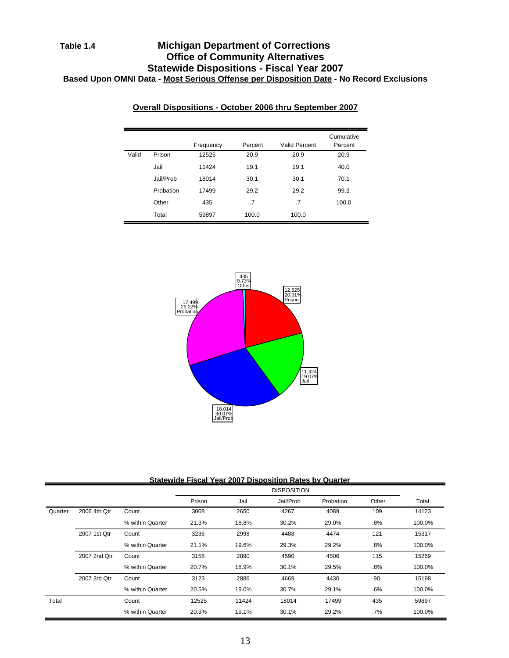# **Table 1.4 Michigan Department of Corrections Office of Community Alternatives Statewide Dispositions - Fiscal Year 2007 Based Upon OMNI Data - Most Serious Offense per Disposition Date - No Record Exclusions**

|       |           |           |         |               | Cumulative |
|-------|-----------|-----------|---------|---------------|------------|
|       |           | Frequency | Percent | Valid Percent | Percent    |
| Valid | Prison    | 12525     | 20.9    | 20.9          | 20.9       |
|       | Jail      | 11424     | 19.1    | 19.1          | 40.0       |
|       | Jail/Prob | 18014     | 30.1    | 30.1          | 70.1       |
|       | Probation | 17499     | 29.2    | 29.2          | 99.3       |
|       | Other     | 435       | .7      | .7            | 100.0      |
|       | Total     | 59897     | 100.0   | 100.0         |            |

### **Overall Dispositions - October 2006 thru September 2007**



#### **Statewide Fiscal Year 2007 Disposition Rates by Quarter**

|         |              |                  |        |       | <b>DISPOSITION</b> |           |        |        |
|---------|--------------|------------------|--------|-------|--------------------|-----------|--------|--------|
|         |              |                  | Prison | Jail  | Jail/Prob          | Probation | Other  | Total  |
| Quarter | 2006 4th Qtr | Count            | 3008   | 2650  | 4267               | 4089      | 109    | 14123  |
|         |              | % within Quarter | 21.3%  | 18.8% | 30.2%              | 29.0%     | .8%    | 100.0% |
|         | 2007 1st Qtr | Count            | 3236   | 2998  | 4488               | 4474      | 121    | 15317  |
|         |              | % within Quarter | 21.1%  | 19.6% | 29.3%              | 29.2%     | $.8\%$ | 100.0% |
|         | 2007 2nd Qtr | Count            | 3158   | 2890  | 4590               | 4506      | 115    | 15259  |
|         |              | % within Quarter | 20.7%  | 18.9% | 30.1%              | 29.5%     | .8%    | 100.0% |
|         | 2007 3rd Qtr | Count            | 3123   | 2886  | 4669               | 4430      | 90     | 15198  |
|         |              | % within Quarter | 20.5%  | 19.0% | 30.7%              | 29.1%     | .6%    | 100.0% |
| Total   |              | Count            | 12525  | 11424 | 18014              | 17499     | 435    | 59897  |
|         |              | % within Quarter | 20.9%  | 19.1% | 30.1%              | 29.2%     | .7%    | 100.0% |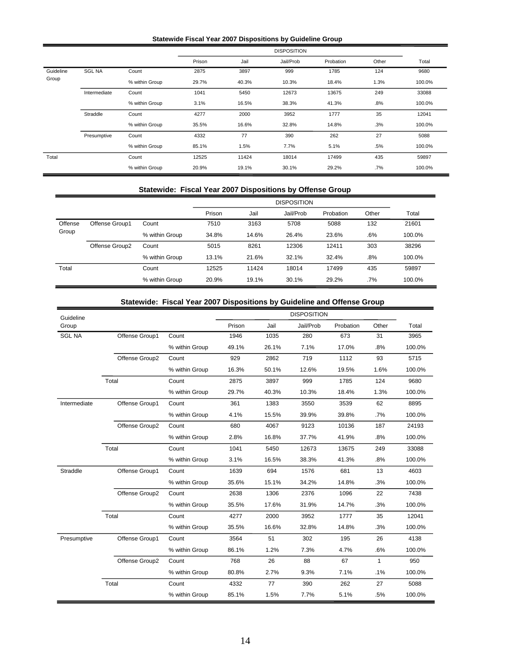#### **Statewide Fiscal Year 2007 Dispositions by Guideline Group**

|           |               |                |        |       | <b>DISPOSITION</b> |           |        |        |
|-----------|---------------|----------------|--------|-------|--------------------|-----------|--------|--------|
|           |               |                | Prison | Jail  | Jail/Prob          | Probation | Other  | Total  |
| Guideline | <b>SGL NA</b> | Count          | 2875   | 3897  | 999                | 1785      | 124    | 9680   |
| Group     |               | % within Group | 29.7%  | 40.3% | 10.3%              | 18.4%     | 1.3%   | 100.0% |
|           | Intermediate  | Count          | 1041   | 5450  | 12673              | 13675     | 249    | 33088  |
|           |               | % within Group | 3.1%   | 16.5% | 38.3%              | 41.3%     | .8%    | 100.0% |
|           | Straddle      | Count          | 4277   | 2000  | 3952               | 1777      | 35     | 12041  |
|           |               | % within Group | 35.5%  | 16.6% | 32.8%              | 14.8%     | .3%    | 100.0% |
|           | Presumptive   | Count          | 4332   | 77    | 390                | 262       | 27     | 5088   |
|           |               | % within Group | 85.1%  | 1.5%  | 7.7%               | 5.1%      | .5%    | 100.0% |
| Total     |               | Count          | 12525  | 11424 | 18014              | 17499     | 435    | 59897  |
|           |               | % within Group | 20.9%  | 19.1% | 30.1%              | 29.2%     | $.7\%$ | 100.0% |

#### **Statewide: Fiscal Year 2007 Dispositions by Offense Group**

|         |                |                |        |       | <b>DISPOSITION</b> |           |        |        |
|---------|----------------|----------------|--------|-------|--------------------|-----------|--------|--------|
|         |                |                | Prison | Jail  | Jail/Prob          | Probation | Other  | Total  |
| Offense | Offense Group1 | Count          | 7510   | 3163  | 5708               | 5088      | 132    | 21601  |
| Group   |                | % within Group | 34.8%  | 14.6% | 26.4%              | 23.6%     | .6%    | 100.0% |
|         | Offense Group2 | Count          | 5015   | 8261  | 12306              | 12411     | 303    | 38296  |
|         |                | % within Group | 13.1%  | 21.6% | 32.1%              | 32.4%     | .8%    | 100.0% |
| Total   |                | Count          | 12525  | 11424 | 18014              | 17499     | 435    | 59897  |
|         |                | % within Group | 20.9%  | 19.1% | 30.1%              | 29.2%     | $.7\%$ | 100.0% |

### **Statewide: Fiscal Year 2007 Dispositions by Guideline and Offense Group**

|               | Jialuw Iuc.    | <b>TISCAL LEAL ZUUL DISPOSITIONS DY GUIUEINE AND OTENSE GIOUP</b> |        |       |                    |           |              |        |
|---------------|----------------|-------------------------------------------------------------------|--------|-------|--------------------|-----------|--------------|--------|
| Guideline     |                |                                                                   |        |       | <b>DISPOSITION</b> |           |              |        |
| Group         |                |                                                                   | Prison | Jail  | Jail/Prob          | Probation | Other        | Total  |
| <b>SGL NA</b> | Offense Group1 | Count                                                             | 1946   | 1035  | 280                | 673       | 31           | 3965   |
|               |                | % within Group                                                    | 49.1%  | 26.1% | 7.1%               | 17.0%     | .8%          | 100.0% |
|               | Offense Group2 | Count                                                             | 929    | 2862  | 719                | 1112      | 93           | 5715   |
|               |                | % within Group                                                    | 16.3%  | 50.1% | 12.6%              | 19.5%     | 1.6%         | 100.0% |
|               | Total          | Count                                                             | 2875   | 3897  | 999                | 1785      | 124          | 9680   |
|               |                | % within Group                                                    | 29.7%  | 40.3% | 10.3%              | 18.4%     | 1.3%         | 100.0% |
| Intermediate  | Offense Group1 | Count                                                             | 361    | 1383  | 3550               | 3539      | 62           | 8895   |
|               |                | % within Group                                                    | 4.1%   | 15.5% | 39.9%              | 39.8%     | .7%          | 100.0% |
|               | Offense Group2 | Count                                                             | 680    | 4067  | 9123               | 10136     | 187          | 24193  |
|               |                | % within Group                                                    | 2.8%   | 16.8% | 37.7%              | 41.9%     | .8%          | 100.0% |
|               | Total          | Count                                                             | 1041   | 5450  | 12673              | 13675     | 249          | 33088  |
|               |                | % within Group                                                    | 3.1%   | 16.5% | 38.3%              | 41.3%     | .8%          | 100.0% |
| Straddle      | Offense Group1 | Count                                                             | 1639   | 694   | 1576               | 681       | 13           | 4603   |
|               |                | % within Group                                                    | 35.6%  | 15.1% | 34.2%              | 14.8%     | .3%          | 100.0% |
|               | Offense Group2 | Count                                                             | 2638   | 1306  | 2376               | 1096      | 22           | 7438   |
|               |                | % within Group                                                    | 35.5%  | 17.6% | 31.9%              | 14.7%     | .3%          | 100.0% |
|               | Total          | Count                                                             | 4277   | 2000  | 3952               | 1777      | 35           | 12041  |
|               |                | % within Group                                                    | 35.5%  | 16.6% | 32.8%              | 14.8%     | .3%          | 100.0% |
| Presumptive   | Offense Group1 | Count                                                             | 3564   | 51    | 302                | 195       | 26           | 4138   |
|               |                | % within Group                                                    | 86.1%  | 1.2%  | 7.3%               | 4.7%      | .6%          | 100.0% |
|               | Offense Group2 | Count                                                             | 768    | 26    | 88                 | 67        | $\mathbf{1}$ | 950    |
|               |                | % within Group                                                    | 80.8%  | 2.7%  | 9.3%               | 7.1%      | .1%          | 100.0% |
|               | Total          | Count                                                             | 4332   | 77    | 390                | 262       | 27           | 5088   |
|               |                | % within Group                                                    | 85.1%  | 1.5%  | 7.7%               | 5.1%      | .5%          | 100.0% |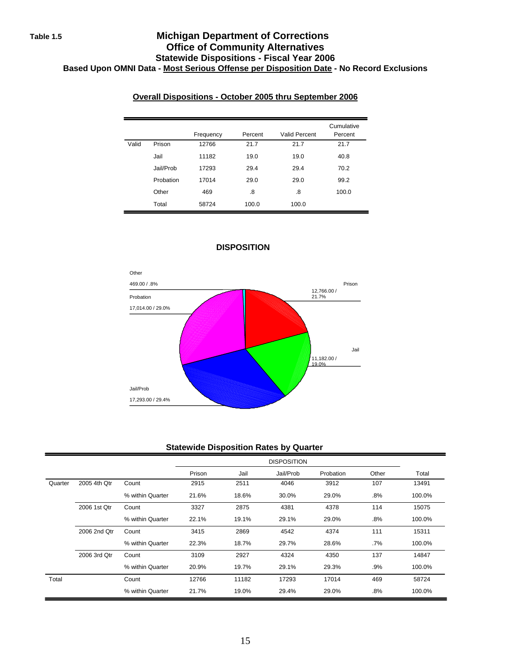### **Table 1.5 Michigan Department of Corrections Office of Community Alternatives Statewide Dispositions - Fiscal Year 2006 Based Upon OMNI Data - Most Serious Offense per Disposition Date - No Record Exclusions**

### **Overall Dispositions - October 2005 thru September 2006**

|       |           | Frequency | Percent | Valid Percent | Cumulative<br>Percent |
|-------|-----------|-----------|---------|---------------|-----------------------|
| Valid | Prison    | 12766     | 21.7    | 21.7          | 21.7                  |
|       | Jail      | 11182     | 19.0    | 19.0          | 40.8                  |
|       | Jail/Prob | 17293     | 29.4    | 29.4          | 70.2                  |
|       | Probation | 17014     | 29.0    | 29.0          | 99.2                  |
|       | Other     | 469       | .8      | .8            | 100.0                 |
|       | Total     | 58724     | 100.0   | 100.0         |                       |



### **DISPOSITION**

### **Statewide Disposition Rates by Quarter**

|         |              |                  |        |       | <b>DISPOSITION</b> |           |       |        |
|---------|--------------|------------------|--------|-------|--------------------|-----------|-------|--------|
|         |              |                  | Prison | Jail  | Jail/Prob          | Probation | Other | Total  |
| Quarter | 2005 4th Qtr | Count            | 2915   | 2511  | 4046               | 3912      | 107   | 13491  |
|         |              | % within Quarter | 21.6%  | 18.6% | 30.0%              | 29.0%     | .8%   | 100.0% |
|         | 2006 1st Qtr | Count            | 3327   | 2875  | 4381               | 4378      | 114   | 15075  |
|         |              | % within Quarter | 22.1%  | 19.1% | 29.1%              | 29.0%     | .8%   | 100.0% |
|         | 2006 2nd Qtr | Count            | 3415   | 2869  | 4542               | 4374      | 111   | 15311  |
|         |              | % within Quarter | 22.3%  | 18.7% | 29.7%              | 28.6%     | .7%   | 100.0% |
|         | 2006 3rd Qtr | Count            | 3109   | 2927  | 4324               | 4350      | 137   | 14847  |
|         |              | % within Quarter | 20.9%  | 19.7% | 29.1%              | 29.3%     | .9%   | 100.0% |
| Total   |              | Count            | 12766  | 11182 | 17293              | 17014     | 469   | 58724  |
|         |              | % within Quarter | 21.7%  | 19.0% | 29.4%              | 29.0%     | .8%   | 100.0% |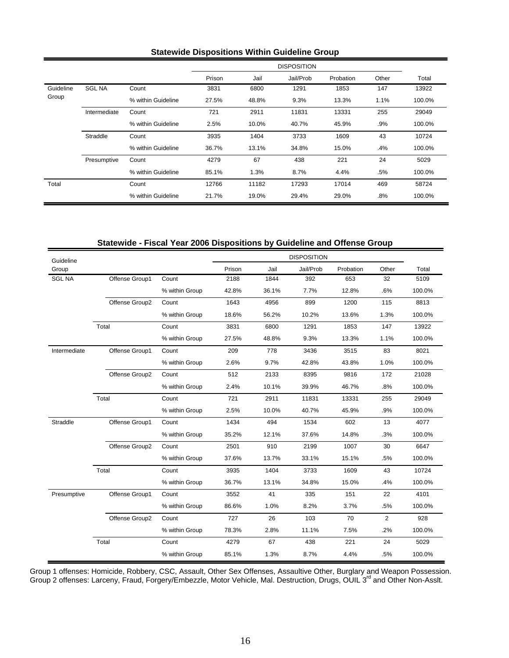#### **Statewide Dispositions Within Guideline Group**

|           |               |                    |        |       | <b>DISPOSITION</b> |           |       |        |
|-----------|---------------|--------------------|--------|-------|--------------------|-----------|-------|--------|
|           |               |                    | Prison | Jail  | Jail/Prob          | Probation | Other | Total  |
| Guideline | <b>SGL NA</b> | Count              | 3831   | 6800  | 1291               | 1853      | 147   | 13922  |
| Group     |               | % within Guideline | 27.5%  | 48.8% | 9.3%               | 13.3%     | 1.1%  | 100.0% |
|           | Intermediate  | Count              | 721    | 2911  | 11831              | 13331     | 255   | 29049  |
|           |               | % within Guideline | 2.5%   | 10.0% | 40.7%              | 45.9%     | .9%   | 100.0% |
|           | Straddle      | Count              | 3935   | 1404  | 3733               | 1609      | 43    | 10724  |
|           |               | % within Guideline | 36.7%  | 13.1% | 34.8%              | 15.0%     | .4%   | 100.0% |
|           | Presumptive   | Count              | 4279   | 67    | 438                | 221       | 24    | 5029   |
|           |               | % within Guideline | 85.1%  | 1.3%  | 8.7%               | 4.4%      | .5%   | 100.0% |
| Total     |               | Count              | 12766  | 11182 | 17293              | 17014     | 469   | 58724  |
|           |               | % within Guideline | 21.7%  | 19.0% | 29.4%              | 29.0%     | .8%   | 100.0% |

### **Statewide - Fiscal Year 2006 Dispositions by Guideline and Offense Group**

| Guideline     |                |                |        |       | <b>DISPOSITION</b> |           |       |        |
|---------------|----------------|----------------|--------|-------|--------------------|-----------|-------|--------|
| Group         |                |                | Prison | Jail  | Jail/Prob          | Probation | Other | Total  |
| <b>SGL NA</b> | Offense Group1 | Count          | 2188   | 1844  | 392                | 653       | 32    | 5109   |
|               |                | % within Group | 42.8%  | 36.1% | 7.7%               | 12.8%     | .6%   | 100.0% |
|               | Offense Group2 | Count          | 1643   | 4956  | 899                | 1200      | 115   | 8813   |
|               |                | % within Group | 18.6%  | 56.2% | 10.2%              | 13.6%     | 1.3%  | 100.0% |
|               | Total          | Count          | 3831   | 6800  | 1291               | 1853      | 147   | 13922  |
|               |                | % within Group | 27.5%  | 48.8% | 9.3%               | 13.3%     | 1.1%  | 100.0% |
| Intermediate  | Offense Group1 | Count          | 209    | 778   | 3436               | 3515      | 83    | 8021   |
|               |                | % within Group | 2.6%   | 9.7%  | 42.8%              | 43.8%     | 1.0%  | 100.0% |
|               | Offense Group2 | Count          | 512    | 2133  | 8395               | 9816      | 172   | 21028  |
|               |                | % within Group | 2.4%   | 10.1% | 39.9%              | 46.7%     | .8%   | 100.0% |
|               | Total          | Count          | 721    | 2911  | 11831              | 13331     | 255   | 29049  |
|               |                | % within Group | 2.5%   | 10.0% | 40.7%              | 45.9%     | .9%   | 100.0% |
| Straddle      | Offense Group1 | Count          | 1434   | 494   | 1534               | 602       | 13    | 4077   |
|               |                | % within Group | 35.2%  | 12.1% | 37.6%              | 14.8%     | .3%   | 100.0% |
|               | Offense Group2 | Count          | 2501   | 910   | 2199               | 1007      | 30    | 6647   |
|               |                | % within Group | 37.6%  | 13.7% | 33.1%              | 15.1%     | .5%   | 100.0% |
|               | Total          | Count          | 3935   | 1404  | 3733               | 1609      | 43    | 10724  |
|               |                | % within Group | 36.7%  | 13.1% | 34.8%              | 15.0%     | .4%   | 100.0% |
| Presumptive   | Offense Group1 | Count          | 3552   | 41    | 335                | 151       | 22    | 4101   |
|               |                | % within Group | 86.6%  | 1.0%  | 8.2%               | 3.7%      | .5%   | 100.0% |
|               | Offense Group2 | Count          | 727    | 26    | 103                | 70        | 2     | 928    |
|               |                | % within Group | 78.3%  | 2.8%  | 11.1%              | 7.5%      | .2%   | 100.0% |
|               | Total          | Count          | 4279   | 67    | 438                | 221       | 24    | 5029   |
|               |                | % within Group | 85.1%  | 1.3%  | 8.7%               | 4.4%      | .5%   | 100.0% |

Group 1 offenses: Homicide, Robbery, CSC, Assault, Other Sex Offenses, Assaultive Other, Burglary and Weapon Possession. Group 2 offenses: Larceny, Fraud, Forgery/Embezzle, Motor Vehicle, Mal. Destruction, Drugs, OUIL 3<sup>rd</sup> and Other Non-Asslt.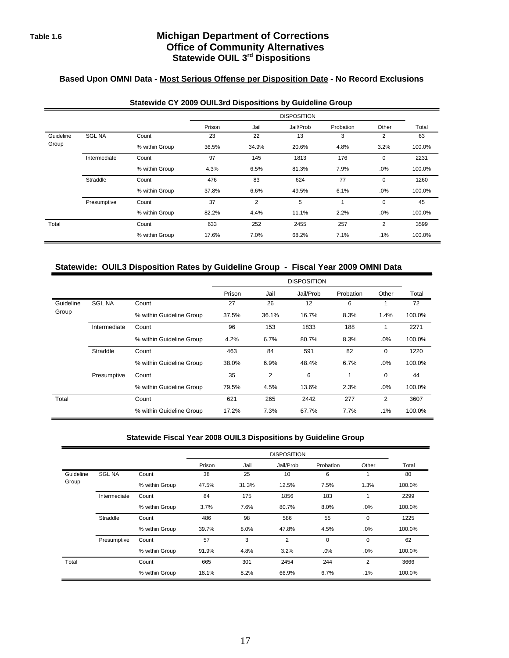### **Table 1.6 Michigan Department of Corrections Office of Community Alternatives Statewide OUIL 3rd Dispositions**

# **Based Upon OMNI Data - Most Serious Offense per Disposition Date - No Record Exclusions**

|           |               |                |        |       | <b>DISPOSITION</b> |           |       |        |
|-----------|---------------|----------------|--------|-------|--------------------|-----------|-------|--------|
|           |               |                | Prison | Jail  | Jail/Prob          | Probation | Other | Total  |
| Guideline | <b>SGL NA</b> | Count          | 23     | 22    | 13                 | 3         | 2     | 63     |
| Group     |               | % within Group | 36.5%  | 34.9% | 20.6%              | 4.8%      | 3.2%  | 100.0% |
|           | Intermediate  | Count          | 97     | 145   | 1813               | 176       | 0     | 2231   |
|           |               | % within Group | 4.3%   | 6.5%  | 81.3%              | 7.9%      | .0%   | 100.0% |
|           | Straddle      | Count          | 476    | 83    | 624                | 77        | 0     | 1260   |
|           |               | % within Group | 37.8%  | 6.6%  | 49.5%              | 6.1%      | .0%   | 100.0% |
|           | Presumptive   | Count          | 37     | 2     | 5                  | 1         | 0     | 45     |
|           |               | % within Group | 82.2%  | 4.4%  | 11.1%              | 2.2%      | .0%   | 100.0% |
| Total     |               | Count          | 633    | 252   | 2455               | 257       | 2     | 3599   |
|           |               | % within Group | 17.6%  | 7.0%  | 68.2%              | 7.1%      | .1%   | 100.0% |

#### **Statewide CY 2009 OUIL3rd Dispositions by Guideline Group**

#### **Statewide: OUIL3 Disposition Rates by Guideline Group - Fiscal Year 2009 OMNI Data**

|           |               |                          |        |                | <b>DISPOSITION</b> |           |       |        |
|-----------|---------------|--------------------------|--------|----------------|--------------------|-----------|-------|--------|
|           |               |                          | Prison | Jail           | Jail/Prob          | Probation | Other | Total  |
| Guideline | <b>SGL NA</b> | Count                    | 27     | 26             | 12                 | 6         |       | 72     |
| Group     |               | % within Guideline Group | 37.5%  | 36.1%          | 16.7%              | 8.3%      | 1.4%  | 100.0% |
|           | Intermediate  | Count                    | 96     | 153            | 1833               | 188       | 1     | 2271   |
|           |               | % within Guideline Group | 4.2%   | 6.7%           | 80.7%              | 8.3%      | .0%   | 100.0% |
|           | Straddle      | Count                    | 463    | 84             | 591                | 82        | 0     | 1220   |
|           |               | % within Guideline Group | 38.0%  | 6.9%           | 48.4%              | 6.7%      | .0%   | 100.0% |
|           | Presumptive   | Count                    | 35     | $\overline{2}$ | 6                  | 1         | 0     | 44     |
|           |               | % within Guideline Group | 79.5%  | 4.5%           | 13.6%              | 2.3%      | .0%   | 100.0% |
| Total     |               | Count                    | 621    | 265            | 2442               | 277       | 2     | 3607   |
|           |               | % within Guideline Group | 17.2%  | 7.3%           | 67.7%              | 7.7%      | .1%   | 100.0% |

#### **Statewide Fiscal Year 2008 OUIL3 Dispositions by Guideline Group**

|           |               |                |        |       | <b>DISPOSITION</b> |           |             |        |
|-----------|---------------|----------------|--------|-------|--------------------|-----------|-------------|--------|
|           |               |                | Prison | Jail  | Jail/Prob          | Probation | Other       | Total  |
| Guideline | <b>SGL NA</b> | Count          | 38     | 25    | 10                 | 6         |             | 80     |
| Group     |               | % within Group | 47.5%  | 31.3% | 12.5%              | 7.5%      | 1.3%        | 100.0% |
|           | Intermediate  | Count          | 84     | 175   | 1856               | 183       |             | 2299   |
|           |               | % within Group | 3.7%   | 7.6%  | 80.7%              | 8.0%      | .0%         | 100.0% |
|           | Straddle      | Count          | 486    | 98    | 586                | 55        | 0           | 1225   |
|           |               | % within Group | 39.7%  | 8.0%  | 47.8%              | 4.5%      | .0%         | 100.0% |
|           | Presumptive   | Count          | 57     | 3     | $\overline{2}$     | $\Omega$  | $\mathbf 0$ | 62     |
|           |               | % within Group | 91.9%  | 4.8%  | 3.2%               | .0%       | $.0\%$      | 100.0% |
| Total     |               | Count          | 665    | 301   | 2454               | 244       | 2           | 3666   |
|           |               | % within Group | 18.1%  | 8.2%  | 66.9%              | 6.7%      | $.1\%$      | 100.0% |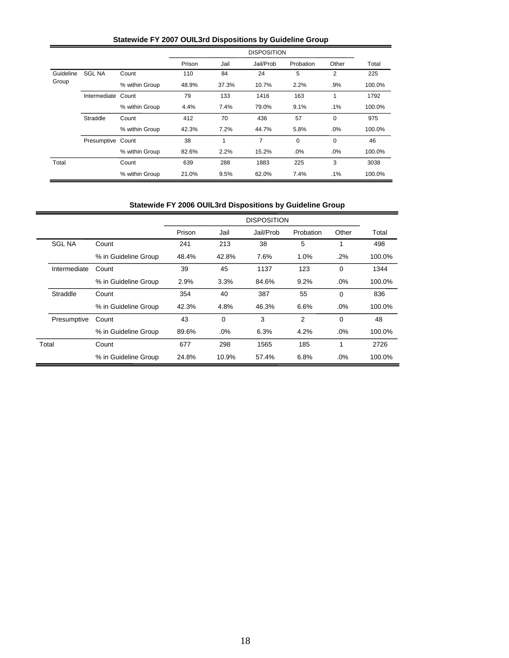# **Statewide FY 2007 OUIL3rd Dispositions by Guideline Group**

|           |               |                |        |       | <b>DISPOSITION</b> |           |             |        |
|-----------|---------------|----------------|--------|-------|--------------------|-----------|-------------|--------|
|           |               |                | Prison | Jail  | Jail/Prob          | Probation | Other       | Total  |
| Guideline | <b>SGL NA</b> | Count          | 110    | 84    | 24                 | 5         | 2           | 225    |
| Group     |               | % within Group | 48.9%  | 37.3% | 10.7%              | 2.2%      | .9%         | 100.0% |
|           | Intermediate  | Count          | 79     | 133   | 1416               | 163       | 1           | 1792   |
|           |               | % within Group | 4.4%   | 7.4%  | 79.0%              | 9.1%      | .1%         | 100.0% |
|           | Straddle      | Count          | 412    | 70    | 436                | 57        | $\mathbf 0$ | 975    |
|           |               | % within Group | 42.3%  | 7.2%  | 44.7%              | 5.8%      | .0%         | 100.0% |
|           | Presumptive   | Count          | 38     | 1     | 7                  | 0         | $\mathbf 0$ | 46     |
|           |               | % within Group | 82.6%  | 2.2%  | 15.2%              | .0%       | $.0\%$      | 100.0% |
| Total     |               | Count          | 639    | 288   | 1883               | 225       | 3           | 3038   |
|           |               | % within Group | 21.0%  | 9.5%  | 62.0%              | 7.4%      | $.1\%$      | 100.0% |

# **Statewide FY 2006 OUIL3rd Dispositions by Guideline Group**

|               |                      |        |          | <b>DISPOSITION</b> |           |          |        |
|---------------|----------------------|--------|----------|--------------------|-----------|----------|--------|
|               |                      | Prison | Jail     | Jail/Prob          | Probation | Other    | Total  |
| <b>SGL NA</b> | Count                | 241    | 213      | 38                 | 5         | 1        | 498    |
|               | % in Guideline Group | 48.4%  | 42.8%    | 7.6%               | 1.0%      | .2%      | 100.0% |
| Intermediate  | Count                | 39     | 45       | 1137               | 123       | 0        | 1344   |
|               | % in Guideline Group | 2.9%   | 3.3%     | 84.6%              | 9.2%      | .0%      | 100.0% |
| Straddle      | Count                | 354    | 40       | 387                | 55        | $\Omega$ | 836    |
|               | % in Guideline Group | 42.3%  | 4.8%     | 46.3%              | 6.6%      | .0%      | 100.0% |
| Presumptive   | Count                | 43     | $\Omega$ | 3                  | 2         | $\Omega$ | 48     |
|               | % in Guideline Group | 89.6%  | .0%      | 6.3%               | 4.2%      | .0%      | 100.0% |
| Total         | Count                | 677    | 298      | 1565               | 185       | 1        | 2726   |
|               | % in Guideline Group | 24.8%  | 10.9%    | 57.4%              | 6.8%      | .0%      | 100.0% |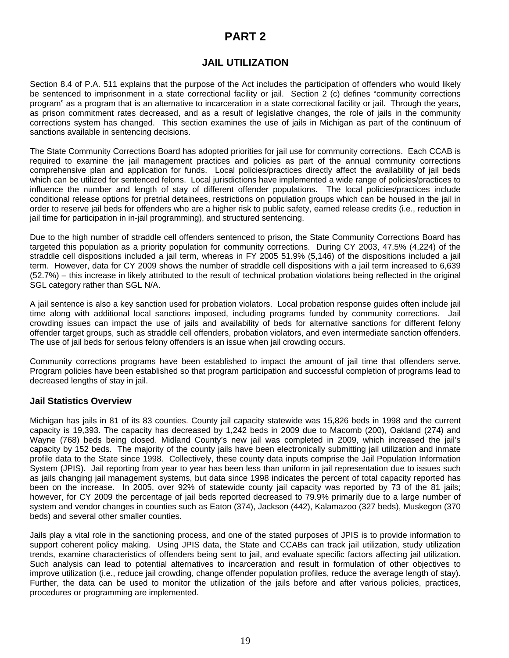# **PART 2**

# **JAIL UTILIZATION**

Section 8.4 of P.A. 511 explains that the purpose of the Act includes the participation of offenders who would likely be sentenced to imprisonment in a state correctional facility or jail. Section 2 (c) defines "community corrections program" as a program that is an alternative to incarceration in a state correctional facility or jail. Through the years, as prison commitment rates decreased, and as a result of legislative changes, the role of jails in the community corrections system has changed. This section examines the use of jails in Michigan as part of the continuum of sanctions available in sentencing decisions.

The State Community Corrections Board has adopted priorities for jail use for community corrections. Each CCAB is required to examine the jail management practices and policies as part of the annual community corrections comprehensive plan and application for funds. Local policies/practices directly affect the availability of jail beds which can be utilized for sentenced felons. Local jurisdictions have implemented a wide range of policies/practices to influence the number and length of stay of different offender populations. The local policies/practices include conditional release options for pretrial detainees, restrictions on population groups which can be housed in the jail in order to reserve jail beds for offenders who are a higher risk to public safety, earned release credits (i.e., reduction in jail time for participation in in-jail programming), and structured sentencing.

Due to the high number of straddle cell offenders sentenced to prison, the State Community Corrections Board has targeted this population as a priority population for community corrections. During CY 2003, 47.5% (4,224) of the straddle cell dispositions included a jail term, whereas in FY 2005 51.9% (5,146) of the dispositions included a jail term. However, data for CY 2009 shows the number of straddle cell dispositions with a jail term increased to 6,639 (52.7%) – this increase in likely attributed to the result of technical probation violations being reflected in the original SGL category rather than SGL N/A.

A jail sentence is also a key sanction used for probation violators. Local probation response guides often include jail time along with additional local sanctions imposed, including programs funded by community corrections. Jail crowding issues can impact the use of jails and availability of beds for alternative sanctions for different felony offender target groups, such as straddle cell offenders, probation violators, and even intermediate sanction offenders. The use of jail beds for serious felony offenders is an issue when jail crowding occurs.

Community corrections programs have been established to impact the amount of jail time that offenders serve. Program policies have been established so that program participation and successful completion of programs lead to decreased lengths of stay in jail.

#### **Jail Statistics Overview**

Michigan has jails in 81 of its 83 counties. County jail capacity statewide was 15,826 beds in 1998 and the current capacity is 19,393. The capacity has decreased by 1,242 beds in 2009 due to Macomb (200), Oakland (274) and Wayne (768) beds being closed. Midland County's new jail was completed in 2009, which increased the jail's capacity by 152 beds. The majority of the county jails have been electronically submitting jail utilization and inmate profile data to the State since 1998. Collectively, these county data inputs comprise the Jail Population Information System (JPIS). Jail reporting from year to year has been less than uniform in jail representation due to issues such as jails changing jail management systems, but data since 1998 indicates the percent of total capacity reported has been on the increase. In 2005, over 92% of statewide county jail capacity was reported by 73 of the 81 jails; however, for CY 2009 the percentage of jail beds reported decreased to 79.9% primarily due to a large number of system and vendor changes in counties such as Eaton (374), Jackson (442), Kalamazoo (327 beds), Muskegon (370 beds) and several other smaller counties.

Jails play a vital role in the sanctioning process, and one of the stated purposes of JPIS is to provide information to support coherent policy making. Using JPIS data, the State and CCABs can track jail utilization, study utilization trends, examine characteristics of offenders being sent to jail, and evaluate specific factors affecting jail utilization. Such analysis can lead to potential alternatives to incarceration and result in formulation of other objectives to improve utilization (i.e., reduce jail crowding, change offender population profiles, reduce the average length of stay). Further, the data can be used to monitor the utilization of the jails before and after various policies, practices, procedures or programming are implemented.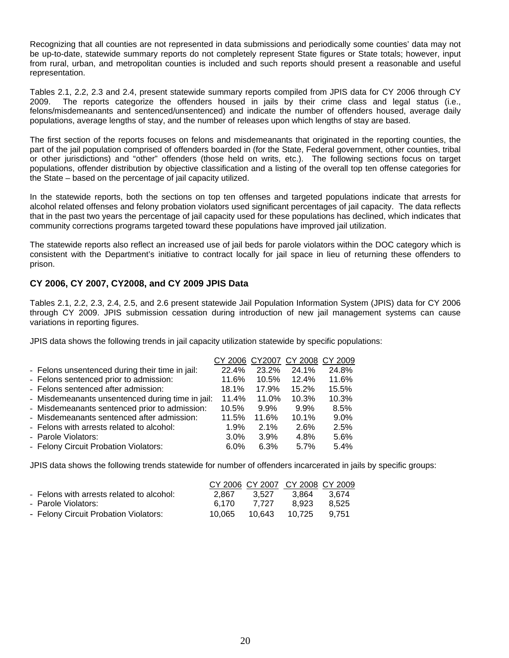Recognizing that all counties are not represented in data submissions and periodically some counties' data may not be up-to-date, statewide summary reports do not completely represent State figures or State totals; however, input from rural, urban, and metropolitan counties is included and such reports should present a reasonable and useful representation.

Tables 2.1, 2.2, 2.3 and 2.4, present statewide summary reports compiled from JPIS data for CY 2006 through CY 2009. The reports categorize the offenders housed in jails by their crime class and legal status (i.e., felons/misdemeanants and sentenced/unsentenced) and indicate the number of offenders housed, average daily populations, average lengths of stay, and the number of releases upon which lengths of stay are based.

The first section of the reports focuses on felons and misdemeanants that originated in the reporting counties, the part of the jail population comprised of offenders boarded in (for the State, Federal government, other counties, tribal or other jurisdictions) and "other" offenders (those held on writs, etc.). The following sections focus on target populations, offender distribution by objective classification and a listing of the overall top ten offense categories for the State – based on the percentage of jail capacity utilized.

In the statewide reports, both the sections on top ten offenses and targeted populations indicate that arrests for alcohol related offenses and felony probation violators used significant percentages of jail capacity. The data reflects that in the past two years the percentage of jail capacity used for these populations has declined, which indicates that community corrections programs targeted toward these populations have improved jail utilization.

The statewide reports also reflect an increased use of jail beds for parole violators within the DOC category which is consistent with the Department's initiative to contract locally for jail space in lieu of returning these offenders to prison.

### **CY 2006, CY 2007, CY2008, and CY 2009 JPIS Data**

Tables 2.1, 2.2, 2.3, 2.4, 2.5, and 2.6 present statewide Jail Population Information System (JPIS) data for CY 2006 through CY 2009. JPIS submission cessation during introduction of new jail management systems can cause variations in reporting figures.

JPIS data shows the following trends in jail capacity utilization statewide by specific populations:

|                                                  | CY 2006 CY 2007 |       | CY 2008 | CY 2009 |
|--------------------------------------------------|-----------------|-------|---------|---------|
| - Felons unsentenced during their time in jail:  | 22.4%           | 23.2% | 24.1%   | 24.8%   |
| - Felons sentenced prior to admission:           | 11.6%           | 10.5% | 12.4%   | 11.6%   |
| - Felons sentenced after admission:              | 18.1%           | 17.9% | 15.2%   | 15.5%   |
| - Misdemeanants unsentenced during time in jail: | 11.4%           | 11.0% | 10.3%   | 10.3%   |
| - Misdemeanants sentenced prior to admission:    | 10.5%           | 9.9%  | 9.9%    | 8.5%    |
| - Misdemeanants sentenced after admission:       | 11.5%           | 11.6% | 10.1%   | 9.0%    |
| - Felons with arrests related to alcohol:        | 1.9%            | 2.1%  | 2.6%    | 2.5%    |
| - Parole Violators:                              | 3.0%            | 3.9%  | 4.8%    | 5.6%    |
| - Felony Circuit Probation Violators:            | $6.0\%$         | 6.3%  | 5.7%    | 5.4%    |

JPIS data shows the following trends statewide for number of offenders incarcerated in jails by specific groups:

|                                           |        |        | CY 2006 CY 2007 CY 2008 CY 2009 |       |
|-------------------------------------------|--------|--------|---------------------------------|-------|
| - Felons with arrests related to alcohol: | 2.867  | 3.527  | -3.864                          | 3.674 |
| - Parole Violators:                       | 6.170  | 7.727  | 8.923                           | 8.525 |
| - Felony Circuit Probation Violators:     | 10.065 | 10.643 | 10.725                          | 9.751 |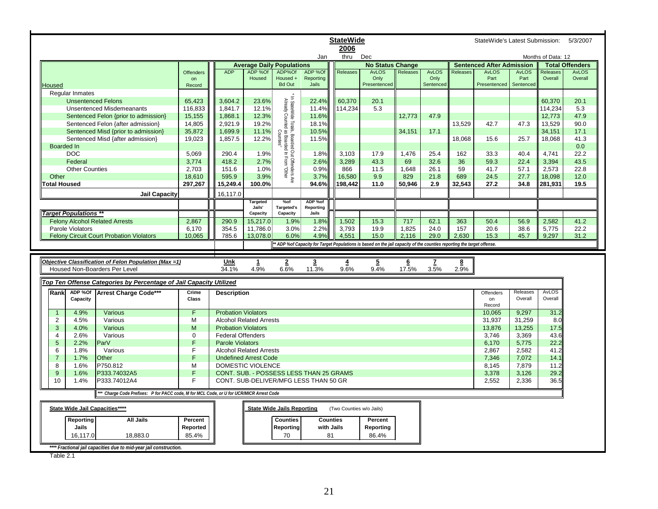|                                  |                                                                                      |                  |                            |                                  |                                                                              |                                         | <b>StateWide</b>         |                                                                                                                     |                 |                   |                 | StateWide's Latest Submission:   |                   |                    | 5/3/2007               |
|----------------------------------|--------------------------------------------------------------------------------------|------------------|----------------------------|----------------------------------|------------------------------------------------------------------------------|-----------------------------------------|--------------------------|---------------------------------------------------------------------------------------------------------------------|-----------------|-------------------|-----------------|----------------------------------|-------------------|--------------------|------------------------|
|                                  |                                                                                      |                  |                            |                                  |                                                                              |                                         | 2006                     |                                                                                                                     |                 |                   |                 |                                  |                   |                    |                        |
|                                  |                                                                                      |                  |                            |                                  |                                                                              | Jan                                     | thru                     | Dec                                                                                                                 |                 |                   |                 |                                  |                   | Months of Data: 12 |                        |
|                                  |                                                                                      |                  |                            | <b>Average Daily Populations</b> |                                                                              |                                         |                          | <b>No Status Change</b>                                                                                             |                 |                   |                 | <b>Sentenced After Admission</b> |                   |                    | <b>Total Offenders</b> |
|                                  |                                                                                      | <b>Offenders</b> | <b>ADP</b>                 | ADP %Of                          | ADP%Of                                                                       | ADP %Of                                 | Releases                 | AvLOS                                                                                                               | Releases        | AvLOS             | <b>Releases</b> | <b>AvLOS</b>                     | <b>AvLOS</b>      | Releases           | <b>AvLOS</b>           |
|                                  |                                                                                      | on               |                            | Housed                           | Housed +<br><b>Bd Out</b>                                                    | Reporting<br>Jails                      |                          | Only<br>Presentenced                                                                                                |                 | Only<br>Sentenced |                 | Part<br>Presentenced             | Part<br>Sentenced | Overall            | Overall                |
| Housed<br><b>Regular Inmates</b> |                                                                                      | Record           |                            |                                  |                                                                              |                                         |                          |                                                                                                                     |                 |                   |                 |                                  |                   |                    |                        |
|                                  | <b>Unsentenced Felons</b>                                                            | 65,423           | 3,604.2                    | 23.6%                            |                                                                              | 22.4%                                   | 60,370                   | 20.1                                                                                                                |                 |                   |                 |                                  |                   | 60,370             | 20.1                   |
|                                  | <b>Unsentenced Misdemeanants</b>                                                     | 116,833          | 1,841.7                    | 12.1%                            | * In StateWide Totals, I<br>Already Counted as                               | 11.4%                                   | 114,234                  | 5.3                                                                                                                 |                 |                   |                 |                                  |                   | 114,234            | 5.3                    |
|                                  | Sentenced Felon {prior to admission}                                                 | 15,155           | 1.868.1                    | 12.3%                            |                                                                              | 11.6%                                   |                          |                                                                                                                     | 12,773          | 47.9              |                 |                                  |                   | 12,773             | 47.9                   |
|                                  | Sentenced Felon {after admission}                                                    | 14,805           | 2,921.9                    | 19.2%                            |                                                                              | 18.1%                                   |                          |                                                                                                                     |                 |                   | 13,529          | 42.7                             | 47.3              | 13,529             | 90.0                   |
|                                  | Sentenced Misd {prior to admission}                                                  | 35,872           | 1,699.9                    | 11.1%                            |                                                                              | 10.5%                                   |                          |                                                                                                                     | 34,151          | 17.1              |                 |                                  |                   | 34,151             | 17.1                   |
|                                  | Sentenced Misd {after admission}                                                     | 19,023           | 1,857.5                    | 12.2%                            |                                                                              | 11.5%                                   |                          |                                                                                                                     |                 |                   | 18,068          | 15.6                             | 25.7              | 18,068             | 41.3                   |
| <b>Boarded In</b>                |                                                                                      |                  |                            |                                  |                                                                              |                                         |                          |                                                                                                                     |                 |                   |                 |                                  |                   |                    | 0.0                    |
| <b>DOC</b>                       |                                                                                      | 5,069            | 290.4                      | 1.9%                             | tals, Boarded Out Offenders Are<br>ed as Boarded In From "Other<br>Counties" | 1.8%                                    | 3,103                    | 17.9                                                                                                                | 1,476           | 25.4              | 162             | 33.3                             | 40.4              | 4,741              | 22.2                   |
| Federal                          |                                                                                      | 3,774            | 418.2                      | 2.7%                             |                                                                              | 2.6%                                    | 3,289                    | 43.3                                                                                                                | 69              | 32.6              | 36              | 59.3                             | 22.4              | 3,394              | 43.5                   |
|                                  | <b>Other Counties</b>                                                                | 2,703            | 151.6                      | 1.0%                             |                                                                              | 0.9%                                    | 866                      | 11.5                                                                                                                | 1,648           | 26.1              | 59              | 41.7                             | 57.1              | 2,573              | 22.8                   |
| Other                            |                                                                                      | 18,610           | 595.9                      | 3.9%                             |                                                                              | 3.7%                                    | 16,580                   | 9.9                                                                                                                 | 829             | 21.8              | 689             | 24.5                             | 27.7              | 18,098             | 12.0                   |
| <b>Total Housed</b>              |                                                                                      | 297,267          | 15,249.4                   | 100.0%                           |                                                                              | 94.6%                                   | 198.442                  | 11.0                                                                                                                | 50,946          | 2.9               | 32.543          | 27.2                             | 34.8              | 281,931            | 19.5                   |
|                                  | <b>Jail Capacity</b>                                                                 |                  | 16,117.0                   |                                  |                                                                              |                                         |                          |                                                                                                                     |                 |                   |                 |                                  |                   |                    |                        |
|                                  |                                                                                      |                  |                            | <b>Targeted</b><br>Jails'        | $%$ of<br><b>Targeted's</b>                                                  | ADP %of<br>Reporting                    |                          |                                                                                                                     |                 |                   |                 |                                  |                   |                    |                        |
| <b>Target Populations **</b>     |                                                                                      |                  |                            | Capacity                         | Capacity                                                                     | Jails                                   |                          |                                                                                                                     |                 |                   |                 |                                  |                   |                    |                        |
|                                  | <b>Felony Alcohol Related Arrests</b>                                                | 2,867            | 290.9                      | 15,217.0                         | 1.9%                                                                         | 1.8%                                    | 1,502                    | 15.3                                                                                                                | 717             | 62.1              | 363             | 50.4                             | 56.9              | 2,582              | 41.2                   |
| Parole Violators                 |                                                                                      | 6.170            | 354.5                      | 11,786.0                         | 3.0%                                                                         | 2.2%                                    | 3,793                    | 19.9                                                                                                                | 1,825           | 24.0              | 157             | 20.6                             | 38.6              | 5,775              | 22.2                   |
|                                  | <b>Felony Circuit Court Probation Violators</b>                                      | 10,065           | 785.6                      | 13,078.0                         | 6.0%                                                                         | 4.9%                                    | 4,551                    | 15.0                                                                                                                | 2,116           | 29.0              | 2,630           | 15.3                             | 45.7              | 9,297              | 31.2                   |
|                                  |                                                                                      |                  |                            |                                  |                                                                              |                                         |                          |                                                                                                                     |                 |                   |                 |                                  |                   |                    |                        |
|                                  |                                                                                      |                  |                            |                                  |                                                                              |                                         |                          | ADP %of Capacity for Target Populations is based on the jail capacity of the counties reporting the target offense. |                 |                   |                 |                                  |                   |                    |                        |
|                                  |                                                                                      |                  |                            |                                  |                                                                              |                                         |                          |                                                                                                                     |                 |                   |                 |                                  |                   |                    |                        |
|                                  | Objective Classification of Felon Population (Max =1)                                |                  | Unk                        | $\mathbf{1}$                     | $\overline{2}$                                                               | $\overline{3}$                          | $\overline{4}$           | $\overline{5}$                                                                                                      | $6\phantom{.}6$ | $\mathbf{z}$      | 8               |                                  |                   |                    |                        |
|                                  | Housed Non-Boarders Per Level                                                        |                  | 34.1%                      | 4.9%                             | 6.6%                                                                         | 11.3%                                   | 9.6%                     | 9.4%                                                                                                                | 17.5%           | 3.5%              | 2.9%            |                                  |                   |                    |                        |
|                                  |                                                                                      |                  |                            |                                  |                                                                              |                                         |                          |                                                                                                                     |                 |                   |                 |                                  |                   |                    |                        |
|                                  | Top Ten Offense Categories by Percentage of Jail Capacity Utilized                   |                  |                            |                                  |                                                                              |                                         |                          |                                                                                                                     |                 |                   |                 |                                  |                   |                    |                        |
| ADP %Of<br>Rank                  | Arrest Charge Code***                                                                | Crime            | <b>Description</b>         |                                  |                                                                              |                                         |                          |                                                                                                                     |                 |                   |                 | Offenders                        | Releases          | <b>AvLOS</b>       |                        |
| Capacity                         |                                                                                      | Class            |                            |                                  |                                                                              |                                         |                          |                                                                                                                     |                 |                   |                 | on<br>Record                     | Overall           | Overall            |                        |
| 4.9%<br>$\overline{1}$           | Various                                                                              | F.               | <b>Probation Violators</b> |                                  |                                                                              |                                         |                          |                                                                                                                     |                 |                   |                 | 10.065                           | 9.297             | 31.2               |                        |
| $\overline{c}$<br>4.5%           | Various                                                                              | м                |                            | <b>Alcohol Related Arrests</b>   |                                                                              |                                         |                          |                                                                                                                     |                 |                   |                 | 31,937                           | 31.259            | 8.0                |                        |
| 3<br>4.0%                        | Various                                                                              | M                | <b>Probation Violators</b> |                                  |                                                                              |                                         |                          |                                                                                                                     |                 |                   |                 | 13,876                           | 13,255            | 17.5               |                        |
| 4<br>2.6%                        | Various                                                                              | $\Omega$         | <b>Federal Offenders</b>   |                                  |                                                                              |                                         |                          |                                                                                                                     |                 |                   |                 | 3.746                            | 3.369             | 43.6               |                        |
| 5<br>2.2%                        | Par <sub>V</sub>                                                                     | F.               | <b>Parole Violators</b>    |                                  |                                                                              |                                         |                          |                                                                                                                     |                 |                   |                 | 6,170                            | 5,775             | 22.2               |                        |
| 6<br>1.8%                        | Various                                                                              | F                |                            | <b>Alcohol Related Arrests</b>   |                                                                              |                                         |                          |                                                                                                                     |                 |                   |                 | 2,867                            | 2,582             | 41.2               |                        |
| 1.7%<br>$\overline{7}$           | Other                                                                                | F.               |                            | <b>Undefined Arrest Code</b>     |                                                                              |                                         |                          |                                                                                                                     |                 |                   |                 | 7.346                            | 7.072             | 14.1               |                        |
| 8<br>1.6%                        | P750.812                                                                             | M                |                            | DOMESTIC VIOLENCE                |                                                                              |                                         |                          |                                                                                                                     |                 |                   |                 | 8,145                            | 7.879             | 11.2               |                        |
| 9<br>1.6%                        | P333.74032A5                                                                         | F.               |                            |                                  |                                                                              | CONT. SUB. - POSSESS LESS THAN 25 GRAMS |                          |                                                                                                                     |                 |                   |                 | 3,378                            | 3,126             | 29.2               |                        |
| 10<br>1.4%                       | P333.74012A4                                                                         | F                |                            |                                  |                                                                              | CONT. SUB-DELIVER/MFG LESS THAN 50 GR   |                          |                                                                                                                     |                 |                   |                 | 2,552                            | 2,336             | 36.5               |                        |
|                                  | Charge Code Prefixes: P for PACC code, M for MCL Code, or U for UCR/MICR Arrest Code |                  |                            |                                  |                                                                              |                                         |                          |                                                                                                                     |                 |                   |                 |                                  |                   |                    |                        |
|                                  | State Wide Jail Capacities****                                                       |                  |                            |                                  | <b>State Wide Jails Reporting</b>                                            |                                         | (Two Counties w/o Jails) |                                                                                                                     |                 |                   |                 |                                  |                   |                    |                        |
|                                  |                                                                                      |                  |                            |                                  |                                                                              |                                         |                          |                                                                                                                     |                 |                   |                 |                                  |                   |                    |                        |
| Reporting                        | <b>All Jails</b>                                                                     | Percent          |                            |                                  | <b>Counties</b>                                                              |                                         | <b>Counties</b>          | Percent                                                                                                             |                 |                   |                 |                                  |                   |                    |                        |
| Jails                            |                                                                                      | Reported         |                            |                                  | Reporting                                                                    | with Jails                              |                          | Reporting                                                                                                           |                 |                   |                 |                                  |                   |                    |                        |
| 16,117.0                         | 18,883.0<br>**** Fractional jail capacities due to mid-year jail construction.       | 85.4%            |                            |                                  | 70                                                                           | 81                                      |                          | 86.4%                                                                                                               |                 |                   |                 |                                  |                   |                    |                        |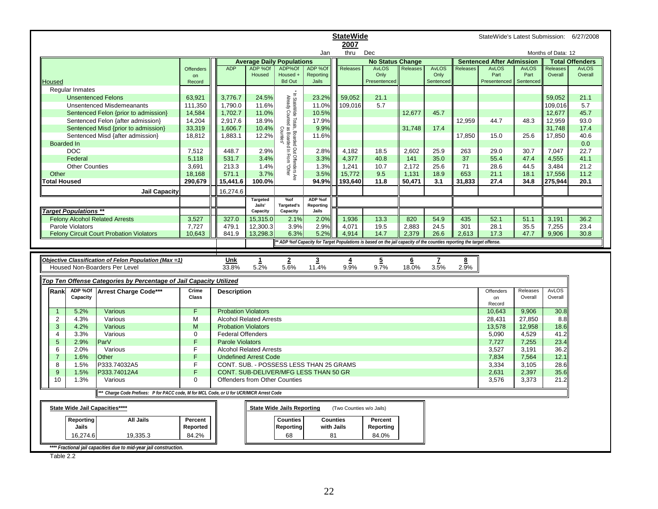|                     |                              |                                                                                         |              |                            |                                      |                                                |                                         | <b>StateWide</b>         |                                                                                                                       |                 |                      |                 | StateWide's Latest Submission: 6/27/2008 |                      |                     |                         |
|---------------------|------------------------------|-----------------------------------------------------------------------------------------|--------------|----------------------------|--------------------------------------|------------------------------------------------|-----------------------------------------|--------------------------|-----------------------------------------------------------------------------------------------------------------------|-----------------|----------------------|-----------------|------------------------------------------|----------------------|---------------------|-------------------------|
|                     |                              |                                                                                         |              |                            |                                      |                                                |                                         | 2007                     |                                                                                                                       |                 |                      |                 |                                          |                      |                     |                         |
|                     |                              |                                                                                         |              |                            |                                      |                                                | Jan                                     | thru                     | Dec                                                                                                                   |                 |                      |                 |                                          |                      | Months of Data: 12  |                         |
|                     |                              |                                                                                         |              |                            | <b>Average Daily Populations</b>     |                                                |                                         |                          | <b>No Status Change</b>                                                                                               |                 |                      |                 | <b>Sentenced After Admission</b>         |                      |                     | <b>Total Offenders</b>  |
|                     |                              |                                                                                         | Offenders    | <b>ADP</b>                 | ADP %Of<br>Housed                    | ADP%Of<br>Housed +                             | ADP %Of<br>Reporting                    | <b>Releases</b>          | <b>AvLOS</b><br>Only                                                                                                  | Releases        | <b>AvLOS</b><br>Only | <b>Releases</b> | <b>AvLOS</b><br>Part                     | <b>AvLOS</b><br>Part | Releases<br>Overall | <b>AvLOS</b><br>Overall |
| Housed              |                              |                                                                                         | on<br>Record |                            |                                      | <b>Bd Out</b>                                  | Jails                                   |                          | Presentenced                                                                                                          |                 | Sentenced            |                 | Presentenced                             | Sentenced            |                     |                         |
|                     | <b>Reqular Inmates</b>       |                                                                                         |              |                            |                                      |                                                |                                         |                          |                                                                                                                       |                 |                      |                 |                                          |                      |                     |                         |
|                     | <b>Unsentenced Felons</b>    |                                                                                         | 63,921       | 3.776.7                    | 24.5%                                |                                                | 23.2%                                   | 59.052                   | 21.1                                                                                                                  |                 |                      |                 |                                          |                      | 59.052              | 21.1                    |
|                     |                              | <b>Unsentenced Misdemeanants</b>                                                        | 111,350      | 1,790.0                    | 11.6%                                |                                                | 11.0%                                   | 109,016                  | 5.7                                                                                                                   |                 |                      |                 |                                          |                      | 109,016             | 5.7                     |
|                     |                              | Sentenced Felon {prior to admission}                                                    | 14,584       | 1,702.7                    | 11.0%                                | Already Counted as Boarded                     | 10.5%                                   |                          |                                                                                                                       | 12,677          | 45.7                 |                 |                                          |                      | 12,677              | 45.7                    |
|                     |                              | Sentenced Felon {after admission}                                                       | 14,204       | 2,917.6                    | 18.9%                                |                                                | 17.9%                                   |                          |                                                                                                                       |                 |                      | 12,959          | 44.7                                     | 48.3                 | 12,959              | 93.0                    |
|                     |                              | Sentenced Misd {prior to admission}                                                     | 33,319       | 1,606.7                    | 10.4%                                |                                                | 9.9%                                    |                          |                                                                                                                       | 31.748          | 17.4                 |                 |                                          |                      | 31,748              | 17.4                    |
|                     |                              | Sentenced Misd {after admission}                                                        | 18,812       | 1,883.1                    | 12.2%                                | Counties'                                      | 11.6%                                   |                          |                                                                                                                       |                 |                      | 17,850          | 15.0                                     | 25.6                 | 17,850              | 40.6                    |
| <b>Boarded In</b>   |                              |                                                                                         |              |                            |                                      |                                                |                                         |                          |                                                                                                                       |                 |                      |                 |                                          |                      |                     | 0.0                     |
|                     | <b>DOC</b>                   |                                                                                         | 7,512        | 448.7                      | 2.9%                                 |                                                | 2.8%                                    | 4,182                    | 18.5                                                                                                                  | 2,602           | 25.9                 | 263             | 29.0                                     | 30.7                 | 7,047               | 22.7                    |
|                     | Federal                      |                                                                                         | 5,118        | 531.7                      | 3.4%                                 | In From                                        | 3.3%                                    | 4,377                    | 40.8                                                                                                                  | 141             | 35.0                 | 37              | 55.4                                     | 47.4                 | 4,555               | 41.1                    |
|                     | <b>Other Counties</b>        |                                                                                         | 3,691        | 213.3                      | 1.4%                                 | In StateWide Totals, Boarded Out Offenders Are | 1.3%                                    | 1,241                    | 10.7                                                                                                                  | 2,172           | 25.6                 | 71              | 28.6                                     | 44.5                 | 3,484               | 21.2                    |
| Other               |                              |                                                                                         | 18,168       | 571.1                      | 3.7%                                 | "Othel                                         | 3.5%                                    | 15,772                   | 9.5                                                                                                                   | 1,131           | 18.9                 | 653             | 21.1                                     | 18.1                 | 17,556              | 11.2                    |
| <b>Total Housed</b> |                              |                                                                                         | 290,679      | 15,441.6                   | 100.0%                               |                                                | 94.9%                                   | 193,640                  | 11.8                                                                                                                  | 50,471          | 3.1                  | 31,833          | 27.4                                     | 34.8                 | 275,944             | 20.1                    |
|                     |                              | <b>Jail Capacity</b>                                                                    |              | 16,274.6                   |                                      |                                                |                                         |                          |                                                                                                                       |                 |                      |                 |                                          |                      |                     |                         |
|                     |                              |                                                                                         |              |                            | <b>Targeted</b>                      | %of                                            | ADP %of                                 |                          |                                                                                                                       |                 |                      |                 |                                          |                      |                     |                         |
|                     |                              |                                                                                         |              |                            | Jails'                               | <b>Targeted's</b>                              | Reporting                               |                          |                                                                                                                       |                 |                      |                 |                                          |                      |                     |                         |
|                     | <b>Target Populations **</b> |                                                                                         |              |                            | Capacity                             | Capacity                                       | Jails                                   |                          |                                                                                                                       |                 |                      |                 |                                          |                      |                     |                         |
|                     |                              | <b>Felony Alcohol Related Arrests</b>                                                   | 3,527        | 327.0                      | 15,315.0                             | 2.1%                                           | 2.0%                                    | 1,936                    | 13.3                                                                                                                  | 820             | 54.9                 | 435             | 52.1                                     | 51.1                 | 3,191               | 36.2                    |
|                     | Parole Violators             |                                                                                         | 7,727        | 479.1                      | 12,300.3                             | 3.9%                                           | 2.9%                                    | 4,071                    | 19.5                                                                                                                  | 2,883           | 24.5                 | 301             | 28.1                                     | 35.5                 | 7,255               | 23.4                    |
|                     |                              | <b>Felony Circuit Court Probation Violators</b>                                         | 10,643       | 841.9                      | 13,298.3                             | 6.3%                                           | 5.2%                                    | 4,914                    | 14.7                                                                                                                  | 2,379           | 26.6                 | 2,613           | 17.3                                     | 47.7                 | 9,906               | 30.8                    |
|                     |                              |                                                                                         |              |                            |                                      |                                                |                                         |                          | * ADP %of Capacity for Target Populations is based on the jail capacity of the counties reporting the target offense. |                 |                      |                 |                                          |                      |                     |                         |
|                     |                              |                                                                                         |              |                            |                                      |                                                |                                         |                          |                                                                                                                       |                 |                      |                 |                                          |                      |                     |                         |
|                     |                              | Objective Classification of Felon Population (Max =1)                                   |              |                            |                                      |                                                |                                         |                          |                                                                                                                       |                 |                      |                 |                                          |                      |                     |                         |
|                     |                              |                                                                                         |              | Unk                        | $\mathbf{1}$                         | $\overline{2}$                                 | 3                                       | $\overline{4}$           | $\overline{5}$                                                                                                        | $6\overline{6}$ | 7                    | 8               |                                          |                      |                     |                         |
|                     |                              | Housed Non-Boarders Per Level                                                           |              | 33.8%                      | 5.2%                                 | 5.6%                                           | 11.4%                                   | 9.9%                     | 9.7%                                                                                                                  | 18.0%           | 3.5%                 | 2.9%            |                                          |                      |                     |                         |
|                     |                              |                                                                                         |              |                            |                                      |                                                |                                         |                          |                                                                                                                       |                 |                      |                 |                                          |                      |                     |                         |
|                     |                              | Top Ten Offense Categories by Percentage of Jail Capacity Utilized                      |              |                            |                                      |                                                |                                         |                          |                                                                                                                       |                 |                      |                 |                                          |                      |                     |                         |
| Rank                | ADP %Of                      | Arrest Charge Code***                                                                   | Crime        | <b>Description</b>         |                                      |                                                |                                         |                          |                                                                                                                       |                 |                      |                 | Offenders                                | Releases             | AvLOS               |                         |
|                     | Capacity                     |                                                                                         | Class        |                            |                                      |                                                |                                         |                          |                                                                                                                       |                 |                      |                 | on                                       | Overall              | Overall             |                         |
|                     |                              |                                                                                         |              |                            |                                      |                                                |                                         |                          |                                                                                                                       |                 |                      |                 | Record                                   |                      |                     |                         |
| $\mathbf{1}$        | 5.2%                         | Various                                                                                 | F.           | <b>Probation Violators</b> |                                      |                                                |                                         |                          |                                                                                                                       |                 |                      |                 | 10,643                                   | 9,906                | 30.8                |                         |
| $\overline{c}$      | 4.3%                         | Various                                                                                 | М            |                            | <b>Alcohol Related Arrests</b>       |                                                |                                         |                          |                                                                                                                       |                 |                      |                 | 28,431                                   | 27,850               | 8.8                 |                         |
| 3                   | 4.2%                         | Various                                                                                 | M            | <b>Probation Violators</b> |                                      |                                                |                                         |                          |                                                                                                                       |                 |                      |                 | 13,578                                   | 12,958               | 18.6                |                         |
| $\overline{4}$      | 3.3%                         | Various                                                                                 | $\mathbf 0$  | <b>Federal Offenders</b>   |                                      |                                                |                                         |                          |                                                                                                                       |                 |                      |                 | 5,090                                    | 4,529                | 41.2                |                         |
| 5                   | 2.9%                         | ParV                                                                                    | F            | <b>Parole Violators</b>    |                                      |                                                |                                         |                          |                                                                                                                       |                 |                      |                 | 7,727                                    | 7,255                | 23.4                |                         |
| 6                   | 2.0%                         | Various                                                                                 | F.           |                            | <b>Alcohol Related Arrests</b>       |                                                |                                         |                          |                                                                                                                       |                 |                      |                 | 3,527                                    | 3,191                | 36.2                |                         |
| $\overline{7}$      | 1.6%                         | Other                                                                                   | F.           |                            | <b>Undefined Arrest Code</b>         |                                                |                                         |                          |                                                                                                                       |                 |                      |                 | 7,834                                    | 7,564                | 12.1                |                         |
| 8                   | 1.5%                         | P333.74032A5                                                                            | F.           |                            |                                      |                                                | CONT. SUB. - POSSESS LESS THAN 25 GRAMS |                          |                                                                                                                       |                 |                      |                 | 3,334                                    | 3,105                | 28.6                |                         |
| 9                   | 1.5%                         | P333.74012A4                                                                            | F            |                            |                                      |                                                | CONT. SUB-DELIVER/MFG LESS THAN 50 GR   |                          |                                                                                                                       |                 |                      |                 | 2,631                                    | 2,397                | 35.6                |                         |
| 10                  | 1.3%                         | Various                                                                                 | 0            |                            | <b>Offenders from Other Counties</b> |                                                |                                         |                          |                                                                                                                       |                 |                      |                 | 3,576                                    | 3,373                | 21.2                |                         |
|                     |                              | ** Charge Code Prefixes: P for PACC code, M for MCL Code, or U for UCR/MICR Arrest Code |              |                            |                                      |                                                |                                         |                          |                                                                                                                       |                 |                      |                 |                                          |                      |                     |                         |
|                     |                              | State Wide Jail Capacities****                                                          |              |                            |                                      | <b>State Wide Jails Reporting</b>              |                                         | (Two Counties w/o Jails) |                                                                                                                       |                 |                      |                 |                                          |                      |                     |                         |
|                     |                              |                                                                                         |              |                            |                                      |                                                |                                         |                          |                                                                                                                       |                 |                      |                 |                                          |                      |                     |                         |
|                     | Reporting                    | <b>All Jails</b>                                                                        | Percent      |                            |                                      | <b>Counties</b>                                | <b>Counties</b>                         |                          | Percent                                                                                                               |                 |                      |                 |                                          |                      |                     |                         |
|                     | Jails                        |                                                                                         | Reported     |                            |                                      | Reporting                                      | with Jails                              |                          | Reporting                                                                                                             |                 |                      |                 |                                          |                      |                     |                         |
|                     | 16,274.6                     | 19,335.3                                                                                | 84.2%        |                            |                                      | 68                                             | 81                                      |                          | 84.0%                                                                                                                 |                 |                      |                 |                                          |                      |                     |                         |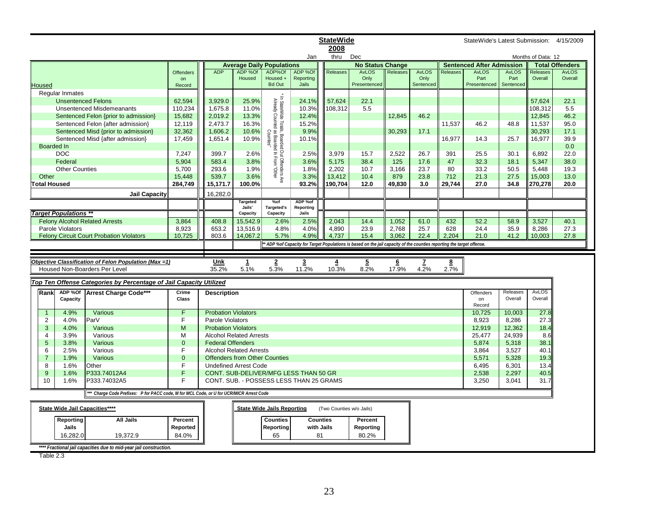|                     |                              |                                                                                      |              |                            |                                         |                                                                                             |                         | <b>StateWide</b>         |                                                                                                                       |                 |                   |                 | StateWide's Latest Submission: 4/15/2009 |                   |                    |                        |
|---------------------|------------------------------|--------------------------------------------------------------------------------------|--------------|----------------------------|-----------------------------------------|---------------------------------------------------------------------------------------------|-------------------------|--------------------------|-----------------------------------------------------------------------------------------------------------------------|-----------------|-------------------|-----------------|------------------------------------------|-------------------|--------------------|------------------------|
|                     |                              |                                                                                      |              |                            |                                         |                                                                                             |                         | 2008                     |                                                                                                                       |                 |                   |                 |                                          |                   |                    |                        |
|                     |                              |                                                                                      |              |                            |                                         |                                                                                             | Jan                     | thru                     | Dec                                                                                                                   |                 |                   |                 |                                          |                   | Months of Data: 12 |                        |
|                     |                              |                                                                                      |              |                            | <b>Average Daily Populations</b>        |                                                                                             |                         |                          | <b>No Status Change</b>                                                                                               |                 |                   |                 | <b>Sentenced After Admission</b>         |                   |                    | <b>Total Offenders</b> |
|                     |                              |                                                                                      | Offenders    | <b>ADP</b>                 | ADP %Of                                 | ADP%Of                                                                                      | ADP %Of                 | Releases                 | <b>AvLOS</b>                                                                                                          | Releases        | <b>AvLOS</b>      | <b>Releases</b> | <b>AvLOS</b>                             | <b>AvLOS</b>      | Releases           | <b>AvLOS</b>           |
| <b>Housed</b>       |                              |                                                                                      | on<br>Record |                            | Housed                                  | Housed +<br><b>Bd Out</b>                                                                   | Reporting<br>Jails      |                          | Only<br>Presentenced                                                                                                  |                 | Only<br>Sentenced |                 | Part<br>Presentenced                     | Part<br>Sentenced | Overall            | Overall                |
|                     | <b>Reqular Inmates</b>       |                                                                                      |              |                            |                                         |                                                                                             |                         |                          |                                                                                                                       |                 |                   |                 |                                          |                   |                    |                        |
|                     | <b>Unsentenced Felons</b>    |                                                                                      | 62,594       | 3,929.0                    | 25.9%                                   |                                                                                             | 24.1%                   | 57,624                   | 22.1                                                                                                                  |                 |                   |                 |                                          |                   | 57,624             | 22.1                   |
|                     |                              | Unsentenced Misdemeanants                                                            | 110,234      | 1,675.8                    | 11.0%                                   | In StateWide Totals, Boarded Out Offenders Are<br>Already Counted as Boarded In From "Other | 10.3%                   | 108,312                  | 5.5                                                                                                                   |                 |                   |                 |                                          |                   | 108,312            | 5.5                    |
|                     |                              | Sentenced Felon {prior to admission}                                                 | 15,682       | 2,019.2                    | 13.3%                                   |                                                                                             | 12.4%                   |                          |                                                                                                                       | 12.845          | 46.2              |                 |                                          |                   | 12,845             | 46.2                   |
|                     |                              | Sentenced Felon {after admission}                                                    | 12,119       | 2,473.7                    | 16.3%                                   |                                                                                             | 15.2%                   |                          |                                                                                                                       |                 |                   | 11,537          | 46.2                                     | 48.8              | 11,537             | 95.0                   |
|                     |                              | Sentenced Misd {prior to admission}                                                  | 32,362       | 1,606.2                    | 10.6%                                   |                                                                                             | 9.9%                    |                          |                                                                                                                       | 30,293          | 17.1              |                 |                                          |                   | 30,293             | 17.1                   |
|                     |                              | Sentenced Misd {after admission}                                                     | 17,459       | 1,651.4                    | 10.9%                                   | Counties                                                                                    | 10.1%                   |                          |                                                                                                                       |                 |                   | 16,977          | 14.3                                     | 25.7              | 16,977             | 39.9                   |
|                     | Boarded In                   |                                                                                      |              |                            |                                         |                                                                                             |                         |                          |                                                                                                                       |                 |                   |                 |                                          |                   |                    | 0.0                    |
|                     | <b>DOC</b>                   |                                                                                      | 7,247        | 399.7                      | 2.6%                                    |                                                                                             | 2.5%                    | 3,979                    | 15.7                                                                                                                  | 2,522           | 26.7              | 391             | 25.5                                     | 30.1              | 6,892              | 22.0                   |
|                     | Federal                      |                                                                                      | 5,904        | 583.4                      | 3.8%                                    |                                                                                             | 3.6%                    | 5,175                    | 38.4                                                                                                                  | 125             | 17.6              | 47              | 32.3                                     | 18.1              | 5,347              | 38.0                   |
|                     | <b>Other Counties</b>        |                                                                                      | 5,700        | 293.6                      | 1.9%                                    |                                                                                             | 1.8%                    | 2,202                    | 10.7                                                                                                                  | 3,166           | 23.7              | 80              | 33.2                                     | 50.5              | 5,448              | 19.3                   |
| Other               |                              |                                                                                      | 15,448       | 539.7                      | 3.6%                                    |                                                                                             | 3.3%                    | 13,412                   | 10.4                                                                                                                  | 879             | 23.8              | 712             | 21.3                                     | 27.5              | 15,003             | 13.0                   |
| <b>Total Housed</b> |                              |                                                                                      | 284,749      | 15,171.7                   | 100.0%                                  |                                                                                             | 93.2%                   | 190,704                  | 12.0                                                                                                                  | 49,830          | 3.0               | 29,744          | 27.0                                     | 34.8              | 270,278            | 20.0                   |
|                     |                              |                                                                                      |              |                            |                                         |                                                                                             |                         |                          |                                                                                                                       |                 |                   |                 |                                          |                   |                    |                        |
|                     |                              | <b>Jail Capacity</b>                                                                 |              | 16,282.0                   |                                         |                                                                                             |                         |                          |                                                                                                                       |                 |                   |                 |                                          |                   |                    |                        |
|                     |                              |                                                                                      |              |                            | Targeted<br>Jails'                      | %of<br><b>Targeted's</b>                                                                    | ADP %of<br>Reporting    |                          |                                                                                                                       |                 |                   |                 |                                          |                   |                    |                        |
|                     | <b>Target Populations **</b> |                                                                                      |              |                            | Capacity                                | Capacity                                                                                    | Jails                   |                          |                                                                                                                       |                 |                   |                 |                                          |                   |                    |                        |
|                     |                              | <b>Felony Alcohol Related Arrests</b>                                                | 3,864        | 408.8                      | 15,542.9                                | 2.6%                                                                                        | 2.5%                    | 2,043                    | 14.4                                                                                                                  | 1,052           | 61.0              | 432             | 52.2                                     | 58.9              | 3,527              | 40.1                   |
|                     | Parole Violators             |                                                                                      | 8,923        | 653.2                      | 13,516.9                                | 4.8%                                                                                        | 4.0%                    | 4,890                    | 23.9                                                                                                                  | 2,768           | 25.7              | 628             | 24.4                                     | 35.9              | 8,286              | 27.3                   |
|                     |                              | <b>Felony Circuit Court Probation Violators</b>                                      | 10,725       | 803.6                      | 14,067.2                                | 5.7%                                                                                        | 4.9%                    | 4,737                    | 15.4                                                                                                                  | 3,062           | 22.4              | 2,204           | 21.0                                     | 41.2              | 10,003             | 27.8                   |
|                     |                              |                                                                                      |              |                            |                                         |                                                                                             |                         |                          | * ADP %of Capacity for Target Populations is based on the jail capacity of the counties reporting the target offense. |                 |                   |                 |                                          |                   |                    |                        |
|                     |                              |                                                                                      |              |                            |                                         |                                                                                             |                         |                          |                                                                                                                       |                 |                   |                 |                                          |                   |                    |                        |
|                     |                              | Objective Classification of Felon Population (Max =1)                                |              | Unk                        | $\mathbf{1}$                            | $\overline{2}$                                                                              | $\overline{\mathbf{3}}$ | 4                        | 5                                                                                                                     | $6\overline{6}$ | z                 | <u>8</u>        |                                          |                   |                    |                        |
|                     |                              | Housed Non-Boarders Per Level                                                        |              | 35.2%                      | 5.1%                                    | 5.3%                                                                                        | 11.2%                   | 10.3%                    | 8.2%                                                                                                                  | 17.9%           | 4.2%              | 2.7%            |                                          |                   |                    |                        |
|                     |                              |                                                                                      |              |                            |                                         |                                                                                             |                         |                          |                                                                                                                       |                 |                   |                 |                                          |                   |                    |                        |
|                     |                              | Top Ten Offense Categories by Percentage of Jail Capacity Utilized                   |              |                            |                                         |                                                                                             |                         |                          |                                                                                                                       |                 |                   |                 |                                          |                   |                    |                        |
| Rank                | ADP %Of                      | Arrest Charge Code***                                                                | Crime        | <b>Description</b>         |                                         |                                                                                             |                         |                          |                                                                                                                       |                 |                   |                 | Offenders                                | Releases          | <b>AvLOS</b>       |                        |
|                     | Capacity                     |                                                                                      | Class        |                            |                                         |                                                                                             |                         |                          |                                                                                                                       |                 |                   |                 | on                                       | Overall           | Overall            |                        |
|                     |                              |                                                                                      |              |                            |                                         |                                                                                             |                         |                          |                                                                                                                       |                 |                   |                 | Record                                   |                   |                    |                        |
| $\mathbf{1}$        | 4.9%                         | Various                                                                              | F            | <b>Probation Violators</b> |                                         |                                                                                             |                         |                          |                                                                                                                       |                 |                   |                 | 10,725                                   | 10,003            | 27.8               |                        |
| $\overline{2}$      | 4.0%                         | ParV                                                                                 | F.           | Parole Violators           |                                         |                                                                                             |                         |                          |                                                                                                                       |                 |                   |                 | 8,923                                    | 8,286             | 27.3               |                        |
| 3                   | 4.0%                         | Various                                                                              | M            | <b>Probation Violators</b> |                                         |                                                                                             |                         |                          |                                                                                                                       |                 |                   |                 | 12,919                                   | 12,362            | 18.4               |                        |
| 4                   | 3.9%                         | Various                                                                              | м            |                            | <b>Alcohol Related Arrests</b>          |                                                                                             |                         |                          |                                                                                                                       |                 |                   |                 | 25,477                                   | 24,939            | 8.6                |                        |
| 5                   | 3.8%                         | Various                                                                              | $\mathbf{0}$ | <b>Federal Offenders</b>   |                                         |                                                                                             |                         |                          |                                                                                                                       |                 |                   |                 | 5,874                                    | 5,318             | 38.1               |                        |
| 6                   | 2.5%                         | Various                                                                              | F            |                            | <b>Alcohol Related Arrests</b>          |                                                                                             |                         |                          |                                                                                                                       |                 |                   |                 | 3,864                                    | 3,527             | 40.1               |                        |
| $\overline{7}$      | 1.9%                         | <b>Various</b>                                                                       | $\mathbf{0}$ |                            | <b>Offenders from Other Counties</b>    |                                                                                             |                         |                          |                                                                                                                       |                 |                   |                 | 5,571                                    | 5,328             | 19.3               |                        |
| 8                   | 1.6%                         | Other                                                                                | F.           |                            | <b>Undefined Arrest Code</b>            |                                                                                             |                         |                          |                                                                                                                       |                 |                   |                 | 6,495                                    | 6,301             | 13.4               |                        |
| 9                   | 1.6%                         | P333.74012A4                                                                         | F            |                            | CONT. SUB-DELIVER/MFG LESS THAN 50 GR   |                                                                                             |                         |                          |                                                                                                                       |                 |                   |                 | 2,538                                    | 2,297             | 40.5               |                        |
| 10                  | 1.6%                         | P333.74032A5                                                                         | F.           |                            | CONT. SUB. - POSSESS LESS THAN 25 GRAMS |                                                                                             |                         |                          |                                                                                                                       |                 |                   |                 | 3,250                                    | 3,041             | 31.7               |                        |
|                     |                              |                                                                                      |              |                            |                                         |                                                                                             |                         |                          |                                                                                                                       |                 |                   |                 |                                          |                   |                    |                        |
|                     |                              | Charge Code Prefixes: P for PACC code, M for MCL Code, or U for UCR/MICR Arrest Code |              |                            |                                         |                                                                                             |                         |                          |                                                                                                                       |                 |                   |                 |                                          |                   |                    |                        |
|                     |                              | State Wide Jail Capacities****                                                       |              |                            |                                         | <b>State Wide Jails Reporting</b>                                                           |                         | (Two Counties w/o Jails) |                                                                                                                       |                 |                   |                 |                                          |                   |                    |                        |
|                     |                              |                                                                                      |              |                            |                                         |                                                                                             |                         |                          |                                                                                                                       |                 |                   |                 |                                          |                   |                    |                        |
|                     |                              |                                                                                      |              |                            |                                         |                                                                                             |                         |                          |                                                                                                                       |                 |                   |                 |                                          |                   |                    |                        |
|                     | Reporting                    | <b>All Jails</b>                                                                     | Percent      |                            |                                         | <b>Counties</b>                                                                             | <b>Counties</b>         |                          | Percent                                                                                                               |                 |                   |                 |                                          |                   |                    |                        |
|                     | Jails                        |                                                                                      | Reported     |                            |                                         | Reporting                                                                                   | with Jails              |                          | Reporting                                                                                                             |                 |                   |                 |                                          |                   |                    |                        |
|                     | 16,282.0                     | 19,372.9                                                                             | 84.0%        |                            |                                         | 65                                                                                          | 81                      |                          | 80.2%                                                                                                                 |                 |                   |                 |                                          |                   |                    |                        |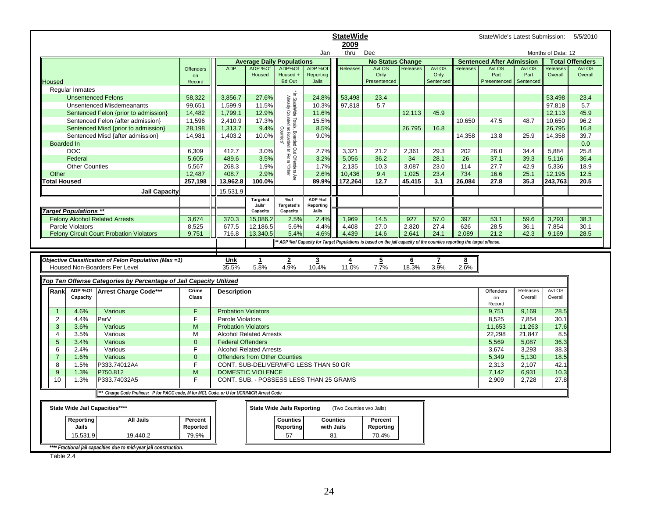|                              |                                                                                         |                  |                            |                                             |                                                                                             |                                         | <b>StateWide</b>         |                                                                                                                       |                 |              |                         | StateWide's Latest Submission:                   |              |                    | 5/5/2010                               |
|------------------------------|-----------------------------------------------------------------------------------------|------------------|----------------------------|---------------------------------------------|---------------------------------------------------------------------------------------------|-----------------------------------------|--------------------------|-----------------------------------------------------------------------------------------------------------------------|-----------------|--------------|-------------------------|--------------------------------------------------|--------------|--------------------|----------------------------------------|
|                              |                                                                                         |                  |                            |                                             |                                                                                             |                                         | 2009                     |                                                                                                                       |                 |              |                         |                                                  |              |                    |                                        |
|                              |                                                                                         |                  |                            |                                             |                                                                                             | Jan                                     | thru                     | Dec                                                                                                                   |                 |              |                         |                                                  |              | Months of Data: 12 |                                        |
|                              |                                                                                         | <b>Offenders</b> | <b>ADP</b>                 | <b>Average Daily Populations</b><br>ADP %Of | ADP%Of                                                                                      | ADP %Of                                 | Releases                 | <b>No Status Change</b><br><b>AvLOS</b>                                                                               | Releases        | <b>AvLOS</b> | Releases                | <b>Sentenced After Admission</b><br><b>AvLOS</b> | <b>AvLOS</b> | Releases           | <b>Total Offenders</b><br><b>AvLOS</b> |
|                              |                                                                                         | on               |                            | Housed                                      | Housed +                                                                                    | Reporting                               |                          | Only                                                                                                                  |                 | Only         |                         | Part                                             | Part         | Overall            | Overall                                |
| Housed                       |                                                                                         | Record           |                            |                                             | <b>Bd Out</b>                                                                               | Jails                                   |                          | Presentenced                                                                                                          |                 | Sentenced    |                         | Presentenced                                     | Sentenced    |                    |                                        |
| <b>Regular Inmates</b>       |                                                                                         |                  |                            |                                             |                                                                                             |                                         |                          |                                                                                                                       |                 |              |                         |                                                  |              |                    |                                        |
|                              | <b>Unsentenced Felons</b>                                                               | 58,322           | 3.856.7                    | 27.6%                                       |                                                                                             | 24.8%                                   | 53,498                   | 23.4                                                                                                                  |                 |              |                         |                                                  |              | 53.498             | 23.4                                   |
|                              | <b>Unsentenced Misdemeanants</b>                                                        | 99,651           | 1,599.9                    | 11.5%                                       |                                                                                             | 10.3%                                   | 97,818                   | 5.7                                                                                                                   |                 |              |                         |                                                  |              | 97,818             | 5.7                                    |
|                              | Sentenced Felon {prior to admission}                                                    | 14,482           | 1,799.1                    | 12.9%                                       |                                                                                             | 11.6%                                   |                          |                                                                                                                       | 12,113          | 45.9         |                         |                                                  |              | 12,113             | 45.9                                   |
|                              | Sentenced Felon {after admission}                                                       | 11,596           | 2,410.9                    | 17.3%                                       |                                                                                             | 15.5%                                   |                          |                                                                                                                       |                 |              | 10,650                  | 47.5                                             | 48.7         | 10,650             | 96.2                                   |
|                              | Sentenced Misd {prior to admission}                                                     | 28,198           | 1,313.7                    | 9.4%                                        | Counties'                                                                                   | 8.5%                                    |                          |                                                                                                                       | 26,795          | 16.8         |                         |                                                  |              | 26,795             | 16.8                                   |
|                              | Sentenced Misd {after admission}                                                        | 14,981           | 1,403.2                    | 10.0%                                       |                                                                                             | 9.0%                                    |                          |                                                                                                                       |                 |              | 14,358                  | 13.8                                             | 25.9         | 14,358             | 39.7                                   |
| <b>Boarded In</b>            |                                                                                         |                  |                            |                                             |                                                                                             |                                         |                          |                                                                                                                       |                 |              |                         |                                                  |              |                    | 0.0                                    |
| <b>DOC</b>                   |                                                                                         | 6,309            | 412.7                      | 3.0%                                        |                                                                                             | 2.7%                                    | 3,321                    | 21.2                                                                                                                  | 2,361           | 29.3         | 202                     | 26.0                                             | 34.4         | 5,884              | 25.8                                   |
| Federal                      |                                                                                         | 5,605            | 489.6                      | 3.5%                                        | In StateWide Totals, Boarded Out Offenders Are<br>Already Counted as Boarded In From "Other | 3.2%                                    | 5,056                    | 36.2                                                                                                                  | 34              | 28.1         | 26                      | 37.1                                             | 39.3         | 5,116              | 36.4                                   |
|                              | <b>Other Counties</b>                                                                   | 5,567            | 268.3                      | 1.9%                                        |                                                                                             | 1.7%                                    | 2,135                    | 10.3                                                                                                                  | 3,087           | 23.0         | 114                     | 27.7                                             | 42.9         | 5,336              | 18.9                                   |
| Other                        |                                                                                         | 12,487           | 408.7                      | 2.9%                                        |                                                                                             | 2.6%                                    | 10,436                   | 9.4                                                                                                                   | 1,025           | 23.4         | 734                     | 16.6                                             | 25.1         | 12,195             | 12.5                                   |
| otal Housed                  |                                                                                         | 257,198          | 13,962.8                   | 100.0%                                      |                                                                                             | 89.9%                                   | 172,264                  | 12.7                                                                                                                  | 45,415          | 3.1          | 26,084                  | 27.8                                             | 35.3         | 243,763            | 20.5                                   |
|                              | <b>Jail Capacity</b>                                                                    |                  | 15,531.9                   |                                             |                                                                                             |                                         |                          |                                                                                                                       |                 |              |                         |                                                  |              |                    |                                        |
|                              |                                                                                         |                  |                            | <b>Targeted</b>                             | %of                                                                                         | ADP %of                                 |                          |                                                                                                                       |                 |              |                         |                                                  |              |                    |                                        |
| <b>Target Populations **</b> |                                                                                         |                  |                            | Jails'<br>Capacity                          | Targeted's<br>Capacity                                                                      | Reporting<br>Jails                      |                          |                                                                                                                       |                 |              |                         |                                                  |              |                    |                                        |
|                              | <b>Felony Alcohol Related Arrests</b>                                                   | 3,674            | 370.3                      | 15,086.2                                    | 2.5%                                                                                        | 2.4%                                    | 1,969                    | 14.5                                                                                                                  | 927             | 57.0         | 397                     | 53.1                                             | 59.6         | 3,293              | 38.3                                   |
| Parole Violators             |                                                                                         | 8,525            | 677.5                      | 12,186.5                                    | 5.6%                                                                                        | 4.4%                                    | 4,408                    | 27.0                                                                                                                  | 2,820           | 27.4         | 626                     | 28.5                                             | 36.1         | 7,854              | 30.1                                   |
|                              | <b>Felony Circuit Court Probation Violators</b>                                         | 9,751            | 716.8                      | 13,340.5                                    | 5.4%                                                                                        | 4.6%                                    | 4,439                    | 14.6                                                                                                                  | 2,641           | 24.1         | 2,089                   | 21.2                                             | 42.3         | 9,169              | 28.5                                   |
|                              |                                                                                         |                  |                            |                                             |                                                                                             |                                         |                          | * ADP %of Capacity for Target Populations is based on the jail capacity of the counties reporting the target offense. |                 |              |                         |                                                  |              |                    |                                        |
|                              |                                                                                         |                  |                            |                                             |                                                                                             |                                         |                          |                                                                                                                       |                 |              |                         |                                                  |              |                    |                                        |
|                              |                                                                                         |                  |                            |                                             |                                                                                             |                                         |                          |                                                                                                                       |                 |              |                         |                                                  |              |                    |                                        |
|                              |                                                                                         |                  |                            |                                             |                                                                                             |                                         |                          |                                                                                                                       |                 |              |                         |                                                  |              |                    |                                        |
|                              | Objective Classification of Felon Population (Max =1)                                   |                  | Unk                        | 1                                           | $\overline{2}$                                                                              | $\overline{3}$                          | $\overline{4}$           | $\overline{5}$                                                                                                        | $6\overline{6}$ | 7            | $\overline{\mathbf{8}}$ |                                                  |              |                    |                                        |
|                              | Housed Non-Boarders Per Level                                                           |                  | 35.5%                      | 5.8%                                        | 4.9%                                                                                        | 10.4%                                   | 11.0%                    | 7.7%                                                                                                                  | 18.3%           | 3.9%         | 2.6%                    |                                                  |              |                    |                                        |
|                              | Top Ten Offense Categories by Percentage of Jail Capacity Utilized                      |                  |                            |                                             |                                                                                             |                                         |                          |                                                                                                                       |                 |              |                         |                                                  |              |                    |                                        |
|                              |                                                                                         | Crime            |                            |                                             |                                                                                             |                                         |                          |                                                                                                                       |                 |              |                         |                                                  | Releases     | <b>AvLOS</b>       |                                        |
| ADP %Of<br>Rank<br>Capacity  | Arrest Charge Code***                                                                   | Class            | <b>Description</b>         |                                             |                                                                                             |                                         |                          |                                                                                                                       |                 |              |                         | Offenders<br>on                                  | Overall      | Overall            |                                        |
|                              |                                                                                         |                  |                            |                                             |                                                                                             |                                         |                          |                                                                                                                       |                 |              |                         | Record                                           |              |                    |                                        |
| 4.6%<br>$\mathbf{1}$         | Various                                                                                 | F                | <b>Probation Violators</b> |                                             |                                                                                             |                                         |                          |                                                                                                                       |                 |              |                         | 9,751                                            | 9,169        | 28.5               |                                        |
| $\overline{2}$<br>4.4%       | ParV                                                                                    | F                | Parole Violators           |                                             |                                                                                             |                                         |                          |                                                                                                                       |                 |              |                         | 8,525                                            | 7,854        | 30.1               |                                        |
| 3<br>3.6%                    | Various                                                                                 | M                | <b>Probation Violators</b> |                                             |                                                                                             |                                         |                          |                                                                                                                       |                 |              |                         | 11,653                                           | 11,263       | 17.6               |                                        |
| 3.5%<br>$\overline{4}$       | Various                                                                                 | M                |                            | <b>Alcohol Related Arrests</b>              |                                                                                             |                                         |                          |                                                                                                                       |                 |              |                         | 22,298                                           | 21,847       | 8.5                |                                        |
| 5<br>3.4%                    | Various                                                                                 | $\mathbf 0$      | <b>Federal Offenders</b>   |                                             |                                                                                             |                                         |                          |                                                                                                                       |                 |              |                         | 5,569                                            | 5,087        | 36.3               |                                        |
| 6<br>2.4%                    | Various                                                                                 | F                |                            | <b>Alcohol Related Arrests</b>              |                                                                                             |                                         |                          |                                                                                                                       |                 |              |                         | 3,674                                            | 3,293        | 38.3               |                                        |
| $\overline{7}$<br>1.6%       | Various                                                                                 | $\overline{0}$   |                            | <b>Offenders from Other Counties</b>        |                                                                                             |                                         |                          |                                                                                                                       |                 |              |                         | 5,349                                            | 5,130        | 18.5               |                                        |
| 8<br>1.5%                    | P333.74012A4                                                                            | F                |                            |                                             |                                                                                             | CONT. SUB-DELIVER/MFG LESS THAN 50 GR   |                          |                                                                                                                       |                 |              |                         | 2,313                                            | 2,107        | 42.1               |                                        |
| 9<br>1.3%                    | P750.812                                                                                | M                |                            | <b>DOMESTIC VIOLENCE</b>                    |                                                                                             |                                         |                          |                                                                                                                       |                 |              |                         | 7,142                                            | 6,931        | 10.3               |                                        |
| 10<br>1.3%                   | P333.74032A5                                                                            | F                |                            |                                             |                                                                                             | CONT. SUB. - POSSESS LESS THAN 25 GRAMS |                          |                                                                                                                       |                 |              |                         | 2,909                                            | 2,728        | 27.8               |                                        |
|                              | ** Charge Code Prefixes: P for PACC code, M for MCL Code, or U for UCR/MICR Arrest Code |                  |                            |                                             |                                                                                             |                                         |                          |                                                                                                                       |                 |              |                         |                                                  |              |                    |                                        |
|                              |                                                                                         |                  |                            |                                             | <b>State Wide Jails Reporting</b>                                                           |                                         | (Two Counties w/o Jails) |                                                                                                                       |                 |              |                         |                                                  |              |                    |                                        |
|                              | State Wide Jail Capacities****                                                          |                  |                            |                                             |                                                                                             |                                         |                          |                                                                                                                       |                 |              |                         |                                                  |              |                    |                                        |
| Reporting                    | <b>All Jails</b>                                                                        | Percent          |                            |                                             | <b>Counties</b>                                                                             | <b>Counties</b>                         |                          | Percent                                                                                                               |                 |              |                         |                                                  |              |                    |                                        |
| Jails                        |                                                                                         | Reported         |                            |                                             | Reporting                                                                                   | with Jails                              |                          | Reporting                                                                                                             |                 |              |                         |                                                  |              |                    |                                        |
| 15,531.9                     | 19,440.2                                                                                | 79.9%            |                            |                                             | 57                                                                                          | 81                                      |                          | 70.4%                                                                                                                 |                 |              |                         |                                                  |              |                    |                                        |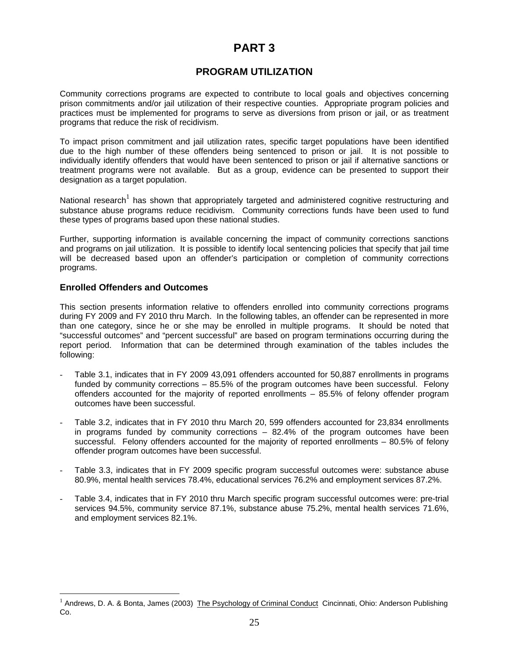# **PART 3**

# **PROGRAM UTILIZATION**

Community corrections programs are expected to contribute to local goals and objectives concerning prison commitments and/or jail utilization of their respective counties. Appropriate program policies and practices must be implemented for programs to serve as diversions from prison or jail, or as treatment programs that reduce the risk of recidivism.

To impact prison commitment and jail utilization rates, specific target populations have been identified due to the high number of these offenders being sentenced to prison or jail. It is not possible to individually identify offenders that would have been sentenced to prison or jail if alternative sanctions or treatment programs were not available. But as a group, evidence can be presented to support their designation as a target population.

National research<sup>1</sup> has shown that appropriately targeted and administered cognitive restructuring and substance abuse programs reduce recidivism. Community corrections funds have been used to fund these types of programs based upon these national studies.

Further, supporting information is available concerning the impact of community corrections sanctions and programs on jail utilization. It is possible to identify local sentencing policies that specify that jail time will be decreased based upon an offender's participation or completion of community corrections programs.

#### **Enrolled Offenders and Outcomes**

 $\overline{a}$ 

This section presents information relative to offenders enrolled into community corrections programs during FY 2009 and FY 2010 thru March. In the following tables, an offender can be represented in more than one category, since he or she may be enrolled in multiple programs. It should be noted that "successful outcomes" and "percent successful" are based on program terminations occurring during the report period. Information that can be determined through examination of the tables includes the following:

- Table 3.1, indicates that in FY 2009 43,091 offenders accounted for 50,887 enrollments in programs funded by community corrections – 85.5% of the program outcomes have been successful. Felony offenders accounted for the majority of reported enrollments – 85.5% of felony offender program outcomes have been successful.
- Table 3.2, indicates that in FY 2010 thru March 20, 599 offenders accounted for 23,834 enrollments in programs funded by community corrections – 82.4% of the program outcomes have been successful. Felony offenders accounted for the majority of reported enrollments – 80.5% of felony offender program outcomes have been successful.
- Table 3.3, indicates that in FY 2009 specific program successful outcomes were: substance abuse 80.9%, mental health services 78.4%, educational services 76.2% and employment services 87.2%.
- Table 3.4, indicates that in FY 2010 thru March specific program successful outcomes were: pre-trial services 94.5%, community service 87.1%, substance abuse 75.2%, mental health services 71.6%, and employment services 82.1%.

<sup>&</sup>lt;sup>1</sup> Andrews, D. A. & Bonta, James (2003) The Psychology of Criminal Conduct Cincinnati, Ohio: Anderson Publishing Co.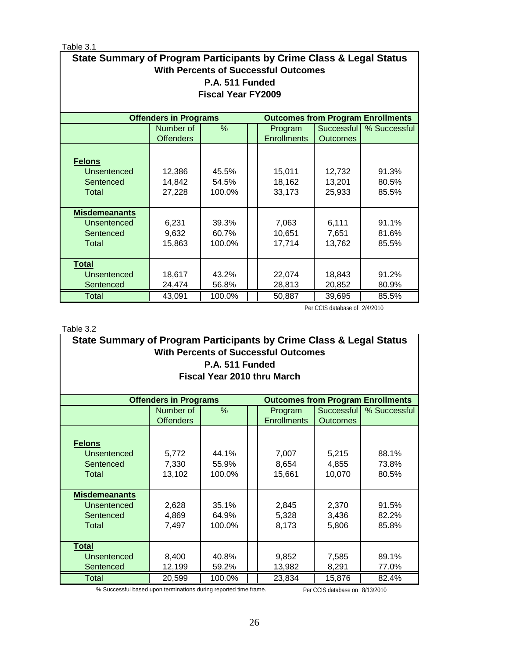Table 3.1

| State Summary of Program Participants by Crime Class & Legal Status<br><b>With Percents of Successful Outcomes</b><br>P.A. 511 Funded<br><b>Fiscal Year FY2009</b> |                                                                                                                                               |                          |  |                            |                            |                                          |  |  |  |  |  |
|--------------------------------------------------------------------------------------------------------------------------------------------------------------------|-----------------------------------------------------------------------------------------------------------------------------------------------|--------------------------|--|----------------------------|----------------------------|------------------------------------------|--|--|--|--|--|
|                                                                                                                                                                    | <b>Offenders in Programs</b>                                                                                                                  |                          |  |                            |                            | <b>Outcomes from Program Enrollments</b> |  |  |  |  |  |
|                                                                                                                                                                    | Number of                                                                                                                                     | %                        |  | Program                    | Successful                 | % Successful                             |  |  |  |  |  |
|                                                                                                                                                                    | <b>Offenders</b>                                                                                                                              |                          |  | <b>Enrollments</b>         | <b>Outcomes</b>            |                                          |  |  |  |  |  |
| <b>Felons</b><br><b>Unsentenced</b><br>Sentenced<br>Total                                                                                                          | 12,386<br>14,842<br>27,228                                                                                                                    | 45.5%<br>54.5%<br>100.0% |  | 15,011<br>18,162<br>33,173 | 12,732<br>13,201<br>25,933 | 91.3%<br>80.5%<br>85.5%                  |  |  |  |  |  |
| <b>Misdemeanants</b><br>Unsentenced<br>Sentenced<br>Total                                                                                                          | 6,231<br>9,632<br>15,863                                                                                                                      | 39.3%<br>60.7%<br>100.0% |  | 7,063<br>10,651<br>17,714  | 6,111<br>7,651<br>13,762   | 91.1%<br>81.6%<br>85.5%                  |  |  |  |  |  |
| <b>Total</b><br><b>Unsentenced</b><br>Sentenced<br><b>Total</b>                                                                                                    | 18,617<br>43.2%<br>18,843<br>91.2%<br>22,074<br>28,813<br>20,852<br>24,474<br>56.8%<br>80.9%<br>43,091<br>85.5%<br>100.0%<br>50,887<br>39,695 |                          |  |                            |                            |                                          |  |  |  |  |  |

Per CCIS database of 2/4/2010

Table 3.2

|                                                                          | State Summary of Program Participants by Crime Class & Legal Status |        |  |                    |                 |              |  |  |  |  |
|--------------------------------------------------------------------------|---------------------------------------------------------------------|--------|--|--------------------|-----------------|--------------|--|--|--|--|
| <b>With Percents of Successful Outcomes</b>                              |                                                                     |        |  |                    |                 |              |  |  |  |  |
| P.A. 511 Funded                                                          |                                                                     |        |  |                    |                 |              |  |  |  |  |
| <b>Fiscal Year 2010 thru March</b>                                       |                                                                     |        |  |                    |                 |              |  |  |  |  |
| <b>Offenders in Programs</b><br><b>Outcomes from Program Enrollments</b> |                                                                     |        |  |                    |                 |              |  |  |  |  |
|                                                                          | Number of                                                           | $\%$   |  | Program            | Successful      | % Successful |  |  |  |  |
|                                                                          | <b>Offenders</b>                                                    |        |  | <b>Enrollments</b> | <b>Outcomes</b> |              |  |  |  |  |
|                                                                          |                                                                     |        |  |                    |                 |              |  |  |  |  |
| <b>Felons</b>                                                            |                                                                     |        |  |                    |                 |              |  |  |  |  |
| Unsentenced                                                              | 5,772                                                               | 44.1%  |  | 7,007              | 5,215           | 88.1%        |  |  |  |  |
| Sentenced                                                                | 7,330                                                               | 55.9%  |  | 8,654              | 4,855           | 73.8%        |  |  |  |  |
| Total                                                                    | 13,102                                                              | 100.0% |  | 15,661             | 10,070          | 80.5%        |  |  |  |  |
|                                                                          |                                                                     |        |  |                    |                 |              |  |  |  |  |
| <b>Misdemeanants</b><br>Unsentenced                                      | 2,628                                                               | 35.1%  |  | 2,845              | 2,370           | 91.5%        |  |  |  |  |
| Sentenced                                                                | 4,869                                                               | 64.9%  |  | 5,328              | 3,436           | 82.2%        |  |  |  |  |
| Total                                                                    | 7,497                                                               | 100.0% |  | 8,173              | 5,806           | 85.8%        |  |  |  |  |
|                                                                          |                                                                     |        |  |                    |                 |              |  |  |  |  |
| <b>Total</b>                                                             |                                                                     |        |  |                    |                 |              |  |  |  |  |
| Unsentenced                                                              | 8,400                                                               | 40.8%  |  | 9,852              | 7,585           | 89.1%        |  |  |  |  |
| Sentenced                                                                | 12,199                                                              | 59.2%  |  | 13,982             | 8,291           | 77.0%        |  |  |  |  |
| Total                                                                    | 20,599                                                              | 100.0% |  | 23,834             | 15,876          | 82.4%        |  |  |  |  |

% Successful based upon terminations during reported time frame. Per CCIS database on 8/13/2010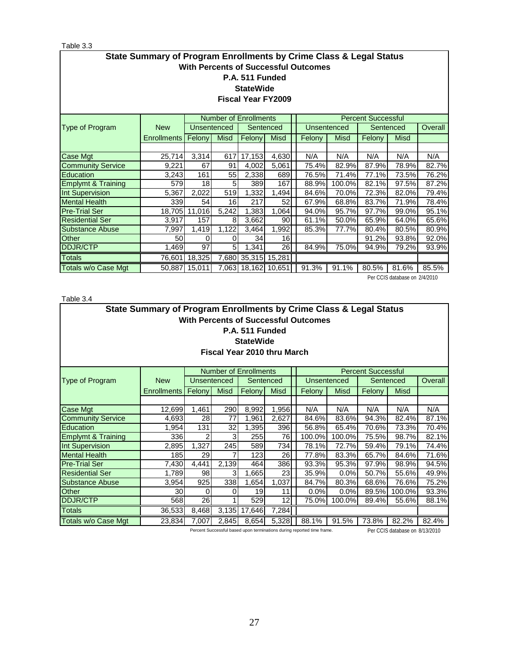# Table 3.3

| i abie p.p                                                                                                                                               |             |               |                    |                              |                     |                                 |        |             |                           |             |       |
|----------------------------------------------------------------------------------------------------------------------------------------------------------|-------------|---------------|--------------------|------------------------------|---------------------|---------------------------------|--------|-------------|---------------------------|-------------|-------|
| State Summary of Program Enrollments by Crime Class & Legal Status<br><b>With Percents of Successful Outcomes</b><br>P.A. 511 Funded<br><b>StateWide</b> |             |               |                    |                              |                     |                                 |        |             |                           |             |       |
| <b>Fiscal Year FY2009</b>                                                                                                                                |             |               |                    |                              |                     |                                 |        |             |                           |             |       |
|                                                                                                                                                          |             |               |                    | <b>Number of Enrollments</b> |                     |                                 |        |             | <b>Percent Successful</b> |             |       |
| Type of Program                                                                                                                                          | <b>New</b>  |               | <b>Unsentenced</b> |                              | Sentenced           | <b>Unsentenced</b><br>Sentenced |        |             | Overall                   |             |       |
|                                                                                                                                                          | Enrollments | Felony        | <b>Misd</b>        | Felony                       | <b>Misd</b>         |                                 | Felony | <b>Misd</b> | Felony                    | <b>Misd</b> |       |
|                                                                                                                                                          |             |               |                    |                              |                     |                                 |        |             |                           |             |       |
| Case Mgt                                                                                                                                                 | 25,714      | 3,314         | 617                | 17,153                       | 4,630               |                                 | N/A    | N/A         | N/A                       | N/A         | N/A   |
| <b>Community Service</b>                                                                                                                                 | 9,221       | 67            | 91                 | 4,002                        | 5,061               |                                 | 75.4%  | 82.9%       | 87.9%                     | 78.9%       | 82.7% |
| Education                                                                                                                                                | 3,243       | 161           | 55                 | 2,338                        | 689                 |                                 | 76.5%  | 71.4%       | 77.1%                     | 73.5%       | 76.2% |
| <b>Emplymt &amp; Training</b>                                                                                                                            | 579         | 18            | 5                  | 389                          | 167                 |                                 | 88.9%  | 100.0%      | 82.1%                     | 97.5%       | 87.2% |
| <b>Int Supervision</b>                                                                                                                                   | 5,367       | 2,022         | 519                | 1,332                        | 1,494               |                                 | 84.6%  | 70.0%       | 72.3%                     | 82.0%       | 79.4% |
| <b>Mental Health</b>                                                                                                                                     | 339         | 54            | 16                 | 217                          | 52                  |                                 | 67.9%  | 68.8%       | 83.7%                     | 71.9%       | 78.4% |
| <b>Pre-Trial Ser</b>                                                                                                                                     | 18,705      | 11,016        | 5,242              | 1,383                        | 1,064               |                                 | 94.0%  | 95.7%       | 97.7%                     | 99.0%       | 95.1% |
| Residential Ser                                                                                                                                          | 3,917       | 157           | 81                 | 3,662                        | 90                  |                                 | 61.1%  | 50.0%       | 65.9%                     | 64.0%       | 65.6% |
| <b>Substance Abuse</b>                                                                                                                                   | 7,997       | 1,419         | 1,122              | 3,464                        | 1,992               |                                 | 85.3%  | 77.7%       | 80.4%                     | 80.5%       | 80.9% |
| Other                                                                                                                                                    | 50          | O             | O                  | 34                           | 16 <sup>1</sup>     |                                 |        |             | 91.2%                     | 93.8%       | 92.0% |
| <b>DDJR/CTP</b>                                                                                                                                          | 1,469       | 97            | 5                  | 1,341                        | 26                  |                                 | 84.9%  | 75.0%       | 94.9%                     | 79.2%       | 93.9% |
| <b>Totals</b>                                                                                                                                            |             | 76,601 18,325 |                    |                              | 7,680 35,315 15,281 |                                 |        |             |                           |             |       |

Totals w/o Case Mgt | 50,887 | 15,011 | 7,063 | 18,162 | 10,651 | 91.3% | 91.1% | 80.5% | 81.6% | 85.5% Per CCIS database on 2/4/2010

Table 3.4

|                                                                | State Summary of Program Enrollments by Crime Class & Legal Status |             |             |           |             |                                                                        |        |       |                                |         |  |
|----------------------------------------------------------------|--------------------------------------------------------------------|-------------|-------------|-----------|-------------|------------------------------------------------------------------------|--------|-------|--------------------------------|---------|--|
| <b>With Percents of Successful Outcomes</b><br>P.A. 511 Funded |                                                                    |             |             |           |             |                                                                        |        |       |                                |         |  |
| <b>StateWide</b>                                               |                                                                    |             |             |           |             |                                                                        |        |       |                                |         |  |
| Fiscal Year 2010 thru March                                    |                                                                    |             |             |           |             |                                                                        |        |       |                                |         |  |
|                                                                |                                                                    |             |             |           |             |                                                                        |        |       |                                |         |  |
| <b>Number of Enrollments</b><br><b>Percent Successful</b>      |                                                                    |             |             |           |             |                                                                        |        |       |                                |         |  |
| <b>Type of Program</b>                                         | <b>New</b>                                                         | Unsentenced |             | Sentenced |             | <b>Unsentenced</b>                                                     |        |       | Sentenced                      | Overall |  |
|                                                                | Enrollments                                                        | Felony      | <b>Misd</b> | Felony    | <b>Misd</b> | Felony<br><b>Misd</b><br>Felony<br>Misd                                |        |       |                                |         |  |
|                                                                |                                                                    |             |             |           |             |                                                                        |        |       |                                |         |  |
| <b>Case Mgt</b>                                                | 12,699                                                             | 1,461       | 290         | 8,992     | 1,956       | N/A                                                                    | N/A    | N/A   | N/A                            | N/A     |  |
| <b>Community Service</b>                                       | 4,693                                                              | 28          | 77          | 1,961     | 2,627       | 84.6%                                                                  | 83.6%  | 94.3% | 82.4%                          | 87.1%   |  |
| Education                                                      | 1,954                                                              | 131         | 32          | 1,395     | 396         | 56.8%                                                                  | 65.4%  | 70.6% | 73.3%                          | 70.4%   |  |
| <b>Emplymt &amp; Training</b>                                  | 336                                                                | 2           | 3           | 255       | 76          | 100.0%                                                                 | 100.0% | 75.5% | 98.7%                          | 82.1%   |  |
| Int Supervision                                                | 2,895                                                              | 1,327       | 245         | 589       | 734         | 78.1%                                                                  | 72.7%  | 59.4% | 79.1%                          | 74.4%   |  |
| <b>Mental Health</b>                                           | <b>185</b>                                                         | 29          |             | 123       | 26          | 77.8%                                                                  | 83.3%  | 65.7% | 84.6%                          | 71.6%   |  |
| <b>Pre-Trial Ser</b>                                           | 7,430                                                              | 4,441       | 2,139       | 464       | 386         | 93.3%                                                                  | 95.3%  | 97.9% | 98.9%                          | 94.5%   |  |
| <b>Residential Ser</b>                                         | 1,789                                                              | 98          | 3           | 1,665     | 23          | 35.9%                                                                  | 0.0%   | 50.7% | 55.6%                          | 49.9%   |  |
| Substance Abuse                                                | 3,954                                                              | 925         | 338         | 1,654     | 1,037       | 84.7%                                                                  | 80.3%  | 68.6% | 76.6%                          | 75.2%   |  |
| Other                                                          | 30l                                                                | 0           | 0           | 19        | 11          | 0.0%                                                                   | 0.0%   | 89.5% | 100.0%                         | 93.3%   |  |
| <b>DDJR/CTP</b>                                                | 568                                                                | 26          |             | 529       | 12          | 75.0%                                                                  | 100.0% | 89.4% | 55.6%                          | 88.1%   |  |
| Totals                                                         | 36,533                                                             | 8,468       | 3.135       | 17,646    | 7,284       |                                                                        |        |       |                                |         |  |
| Totals w/o Case Mgt                                            | 23,834                                                             | 7,007       | 2,845       | 8,654     | 5,328       | 88.1%                                                                  | 91.5%  | 73.8% | 82.2%                          | 82.4%   |  |
|                                                                |                                                                    |             |             |           |             | Percent Successful based upon terminations during reported time frame. |        |       | Per CCIS database on 8/13/2010 |         |  |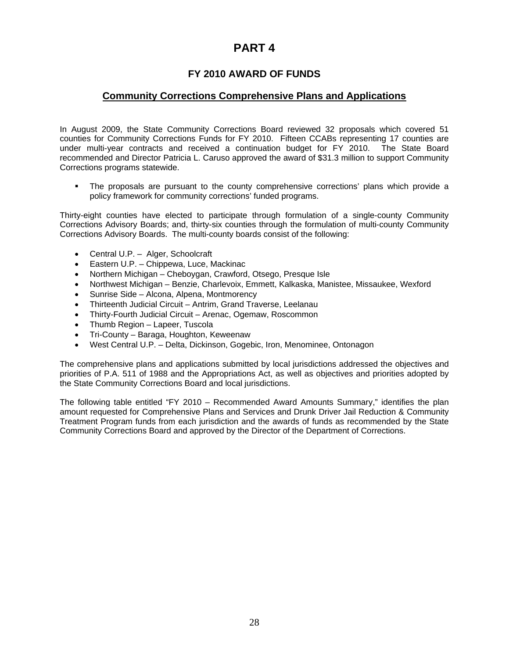# **PART 4**

# **FY 2010 AWARD OF FUNDS**

# **Community Corrections Comprehensive Plans and Applications**

In August 2009, the State Community Corrections Board reviewed 32 proposals which covered 51 counties for Community Corrections Funds for FY 2010. Fifteen CCABs representing 17 counties are under multi-year contracts and received a continuation budget for FY 2010. The State Board recommended and Director Patricia L. Caruso approved the award of \$31.3 million to support Community Corrections programs statewide.

 The proposals are pursuant to the county comprehensive corrections' plans which provide a policy framework for community corrections' funded programs.

Thirty-eight counties have elected to participate through formulation of a single-county Community Corrections Advisory Boards; and, thirty-six counties through the formulation of multi-county Community Corrections Advisory Boards. The multi-county boards consist of the following:

- Central U.P. Alger, Schoolcraft
- Eastern U.P. Chippewa, Luce, Mackinac
- Northern Michigan Cheboygan, Crawford, Otsego, Presque Isle
- Northwest Michigan Benzie, Charlevoix, Emmett, Kalkaska, Manistee, Missaukee, Wexford
- Sunrise Side Alcona, Alpena, Montmorency
- Thirteenth Judicial Circuit Antrim, Grand Traverse, Leelanau
- Thirty-Fourth Judicial Circuit Arenac, Ogemaw, Roscommon
- Thumb Region Lapeer, Tuscola
- Tri-County Baraga, Houghton, Keweenaw
- West Central U.P. Delta, Dickinson, Gogebic, Iron, Menominee, Ontonagon

The comprehensive plans and applications submitted by local jurisdictions addressed the objectives and priorities of P.A. 511 of 1988 and the Appropriations Act, as well as objectives and priorities adopted by the State Community Corrections Board and local jurisdictions.

The following table entitled "FY 2010 – Recommended Award Amounts Summary," identifies the plan amount requested for Comprehensive Plans and Services and Drunk Driver Jail Reduction & Community Treatment Program funds from each jurisdiction and the awards of funds as recommended by the State Community Corrections Board and approved by the Director of the Department of Corrections.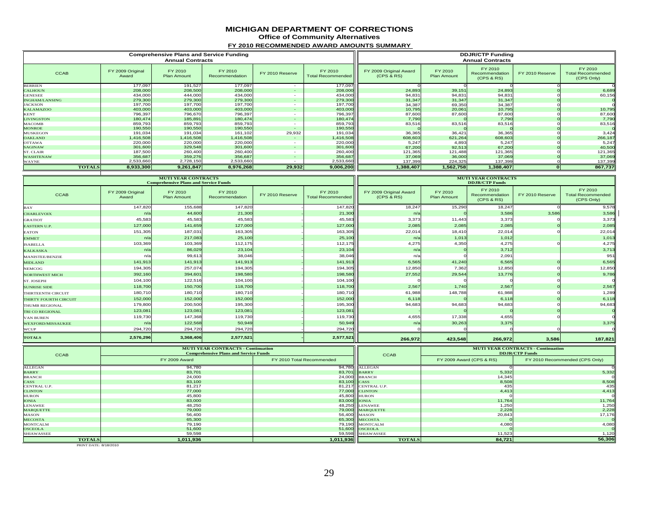#### **MICHIGAN DEPARTMENT OF CORRECTIONS**

**Office of Community Alternatives**

**FY 2010 RECOMMENDED AWARD AMOUNTS SUMMARY** 

|                       |                           | <b>Comprehensive Plans and Service Funding</b><br><b>Annual Contracts</b> |                           |                          |                                     | <b>DDJR/CTP Funding</b><br><b>Annual Contracts</b> |                               |                                         |                 |                                                   |  |
|-----------------------|---------------------------|---------------------------------------------------------------------------|---------------------------|--------------------------|-------------------------------------|----------------------------------------------------|-------------------------------|-----------------------------------------|-----------------|---------------------------------------------------|--|
| <b>CCAB</b>           | FY 2009 Original<br>Award | FY 2010<br><b>Plan Amount</b>                                             | FY 2010<br>Recommendation | FY 2010 Reserve          | FY 2010<br><b>Total Recommended</b> | FY 2009 Original Award<br>(CPS & RS)               | FY 2010<br><b>Plan Amount</b> | FY 2010<br>Recommendation<br>(CPS & RS) | FY 2010 Reserve | FY 2010<br><b>Total Recommended</b><br>(CPS Only) |  |
| <b>BERRIEN</b>        | 177,097                   | 191,527                                                                   | 177,097                   | $\overline{\phantom{a}}$ | 177,097                             |                                                    |                               |                                         |                 |                                                   |  |
| <b>CALHOUN</b>        | 208,000                   | 208,500                                                                   | 208,000                   | $\sim$                   | 208,000                             | 24,893                                             | 39,151                        | 24,893                                  |                 | 6,689                                             |  |
| <b>GENESEE</b>        | 434,000                   | 444,000                                                                   | 434,000                   | $\overline{\phantom{a}}$ | 434,000                             | 94,831                                             | 94,831                        | 94,831                                  |                 | 60,156                                            |  |
| <b>INGHAM/LANSING</b> | 279,300                   | 279,300                                                                   | 279,300                   | $\sim$                   | 279,300                             | 31,347                                             | 31,347                        | 31,347                                  |                 |                                                   |  |
| <b>JACKSON</b>        | 197,700                   | 197,700                                                                   | 197,700                   | $\overline{\phantom{a}}$ | 197,700                             | 34,387                                             | 69,350                        | 34,387                                  |                 |                                                   |  |
| <b>KALAMAZOO</b>      | 403,000                   | 403,000                                                                   | 403,000                   | $\sim$                   | 403,000                             | 10,795                                             | 20,061                        | 10,795                                  |                 | 10,795                                            |  |
| <b>KENT</b>           | 796,397                   | 796,670                                                                   | 796,397                   | $\overline{\phantom{a}}$ | 796,397                             | 87,600                                             | 87,600                        | 87,600                                  |                 | 87,600                                            |  |
| <b>LIVINGSTON</b>     | 180,474                   | 185,891                                                                   | 180,474                   | $\sim$                   | 180,474                             | 7,790                                              |                               | 7,790                                   |                 | 7,790                                             |  |
| MACOMB                | 859,793                   | 859,793                                                                   | 859,793                   | $\overline{\phantom{a}}$ | 859,793                             | 83,516                                             | 83,516                        | 83,516                                  |                 | 83,516                                            |  |
| <b>MONROE</b>         | 190,550                   | 190,550                                                                   | 190,550                   |                          | 190,550                             |                                                    |                               |                                         |                 |                                                   |  |
| <b>MUSKEGON</b>       | 191,034                   | 191,034                                                                   | 161,102                   | 29,932                   | 191,034                             | 36,365                                             | 36,421                        | 36,365                                  |                 | 3,424                                             |  |
| <b>OAKLAND</b>        | 1,416,508                 | 1,416,508                                                                 | 1,416,508                 | $\sim$                   | 1,416,508                           | 608,603                                            | 621,264                       | 608,603                                 |                 | 266,187                                           |  |
| <b>OTTAWA</b>         | 220,000                   | 220,000                                                                   | 220,000                   | $\overline{\phantom{a}}$ | 220,000                             | 5,247                                              | 4,893                         | 5.247                                   |                 | 5,247                                             |  |
| <b>SAGINAW</b>        | 301,600                   | 329,548                                                                   | 301,600                   | $\sim$                   | 301,600                             | 67,200                                             | 92,513                        | 67,200                                  |                 | 40,500                                            |  |
| ST. CLAIR             | 187,500                   | 260,400                                                                   | 260,400                   | $\overline{\phantom{a}}$ | 260,400                             | 121,365                                            | 121,488                       | 121,365                                 |                 | 121,365                                           |  |
| <b>WASHTENAW</b>      | 356,687                   | 359,276                                                                   | 356,687                   | $\sim$                   | 356,687                             | 37,069                                             | 36,000                        | 37,069                                  |                 | 37,069                                            |  |
| WAYNE                 | 2,533,660                 | 2,728,150                                                                 | 2,533,660                 |                          | 2,533,660                           | 137,399                                            | 224,325                       | 137,399                                 |                 | 137,399                                           |  |
| <b>TOTALS</b>         | 8,933,300                 | 9,261,847                                                                 | 8,976,268                 | 29,932                   | 9,006,200                           | 1,388,407                                          | 1,562,758                     | 1,388,407                               |                 | 867,737                                           |  |

|                          |                           | <b>MUTI YEAR CONTRACTS</b><br><b>Comprehensive Plans and Service Funds</b> |                           |                 |                                     | <b>MUTI YEAR CONTRACTS</b><br><b>DDJR/CTP Funds</b> |                        |                                         |                 |                                                   |
|--------------------------|---------------------------|----------------------------------------------------------------------------|---------------------------|-----------------|-------------------------------------|-----------------------------------------------------|------------------------|-----------------------------------------|-----------------|---------------------------------------------------|
| <b>CCAB</b>              | FY 2009 Original<br>Award | FY 2010<br><b>Plan Amount</b>                                              | FY 2010<br>Recommendation | FY 2010 Reserve | FY 2010<br><b>Total Recommended</b> | FY 2009 Original Award<br>(CPS & RS)                | FY 2010<br>Plan Amount | FY 2010<br>Recommendation<br>(CPS & RS) | FY 2010 Reserve | FY 2010<br><b>Total Recommended</b><br>(CPS Only) |
| BAY                      | 147,820                   | 155,688                                                                    | 147,820                   |                 | 147,820                             | 18,247                                              | 15,290                 | 18,247                                  |                 | 9,578                                             |
| <b>CHARLEVOIX</b>        | n/a                       | 44,600                                                                     | 21,300                    |                 | 21,300                              | n/a                                                 |                        | 3,586                                   | 3,586           | 3,586                                             |
| <b>GRATIOT</b>           | 45,583                    | 45,583                                                                     | 45,583                    |                 | 45,583                              | 3,373                                               | 11,443                 | 3,373                                   |                 | 3,373                                             |
| <b>EASTERN U.P.</b>      | 127,000                   | 141,659                                                                    | 127,000                   |                 | 127,000                             | 2,085                                               | 2,085                  | 2,085                                   |                 | 2,085                                             |
| <b>EATON</b>             | 151,305                   | 187,031                                                                    | 163,305                   |                 | 163,305                             | 22,014                                              | 18,410                 | 22,014                                  |                 | 22,014                                            |
| <b>EMMET</b>             | n/a                       | 217,083                                                                    | 25,100                    |                 | 25,100                              | n/a                                                 | 1,013                  | 1,012                                   |                 | 1,013                                             |
| <b>ISABELLA</b>          | 103,369                   | 103,369                                                                    | 112,175                   |                 | 112,175                             | 4,275                                               | 4,350                  | 4,275                                   |                 | 4,275                                             |
| <b>KALKASKA</b>          | n/a                       | 86,029                                                                     | 23,104                    |                 | 23,104                              | n/a                                                 |                        | 3,712                                   |                 | 3,713                                             |
| <b>MANISTEE/BENZIE</b>   | $n/\varepsilon$           | 99,613                                                                     | 38,046                    |                 | 38,046                              | n/a                                                 |                        | 2,091                                   |                 | 951                                               |
| <b>MIDLAND</b>           | 141,913                   | 141,913                                                                    | 141,913                   |                 | 141,913                             | 6,565                                               | 41,240                 | 6,565                                   |                 | 6,565                                             |
| <b>NEMCOG</b>            | 194,305                   | 257,074                                                                    | 194.305                   |                 | 194.305                             | 12,850                                              | 7,362                  | 12,850                                  |                 | 12,850                                            |
| <b>NORTHWEST MICH</b>    | 392,160                   | 394,601                                                                    | 198,580                   |                 | 198,580                             | 27,552                                              | 29,544                 | 13,776                                  |                 | 9,786                                             |
| ST. JOSEPH               | 104,100                   | 122,516                                                                    | 104,100                   |                 | 104,100                             |                                                     |                        |                                         |                 |                                                   |
| <b>SUNRISE SIDE</b>      | 118,700                   | 150,700                                                                    | 118,700                   |                 | 118,700                             | 2,567                                               | 1,740                  | 2,567                                   |                 | 2,567                                             |
| THIRTEENTH CIRCUIT       | 180,710                   | 180,710                                                                    | 180,710                   |                 | 180,710                             | 61,988                                              | 148,788                | 61,988                                  |                 | 1,289                                             |
| THIRTY FOURTH CIRCUIT    | 152,000                   | 152,000                                                                    | 152,000                   |                 | 152,000                             | 6,118                                               |                        | 6,118                                   |                 | 6,118                                             |
| THUMB REGIONAL           | 179,800                   | 200,500                                                                    | 195,300                   |                 | 195,300                             | 94,683                                              | 94,683                 | 94,683                                  |                 | 94,683                                            |
| TRI CO REGIONAL          | 123,081                   | 123,081                                                                    | 123,081                   |                 | 123,081                             |                                                     |                        |                                         |                 |                                                   |
| <b>VAN BUREN</b>         | 119,730                   | 147,368                                                                    | 119,730                   |                 | 119,730                             | 4,655                                               | 17,338                 | 4,655                                   |                 |                                                   |
| <b>WEXFORD/MISSAUKEE</b> | n/a                       | 122,568                                                                    | 50,949                    |                 | 50,949                              | n/a                                                 | 30,263                 | 3,375                                   |                 | 3,375                                             |
| WCUP                     | 294,720                   | 294,720                                                                    | 294,720                   |                 | 294,720                             |                                                     |                        |                                         |                 |                                                   |
| <b>TOTALS</b>            | 2,576,296                 | 3,368,406                                                                  | 2,577,521                 |                 | 2,577,521                           | 266,972                                             | 423,548                | 266,972                                 | 3,586           | 187,821                                           |

| <b>CCAB</b>       | <b>MUTI YEAR CONTRACTS - Continuation</b><br><b>Comprehensive Plans and Service Funds</b> |                           | <b>CCAB</b>         |                          | <b>MUTI YEAR CONTRACTS - Continuation</b><br><b>DDJR/CTP Funds</b> |
|-------------------|-------------------------------------------------------------------------------------------|---------------------------|---------------------|--------------------------|--------------------------------------------------------------------|
|                   | FY 2009 Award                                                                             | FY 2010 Total Recommended |                     | FY 2009 Award (CPS & RS) | FY 2010 Recommended (CPS Only)                                     |
| ALLEGAN           | 94,780                                                                                    |                           | 94,780 ALLEGAN      |                          |                                                                    |
| <b>BARRY</b>      | 83,701                                                                                    |                           | 83,701 BARRY        | 5,332                    | 5,332                                                              |
| <b>BRANCH</b>     | 24,000                                                                                    |                           | 24,000 BRANCH       | 14,345                   |                                                                    |
| CASS              | 83,100                                                                                    | 83,100 CASS               |                     | 8,508                    | 8,508                                                              |
| CENTRAL U.P.      | 81,217                                                                                    |                           | 81,217 CENTRAL U.P. | 435                      | 435                                                                |
| <b>CLINTON</b>    | 77,000                                                                                    |                           | 77,000 CLINTON      | 4,413                    | 4,413                                                              |
| <b>HURON</b>      | 45,800                                                                                    |                           | 45,800 HURON        |                          |                                                                    |
| <b>IONIA</b>      | 83,000                                                                                    | 83,000 IONIA              |                     | 11,764                   | 11,764                                                             |
| <b>LENAWEE</b>    | 48,250                                                                                    |                           | 48,250 LENAWEE      | 1,250                    | 1,250                                                              |
| <b>MARQUETTE</b>  | 79,000                                                                                    |                           | 79,000 MARQUETTE    | 2,228                    | 2,228                                                              |
| MASON             | 56,400                                                                                    |                           | 56,400 MASON        | 20,843                   | 17,176                                                             |
| <b>MECOSTA</b>    | 65,300                                                                                    |                           | 65,300 MECOSTA      |                          |                                                                    |
| <b>MONTCALM</b>   | 79,190                                                                                    |                           | 79,190 MONTCALM     | 4,080                    | 4,080                                                              |
| <b>OSCEOLA</b>    | 51,600                                                                                    |                           | 51,600 OSCEOLA      |                          |                                                                    |
| <b>SHIAWASSEE</b> | 59,598                                                                                    |                           | 59,598 SHIAWASSEE   | 11,523                   | 1,120                                                              |
| <b>TOTALS</b>     | 1,011,936                                                                                 | 1,011,936                 | <b>TOTALS</b>       | 84,721                   | 56,306                                                             |

**TOTALS**<br>PRINT DATE: 8/18/2010

┱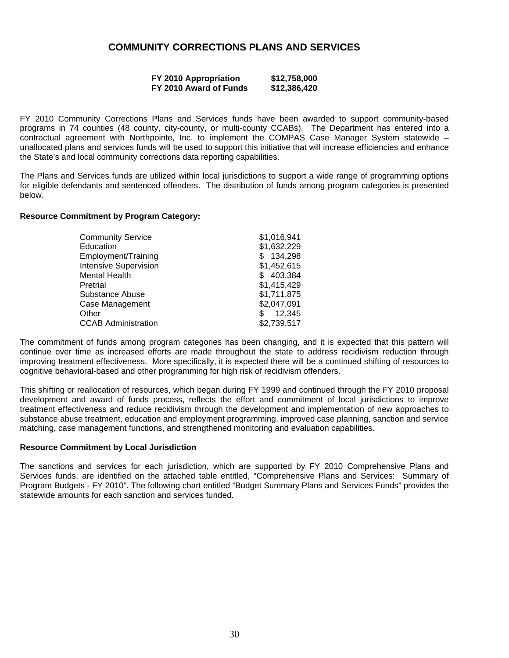# **COMMUNITY CORRECTIONS PLANS AND SERVICES**

| FY 2010 Appropriation  | \$12,758,000 |
|------------------------|--------------|
| FY 2010 Award of Funds | \$12,386,420 |

FY 2010 Community Corrections Plans and Services funds have been awarded to support community-based programs in 74 counties (48 county, city-county, or multi-county CCABs). The Department has entered into a contractual agreement with Northpointe, Inc. to implement the COMPAS Case Manager System statewide – unallocated plans and services funds will be used to support this initiative that will increase efficiencies and enhance the State's and local community corrections data reporting capabilities.

The Plans and Services funds are utilized within local jurisdictions to support a wide range of programming options for eligible defendants and sentenced offenders. The distribution of funds among program categories is presented below.

#### **Resource Commitment by Program Category:**

| <b>Community Service</b>     | \$1,016,941  |
|------------------------------|--------------|
| Education                    | \$1,632,229  |
| Employment/Training          | 134,298<br>S |
| <b>Intensive Supervision</b> | \$1,452,615  |
| Mental Health                | \$403,384    |
| Pretrial                     | \$1,415,429  |
| Substance Abuse              | \$1,711,875  |
| Case Management              | \$2,047,091  |
| Other                        | 12,345<br>\$ |
| <b>CCAB Administration</b>   | \$2,739,517  |

The commitment of funds among program categories has been changing, and it is expected that this pattern will continue over time as increased efforts are made throughout the state to address recidivism reduction through improving treatment effectiveness. More specifically, it is expected there will be a continued shifting of resources to cognitive behavioral-based and other programming for high risk of recidivism offenders.

This shifting or reallocation of resources, which began during FY 1999 and continued through the FY 2010 proposal development and award of funds process, reflects the effort and commitment of local jurisdictions to improve treatment effectiveness and reduce recidivism through the development and implementation of new approaches to substance abuse treatment, education and employment programming, improved case planning, sanction and service matching, case management functions, and strengthened monitoring and evaluation capabilities.

#### **Resource Commitment by Local Jurisdiction**

The sanctions and services for each jurisdiction, which are supported by FY 2010 Comprehensive Plans and Services funds, are identified on the attached table entitled, "Comprehensive Plans and Services: Summary of Program Budgets - FY 2010". The following chart entitled "Budget Summary Plans and Services Funds" provides the statewide amounts for each sanction and services funded.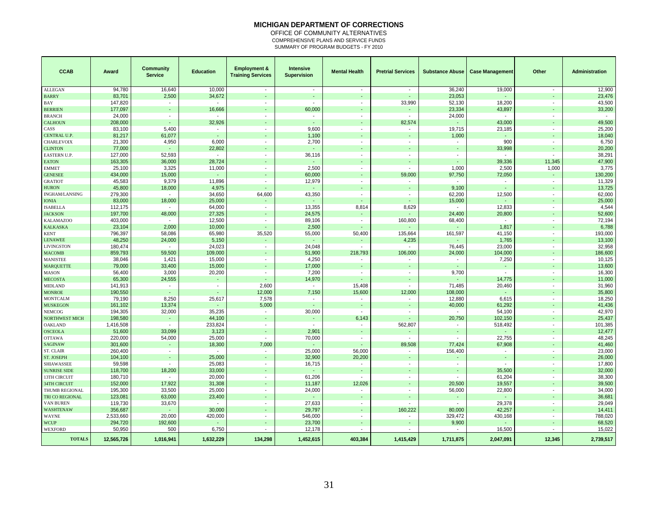#### **MICHIGAN DEPARTMENT OF CORRECTIONS**

OFFICE OF COMMUNITY ALTERNATIVES COMPREHENSIVE PLANS AND SERVICE FUNDS SUMMARY OF PROGRAM BUDGETS - FY 2010

| <b>CCAB</b>         | Award      | <b>Community</b><br><b>Service</b> | <b>Education</b>         | <b>Employment &amp;</b><br><b>Training Services</b> | <b>Intensive</b><br><b>Supervision</b> | <b>Mental Health</b>     | <b>Pretrial Services</b> | <b>Substance Abuse</b>   | <b>Case Management</b>   | Other                    | Administration |
|---------------------|------------|------------------------------------|--------------------------|-----------------------------------------------------|----------------------------------------|--------------------------|--------------------------|--------------------------|--------------------------|--------------------------|----------------|
| <b>ALLEGAN</b>      | 94.780     | 16,640                             | 10,000                   | $\sim$                                              | $\overline{\phantom{a}}$               | $\overline{\phantom{a}}$ | $\sim$                   | 36,240                   | 19,000                   | $\sim$                   | 12,900         |
| <b>BARRY</b>        | 83,701     | 2,500                              | 34,672                   | $\blacksquare$                                      | ÷                                      |                          |                          | 23,053                   |                          |                          | 23,476         |
| BAY                 | 147,820    | $\overline{\phantom{a}}$           | $\blacksquare$           | $\sim$                                              | $\sim$                                 | $\sim$                   | 33,990                   | 52,130                   | 18,200                   | $\sim$                   | 43,500         |
| <b>BERRIEN</b>      | 177,097    |                                    | 16,666                   |                                                     | 60,000                                 |                          |                          | 23,334                   | 43,897                   |                          | 33,200         |
| <b>BRANCH</b>       | 24,000     | $\overline{\phantom{a}}$           | $\overline{\phantom{a}}$ | $\overline{\phantom{a}}$                            | $\sim$                                 | $\overline{\phantom{a}}$ | $\sim$                   | 24,000                   |                          | $\blacksquare$           | $\sim$         |
| CALHOUN             | 208,000    | $\overline{\phantom{a}}$           | 32,926                   | $\overline{\phantom{a}}$                            | $\overline{\phantom{a}}$               |                          | 82,574                   | $\blacksquare$           | 43,000                   | ٠                        | 49,500         |
| CASS                | 83,100     | 5,400                              | $\overline{\phantom{a}}$ | $\blacksquare$                                      | 9,600                                  | $\overline{\phantom{a}}$ |                          | 19,715                   | 23,185                   | $\overline{\phantom{a}}$ | 25,200         |
| CENTRAL U.P.        | 81,217     | 61,077                             | $\blacksquare$           |                                                     | 1,100                                  | $\blacksquare$           |                          | 1,000                    |                          | ч.                       | 18,040         |
| CHARLEVOIX          | 21,300     | 4,950                              | 6,000                    | $\overline{\phantom{a}}$                            | 2,700                                  | $\overline{\phantom{a}}$ | $\overline{\phantom{a}}$ | $\blacksquare$           | 900                      | $\blacksquare$           | 6,750          |
| <b>CLINTON</b>      | 77,000     |                                    | 22,802                   | $\overline{\phantom{a}}$                            | ä,                                     | $\overline{\phantom{a}}$ |                          | $\blacksquare$           | 33,998                   | $\overline{\phantom{a}}$ | 20,200         |
| EASTERN U.P.        | 127,000    | 52,593                             | $\blacksquare$           | $\sim$                                              | 36,116                                 | $\overline{\phantom{a}}$ | $\overline{a}$           | $\overline{a}$           |                          | $\overline{\phantom{a}}$ | 38,291         |
| <b>EATON</b>        | 163,305    | 36,000                             | 28,724                   | $\blacksquare$                                      | $\overline{\phantom{a}}$               | $\overline{\phantom{a}}$ |                          | $\sim$                   | 39,336                   | 11,345                   | 47,900         |
| <b>EMMET</b>        | 25,100     | 3,325                              | 11,000                   | $\blacksquare$                                      | 2,500                                  | $\blacksquare$           | $\blacksquare$           | 1,000                    | 2,500                    | 1,000                    | 3,775          |
| <b>GENESEE</b>      | 434,000    | 15,000                             | ÷.                       | ÷,                                                  | 60,000                                 | ÷,                       | 59,000                   | 97,750                   | 72,050                   | ä,                       | 130,200        |
| <b>GRATIOT</b>      | 45,583     | 9,379                              | 11.896                   | $\overline{\phantom{a}}$                            | 12,979                                 | $\overline{\phantom{a}}$ |                          |                          | $\blacksquare$           | $\overline{\phantom{a}}$ | 11,329         |
| <b>HURON</b>        | 45,800     | 18,000                             | 4,975                    | $\blacksquare$                                      | $\sim$                                 | $\blacksquare$           |                          | 9,100                    | ä,                       | $\blacksquare$           | 13,725         |
| INGHAM/LANSING      | 279,300    | $\sim$                             | 34,650                   | 64,600                                              | 43,350                                 | $\overline{\phantom{a}}$ | $\overline{\phantom{a}}$ | 62,200                   | 12,500                   | $\overline{\phantom{a}}$ | 62,000         |
| <b>IONIA</b>        | 83,000     | 18,000                             | 25,000                   | $\omega$                                            | ä,                                     | ÷,                       |                          | 15,000                   | $\overline{a}$           | $\overline{\phantom{a}}$ | 25,000         |
| <b>ISABELLA</b>     | 112,175    |                                    | 64,000                   | $\blacksquare$                                      | 13,355                                 | 8,814                    | 8,629                    | $\blacksquare$           | 12,833                   | $\overline{\phantom{a}}$ | 4,544          |
| <b>JACKSON</b>      | 197,700    | 48,000                             | 27,325                   |                                                     | 24,575                                 |                          |                          | 24,400                   | 20,800                   |                          | 52,600         |
| KALAMAZOO           | 403,000    | $\sim$                             | 12,500                   | $\sim$                                              | 89,106                                 | $\overline{\phantom{a}}$ | 160,800                  | 68,400                   | $\sim$                   | $\overline{\phantom{a}}$ | 72,194         |
| <b>KALKASKA</b>     | 23,104     | 2,000                              | 10,000                   | ÷                                                   | 2,500                                  |                          |                          |                          | 1,817                    |                          | 6,788          |
| <b>KENT</b>         | 796,397    | 58,086                             | 65,980                   | 35,520                                              | 55,000                                 | 50,400                   | 135,664                  | 161,597                  | 41,150                   | $\blacksquare$           | 193,000        |
| <b>LENAWEE</b>      | 48,250     | 24,000                             | 5,150                    | $\blacksquare$                                      | ä,                                     |                          | 4,235                    | $\omega$                 | 1,765                    | ÷.                       | 13,100         |
| <b>LIVINGSTON</b>   | 180,474    | $\sim$                             | 24,023                   | $\overline{\phantom{a}}$                            | 24,048                                 | $\overline{\phantom{a}}$ | $\sim$                   | 76,445                   | 23,000                   | $\overline{\phantom{a}}$ | 32,958         |
| <b>MACOMB</b>       | 859,793    | 59,500                             | 109,000                  |                                                     | 51,900                                 | 218,793                  | 106,000                  | 24,000                   | 104,000                  |                          | 186,600        |
| <b>MANISTEE</b>     | 38,046     | 1,421                              | 15,000                   | $\overline{\phantom{a}}$                            | 4,250                                  | $\overline{\phantom{a}}$ | $\sim$                   | $\sim$                   | 7,250                    | $\overline{\phantom{a}}$ | 10,125         |
| <b>MARQUETTE</b>    | 79,000     | 33,400                             | 15,000                   | ÷.                                                  | 17,000                                 |                          |                          |                          |                          |                          | 13,600         |
| <b>MASON</b>        | 56,400     | 3,000                              | 20,200                   | $\overline{\phantom{a}}$                            | 7,200                                  | $\overline{\phantom{a}}$ | $\overline{a}$           | 9,700                    | $\sim$                   | $\overline{\phantom{a}}$ | 16,300         |
| <b>MECOSTA</b>      | 65,300     | 24,555                             | $\blacksquare$           | $\omega$                                            | 14,970                                 | $\overline{\phantom{a}}$ | ä,                       | $\blacksquare$           | 14,775                   |                          | 11,000         |
| MIDLAND             | 141,913    | $\sim$                             | $\sim$                   | 2,600                                               | $\sim$                                 | 15,408                   | $\blacksquare$           | 71,485                   | 20,460                   | $\overline{\phantom{a}}$ | 31,960         |
| <b>MONROE</b>       | 190,550    |                                    | $\omega$                 | 12,000                                              | 7,150                                  | 15,600                   | 12,000                   | 108,000                  | ä,                       | ä,                       | 35,800         |
| <b>MONTCALM</b>     | 79,190     | 8,250                              | 25,617                   | 7,578                                               | $\sim$                                 | $\overline{\phantom{a}}$ | $\blacksquare$           | 12,880                   | 6,615                    | $\overline{\phantom{a}}$ | 18,250         |
| <b>MUSKEGON</b>     | 161,102    | 13,374                             |                          | 5,000                                               | $\overline{\phantom{a}}$               |                          |                          | 40,000                   | 61,292                   |                          | 41,436         |
| <b>NEMCOG</b>       | 194,305    | 32,000                             | 35,235                   | $\sim$                                              | 30,000                                 | $\sim$                   | $\overline{\phantom{a}}$ | $\sim$                   | 54,100                   | $\overline{\phantom{a}}$ | 42,970         |
| NORTHWEST MICH      | 198,580    | ÷                                  | 44,100                   | $\Box$                                              | $\overline{\phantom{a}}$               | 6,143                    |                          | 20,750                   | 102,150                  | ä,                       | 25,437         |
| <b>OAKLAND</b>      | 1,416,508  | $\overline{\phantom{a}}$           | 233,824                  | $\blacksquare$                                      | $\overline{\phantom{a}}$               | $\overline{\phantom{a}}$ | 562,807                  | $\sim$                   | 518,492                  | $\overline{\phantom{a}}$ | 101,385        |
| <b>OSCEOLA</b>      | 51,600     | 33,099                             | 3,123                    |                                                     | 2,901                                  |                          |                          |                          |                          |                          | 12,477         |
| <b>OTTAWA</b>       | 220,000    | 54,000                             | 25,000                   | $\sim$                                              | 70,000                                 | $\overline{\phantom{a}}$ | $\sim$                   | $\overline{\phantom{a}}$ | 22,755                   | $\sim$                   | 48,245         |
| SAGINAW             | 301,600    |                                    | 18,300                   | 7,000                                               | ä,                                     | $\overline{\phantom{a}}$ | 89,508                   | 77,424                   | 67,908                   | ٠                        | 41,460         |
| ST. CLAIR           | 260,400    | $\overline{\phantom{a}}$           | $\overline{\phantom{a}}$ | $\sim$                                              | 25,000                                 | 56,000                   |                          | 156,400                  | $\blacksquare$           | $\overline{\phantom{a}}$ | 23,000         |
| ST. JOSEPH          | 104,100    | $\overline{\phantom{a}}$           | 25,000                   | $\blacksquare$                                      | 32,900                                 | 20,200                   |                          | $\blacksquare$           | $\overline{\phantom{a}}$ |                          | 26,000         |
| SHIAWASSEE          | 59,598     | $\sim$                             | 25,083                   | $\sim$                                              | 16,715                                 | $\overline{\phantom{a}}$ | $\overline{\phantom{a}}$ | $\blacksquare$           | $\sim$                   | $\overline{\phantom{a}}$ | 17,800         |
| <b>SUNRISE SIDE</b> | 118,700    | 18,200                             | 33,000                   | $\blacksquare$                                      | ä,                                     | $\overline{\phantom{a}}$ |                          | $\overline{\phantom{a}}$ | 35,500                   | $\overline{\phantom{a}}$ | 32,000         |
| 13TH CIRCUIT        | 180,710    |                                    | 20,000                   | $\blacksquare$                                      | 61,206                                 |                          | $\blacksquare$           |                          | 61,204                   | $\overline{\phantom{a}}$ | 38,300         |
| 34TH CIRCUIT        | 152,000    | 17,922                             | 31,308                   |                                                     | 11,187                                 | 12,026                   |                          | 20,500                   | 19,557                   | $\overline{\phantom{a}}$ | 39,500         |
| THUMB REGIONAL      | 195,300    | 33,500                             | 25,000                   | $\sim$                                              | 24,000                                 | $\blacksquare$           | $\overline{\phantom{a}}$ | 56,000                   | 22,800                   | $\overline{\phantom{a}}$ | 34,000         |
| TRI CO REGIONAL     | 123,081    | 63,000                             | 23,400                   | $\blacksquare$                                      | ä,                                     | $\overline{\phantom{a}}$ |                          | $\blacksquare$           |                          | $\blacksquare$           | 36,681         |
| VAN BUREN           | 119,730    | 33,670                             |                          | $\blacksquare$                                      | 27,633                                 | $\blacksquare$           | $\overline{a}$           | $\sim$                   | 29,378                   | $\overline{\phantom{a}}$ | 29,049         |
| WASHTENAW           | 356,687    | ÷                                  | 30,000                   | $\mathbf{r}$                                        | 29,797                                 | ÷,                       | 160,222                  | 80,000                   | 42,257                   | $\overline{\phantom{a}}$ | 14,411         |
| WAYNE               | 2,533,660  | 20,000                             | 420,000                  | $\overline{\phantom{a}}$                            | 546,000                                | $\overline{\phantom{a}}$ | $\overline{a}$           | 329,472                  | 430,168                  | $\overline{\phantom{a}}$ | 788,020        |
| <b>WCUP</b>         | 294,720    | 192,600                            | ÷                        | $\blacksquare$                                      | 23,700                                 |                          |                          | 9,900                    | $\overline{a}$           |                          | 68,520         |
| WEXFORD             | 50,950     | 500                                | 6,750                    |                                                     | 12,178                                 |                          |                          |                          | 16,500                   |                          | 15,022         |
| <b>TOTALS</b>       | 12,565,726 | 1,016,941                          | 1,632,229                | 134,298                                             | 1,452,615                              | 403,384                  | 1,415,429                | 1,711,875                | 2,047,091                | 12,345                   | 2,739,517      |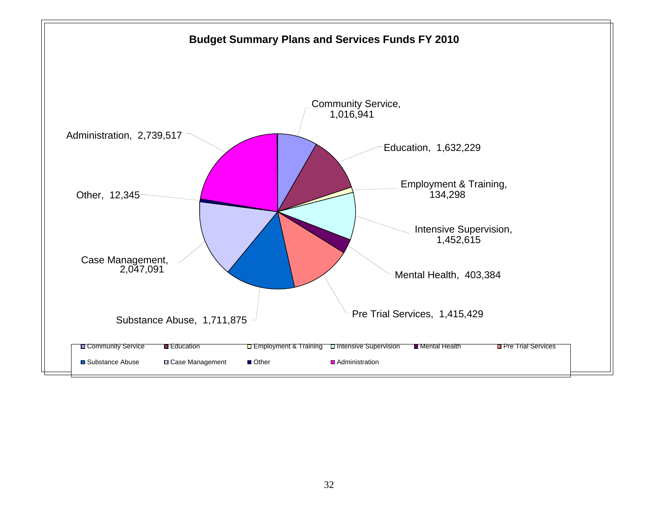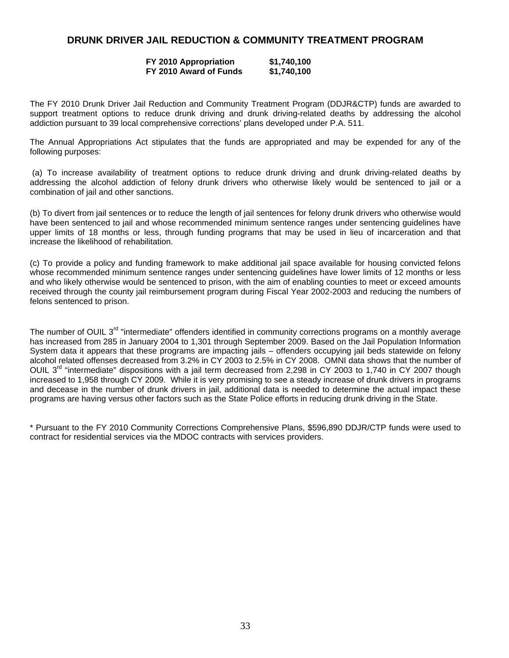# **DRUNK DRIVER JAIL REDUCTION & COMMUNITY TREATMENT PROGRAM**

#### **FY 2010 Appropriation \$1,740,100 FY 2010 Award of Funds \$1,740,100**

The FY 2010 Drunk Driver Jail Reduction and Community Treatment Program (DDJR&CTP) funds are awarded to support treatment options to reduce drunk driving and drunk driving-related deaths by addressing the alcohol addiction pursuant to 39 local comprehensive corrections' plans developed under P.A. 511.

The Annual Appropriations Act stipulates that the funds are appropriated and may be expended for any of the following purposes:

 (a) To increase availability of treatment options to reduce drunk driving and drunk driving-related deaths by addressing the alcohol addiction of felony drunk drivers who otherwise likely would be sentenced to jail or a combination of jail and other sanctions.

(b) To divert from jail sentences or to reduce the length of jail sentences for felony drunk drivers who otherwise would have been sentenced to jail and whose recommended minimum sentence ranges under sentencing guidelines have upper limits of 18 months or less, through funding programs that may be used in lieu of incarceration and that increase the likelihood of rehabilitation.

(c) To provide a policy and funding framework to make additional jail space available for housing convicted felons whose recommended minimum sentence ranges under sentencing guidelines have lower limits of 12 months or less and who likely otherwise would be sentenced to prison, with the aim of enabling counties to meet or exceed amounts received through the county jail reimbursement program during Fiscal Year 2002-2003 and reducing the numbers of felons sentenced to prison.

The number of OUIL 3<sup>rd</sup> "intermediate" offenders identified in community corrections programs on a monthly average has increased from 285 in January 2004 to 1,301 through September 2009. Based on the Jail Population Information System data it appears that these programs are impacting jails – offenders occupying jail beds statewide on felony alcohol related offenses decreased from 3.2% in CY 2003 to 2.5% in CY 2008. OMNI data shows that the number of OUIL 3<sup>rd</sup> "intermediate" dispositions with a jail term decreased from 2,298 in CY 2003 to 1,740 in CY 2007 though increased to 1,958 through CY 2009. While it is very promising to see a steady increase of drunk drivers in programs and decease in the number of drunk drivers in jail, additional data is needed to determine the actual impact these programs are having versus other factors such as the State Police efforts in reducing drunk driving in the State.

\* Pursuant to the FY 2010 Community Corrections Comprehensive Plans, \$596,890 DDJR/CTP funds were used to contract for residential services via the MDOC contracts with services providers.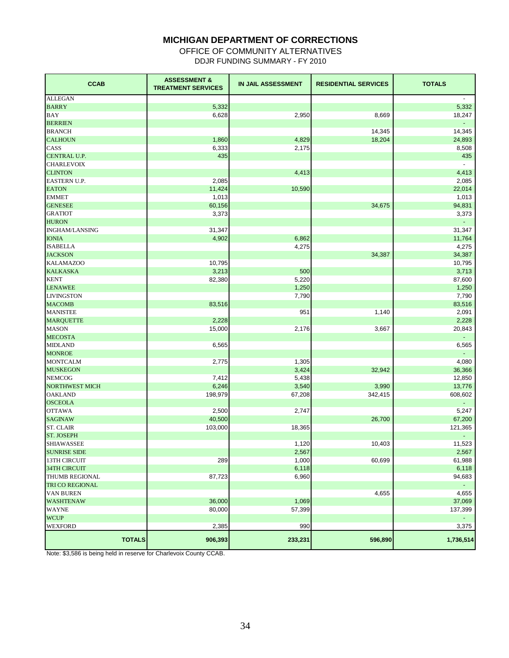# **MICHIGAN DEPARTMENT OF CORRECTIONS**

OFFICE OF COMMUNITY ALTERNATIVES DDJR FUNDING SUMMARY - FY 2010

| <b>CCAB</b>                         | <b>ASSESSMENT &amp;</b><br><b>TREATMENT SERVICES</b> | IN JAIL ASSESSMENT | <b>RESIDENTIAL SERVICES</b> | <b>TOTALS</b>            |
|-------------------------------------|------------------------------------------------------|--------------------|-----------------------------|--------------------------|
| <b>ALLEGAN</b>                      |                                                      |                    |                             | $\overline{\phantom{a}}$ |
| <b>BARRY</b>                        | 5,332                                                |                    |                             | 5,332                    |
| BAY                                 | 6,628                                                | 2,950              | 8,669                       | 18,247                   |
| <b>BERRIEN</b>                      |                                                      |                    |                             | $\blacksquare$           |
| <b>BRANCH</b>                       |                                                      |                    | 14,345                      | 14,345                   |
| <b>CALHOUN</b>                      | 1,860                                                | 4,829              | 18,204                      | 24,893                   |
| CASS                                | 6,333                                                | 2,175              |                             | 8,508                    |
| CENTRAL U.P.                        | 435                                                  |                    |                             | 435                      |
| <b>CHARLEVOIX</b>                   |                                                      |                    |                             |                          |
| <b>CLINTON</b>                      |                                                      | 4,413              |                             | 4,413                    |
| <b>EASTERN U.P.</b>                 | 2,085                                                |                    |                             | 2,085                    |
| <b>EATON</b>                        | 11,424                                               | 10,590             |                             | 22,014                   |
| <b>EMMET</b>                        | 1,013                                                |                    |                             | 1,013                    |
| <b>GENESEE</b>                      | 60,156                                               |                    | 34,675                      | 94,831                   |
| <b>GRATIOT</b>                      | 3,373                                                |                    |                             | 3,373                    |
| <b>HURON</b>                        |                                                      |                    |                             | $\blacksquare$           |
| INGHAM/LANSING                      | 31,347                                               |                    |                             | 31,347                   |
| <b>IONIA</b>                        | 4,902                                                | 6,862              |                             | 11,764                   |
| <b>ISABELLA</b>                     |                                                      | 4,275              |                             | 4,275                    |
| <b>JACKSON</b>                      |                                                      |                    | 34,387                      | 34,387<br>10,795         |
| <b>KALAMAZOO</b><br><b>KALKASKA</b> | 10,795                                               |                    |                             |                          |
| <b>KENT</b>                         | 3,213<br>82,380                                      | 500<br>5,220       |                             | 3,713<br>87,600          |
| <b>LENAWEE</b>                      |                                                      | 1,250              |                             | 1,250                    |
| <b>LIVINGSTON</b>                   |                                                      | 7,790              |                             | 7,790                    |
| <b>MACOMB</b>                       | 83,516                                               |                    |                             | 83,516                   |
| <b>MANISTEE</b>                     |                                                      | 951                | 1,140                       | 2,091                    |
| <b>MARQUETTE</b>                    | 2,228                                                |                    |                             | 2,228                    |
| <b>MASON</b>                        | 15,000                                               | 2,176              | 3,667                       | 20,843                   |
| <b>MECOSTA</b>                      |                                                      |                    |                             |                          |
| <b>MIDLAND</b>                      | 6,565                                                |                    |                             | 6,565                    |
| <b>MONROE</b>                       |                                                      |                    |                             | $\sim$                   |
| <b>MONTCALM</b>                     | 2,775                                                | 1,305              |                             | 4,080                    |
| <b>MUSKEGON</b>                     |                                                      | 3,424              | 32,942                      | 36,366                   |
| <b>NEMCOG</b>                       | 7,412                                                | 5,438              |                             | 12,850                   |
| <b>NORTHWEST MICH</b>               | 6,246                                                | 3,540              | 3,990                       | 13,776                   |
| <b>OAKLAND</b>                      | 198,979                                              | 67,208             | 342,415                     | 608,602                  |
| <b>OSCEOLA</b>                      |                                                      |                    |                             | $\sim$                   |
| <b>OTTAWA</b>                       | 2,500                                                | 2,747              |                             | 5,247                    |
| <b>SAGINAW</b>                      | 40,500                                               |                    | 26,700                      | 67,200                   |
| <b>ST. CLAIR</b>                    | 103,000                                              | 18,365             |                             | 121,365                  |
| <b>ST. JOSEPH</b>                   |                                                      |                    |                             |                          |
| SHIAWASSEE                          |                                                      | 1,120              | 10,403                      | 11,523                   |
| <b>SUNRISE SIDE</b>                 |                                                      | 2,567              |                             | 2,567                    |
| <b>13TH CIRCUIT</b>                 | 289                                                  | 1,000              | 60,699                      | 61,988                   |
| <b>34TH CIRCUIT</b>                 |                                                      | 6,118              |                             | 6,118                    |
| THUMB REGIONAL                      | 87,723                                               | 6,960              |                             | 94,683                   |
| TRI CO REGIONAL                     |                                                      |                    |                             |                          |
| VAN BUREN                           |                                                      |                    | 4,655                       | 4,655                    |
| <b>WASHTENAW</b>                    | 36,000                                               | 1,069              |                             | 37,069                   |
| <b>WAYNE</b>                        | 80,000                                               | 57,399             |                             | 137,399                  |
| <b>WCUP</b>                         |                                                      |                    |                             | $\sim$                   |
| WEXFORD                             | 2,385                                                | 990                |                             | 3,375                    |
| <b>TOTALS</b>                       | 906,393                                              | 233,231            | 596,890                     | 1,736,514                |

Note: \$3,586 is being held in reserve for Charlevoix County CCAB.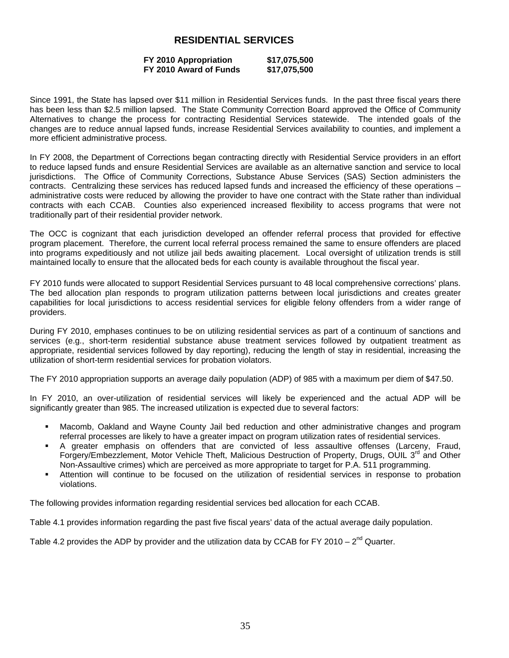# **RESIDENTIAL SERVICES**

#### **FY 2010 Appropriation \$17,075,500 FY 2010 Award of Funds**

Since 1991, the State has lapsed over \$11 million in Residential Services funds. In the past three fiscal years there has been less than \$2.5 million lapsed. The State Community Correction Board approved the Office of Community Alternatives to change the process for contracting Residential Services statewide. The intended goals of the changes are to reduce annual lapsed funds, increase Residential Services availability to counties, and implement a more efficient administrative process.

In FY 2008, the Department of Corrections began contracting directly with Residential Service providers in an effort to reduce lapsed funds and ensure Residential Services are available as an alternative sanction and service to local jurisdictions. The Office of Community Corrections, Substance Abuse Services (SAS) Section administers the contracts. Centralizing these services has reduced lapsed funds and increased the efficiency of these operations – administrative costs were reduced by allowing the provider to have one contract with the State rather than individual contracts with each CCAB. Counties also experienced increased flexibility to access programs that were not traditionally part of their residential provider network.

The OCC is cognizant that each jurisdiction developed an offender referral process that provided for effective program placement. Therefore, the current local referral process remained the same to ensure offenders are placed into programs expeditiously and not utilize jail beds awaiting placement. Local oversight of utilization trends is still maintained locally to ensure that the allocated beds for each county is available throughout the fiscal year.

FY 2010 funds were allocated to support Residential Services pursuant to 48 local comprehensive corrections' plans. The bed allocation plan responds to program utilization patterns between local jurisdictions and creates greater capabilities for local jurisdictions to access residential services for eligible felony offenders from a wider range of providers.

During FY 2010, emphases continues to be on utilizing residential services as part of a continuum of sanctions and services (e.g., short-term residential substance abuse treatment services followed by outpatient treatment as appropriate, residential services followed by day reporting), reducing the length of stay in residential, increasing the utilization of short-term residential services for probation violators.

The FY 2010 appropriation supports an average daily population (ADP) of 985 with a maximum per diem of \$47.50.

In FY 2010, an over-utilization of residential services will likely be experienced and the actual ADP will be significantly greater than 985. The increased utilization is expected due to several factors:

- Macomb, Oakland and Wayne County Jail bed reduction and other administrative changes and program referral processes are likely to have a greater impact on program utilization rates of residential services.
- A greater emphasis on offenders that are convicted of less assaultive offenses (Larceny, Fraud, Forgery/Embezzlement, Motor Vehicle Theft, Malicious Destruction of Property, Drugs, OUIL 3<sup>rd</sup> and Other Non-Assaultive crimes) which are perceived as more appropriate to target for P.A. 511 programming.
- Attention will continue to be focused on the utilization of residential services in response to probation violations.

The following provides information regarding residential services bed allocation for each CCAB.

Table 4.1 provides information regarding the past five fiscal years' data of the actual average daily population.

Table 4.2 provides the ADP by provider and the utilization data by CCAB for FY 2010 –  $2^{nd}$  Quarter.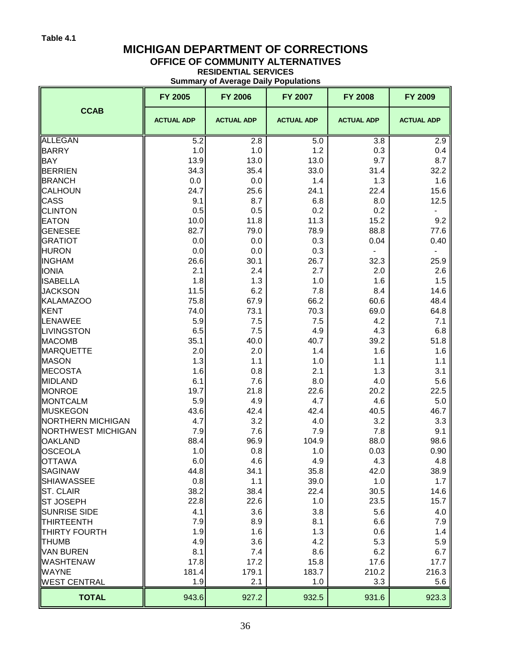# **MICHIGAN DEPARTMENT OF CORRECTIONS**

# **OFFICE OF COMMUNITY ALTERNATIVES**

**RESIDENTIAL SERVICES Summary of Average Daily Populations**

|                          |                   | Summary or Average Dany Populations |                   |                   |                   |
|--------------------------|-------------------|-------------------------------------|-------------------|-------------------|-------------------|
|                          | FY 2005           | <b>FY 2006</b>                      | FY 2007           | <b>FY 2008</b>    | FY 2009           |
| <b>CCAB</b>              | <b>ACTUAL ADP</b> | <b>ACTUAL ADP</b>                   | <b>ACTUAL ADP</b> | <b>ACTUAL ADP</b> | <b>ACTUAL ADP</b> |
| <b>ALLEGAN</b>           | 5.2               | 2.8                                 | 5.0               | 3.8               | 2.9               |
| <b>BARRY</b>             | 1.0               | 1.0                                 | 1.2               | 0.3               | 0.4               |
| <b>BAY</b>               | 13.9              | 13.0                                | 13.0              | 9.7               | 8.7               |
| <b>BERRIEN</b>           | 34.3              | 35.4                                | 33.0              | 31.4              | 32.2              |
| <b>BRANCH</b>            | 0.0               | 0.0                                 | 1.4               | 1.3               | 1.6               |
| <b>CALHOUN</b>           | 24.7              | 25.6                                | 24.1              | 22.4              | 15.6              |
| <b>CASS</b>              | 9.1               | 8.7                                 | 6.8               | 8.0               | 12.5              |
| <b>CLINTON</b>           | 0.5               | 0.5                                 | 0.2               | 0.2               |                   |
| <b>EATON</b>             | 10.0              | 11.8                                | 11.3              | 15.2              | 9.2               |
| <b>GENESEE</b>           | 82.7              | 79.0                                | 78.9              | 88.8              | 77.6              |
| <b>GRATIOT</b>           | 0.0               | 0.0                                 | 0.3               | 0.04              | 0.40              |
| <b>HURON</b>             | 0.0               | 0.0                                 | 0.3               |                   |                   |
| <b>INGHAM</b>            | 26.6              | 30.1                                | 26.7              | 32.3              | 25.9              |
| <b>IONIA</b>             | 2.1               | 2.4                                 | 2.7               | 2.0               | 2.6               |
| <b>ISABELLA</b>          | 1.8               | 1.3                                 | 1.0               | 1.6               | 1.5               |
| <b>JACKSON</b>           | 11.5              | 6.2                                 | 7.8               | 8.4               | 14.6              |
| KALAMAZOO                | 75.8              | 67.9                                | 66.2              | 60.6              | 48.4              |
| <b>KENT</b>              | 74.0              | 73.1                                | 70.3              | 69.0              | 64.8              |
| LENAWEE                  | 5.9               | 7.5                                 | 7.5               | 4.2               | 7.1               |
| <b>LIVINGSTON</b>        | 6.5               | 7.5                                 | 4.9               | 4.3               | 6.8               |
| <b>MACOMB</b>            | 35.1              | 40.0                                | 40.7              | 39.2              | 51.8              |
| <b>MARQUETTE</b>         | 2.0               | 2.0                                 | 1.4               | 1.6               | 1.6               |
| <b>MASON</b>             | 1.3               | 1.1                                 | 1.0               | 1.1               | 1.1               |
| <b>MECOSTA</b>           | 1.6               | 0.8                                 | 2.1               | 1.3               | 3.1               |
| <b>MIDLAND</b>           | 6.1               | 7.6                                 | 8.0               | 4.0               | 5.6               |
| <b>MONROE</b>            | 19.7              | 21.8                                | 22.6              | 20.2              | 22.5              |
| <b>MONTCALM</b>          | 5.9               | 4.9                                 | 4.7               | 4.6               | 5.0               |
| MUSKEGON                 | 43.6              | 42.4                                | 42.4              | 40.5              | 46.7              |
| <b>NORTHERN MICHIGAN</b> | 4.7               | 3.2                                 | 4.0               | 3.2               | 3.3               |
| NORTHWEST MICHIGAN       | 7.9               | 7.6                                 | 7.9               | 7.8               | 9.1               |
| <b>OAKLAND</b>           | 88.4              | 96.9                                | 104.9             | 88.0              | 98.6              |
| OSCEOLA                  | 1.0               | 0.8                                 | 1.0               | 0.03              | 0.90              |
| <b>OTTAWA</b>            | 6.0               | 4.6                                 | 4.9               | 4.3               | 4.8               |
| <b>SAGINAW</b>           | 44.8              | 34.1                                | 35.8              | 42.0              | 38.9              |
| <b>SHIAWASSEE</b>        | 0.8               | 1.1                                 | 39.0              | 1.0               | 1.7               |
| <b>ST. CLAIR</b>         | 38.2              | 38.4                                | 22.4              | 30.5              | 14.6              |
| <b>ST JOSEPH</b>         | 22.8              | 22.6                                | 1.0               | 23.5              | 15.7              |
| <b>SUNRISE SIDE</b>      | 4.1               | 3.6                                 | 3.8               | 5.6               | 4.0               |
| <b>THIRTEENTH</b>        | 7.9               | 8.9                                 | 8.1               | 6.6               | 7.9               |
| <b>THIRTY FOURTH</b>     | 1.9               | 1.6                                 | 1.3               | 0.6               | 1.4               |
| <b>THUMB</b>             | 4.9               | 3.6                                 | 4.2               | 5.3               | 5.9               |
| <b>VAN BUREN</b>         | 8.1               | 7.4                                 | 8.6               | 6.2               | 6.7               |
| <b>WASHTENAW</b>         | 17.8              | 17.2                                | 15.8              | 17.6              | 17.7              |
| <b>WAYNE</b>             | 181.4             | 179.1                               | 183.7             | 210.2             | 216.3             |
| <b>WEST CENTRAL</b>      | 1.9               | 2.1                                 | 1.0               | 3.3               | 5.6               |
| <b>TOTAL</b>             | 943.6             | 927.2                               | 932.5             | 931.6             | 923.3             |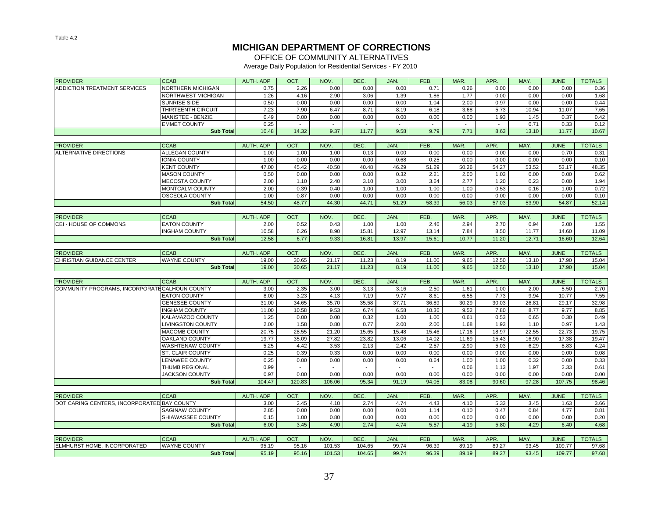# **MICHIGAN DEPARTMENT OF CORRECTIONS**

OFFICE OF COMMUNITY ALTERNATIVES

Average Daily Population for Residential Services - FY 2010

| <b>PROVIDER</b>                                | <b>CCAB</b>              | AUTH. ADP        | OCT.           | NOV.             | DEC.             | JAN.           | FEB.           | MAR.                     | APR.           | MAY.           | <b>JUNE</b>      | <b>TOTALS</b>  |
|------------------------------------------------|--------------------------|------------------|----------------|------------------|------------------|----------------|----------------|--------------------------|----------------|----------------|------------------|----------------|
| <b>ADDICTION TREATMENT SERVICES</b>            | <b>NORTHERN MICHIGAN</b> | 0.75             | 2.26           | 0.00             | 0.00             | 0.00           | 0.71           | 0.26                     | 0.00           | 0.00           | 0.00             | 0.36           |
|                                                | NORTHWEST MICHIGAN       | 1.26             | 4.16           | 2.90             | 3.06             | 1.39           | 1.86           | 1.77                     | 0.00           | 0.00           | 0.00             | 1.68           |
|                                                | SUNRISE SIDE             | 0.50             | 0.00           | 0.00             | 0.00             | 0.00           | 1.04           | 2.00                     | 0.97           | 0.00           | 0.00             | 0.44           |
|                                                | THIRTEENTH CIRCUIT       | 7.23             | 7.90           | 6.47             | 8.71             | 8.19           | 6.18           | 3.68                     | 5.73           | 10.94          | 11.07            | 7.65           |
|                                                | MANISTEE - BENZIE        | 0.49             | 0.00           | 0.00             | 0.00             | 0.00           | 0.00           | 0.00                     | 1.93           | 1.45           | 0.37             | 0.42           |
|                                                | <b>EMMET COUNTY</b>      | 0.25             | $\sim$         | $\sim$           | $\sim$           | $\sim$         | $\sim$         | $\overline{\phantom{a}}$ | $\sim$         | 0.71           | 0.33             | 0.12           |
|                                                | <b>Sub Total</b>         | 10.48            | 14.32          | 9.37             | 11.77            | 9.58           | 9.79           | 7.71                     | 8.63           | 13.10          | 11.77            | 10.67          |
|                                                |                          |                  |                |                  |                  |                |                |                          |                |                |                  |                |
| <b>PROVIDER</b>                                | <b>CCAB</b>              | AUTH, ADP        | OCT.           | NOV.             | DEC.             | JAN.           | FEB.           | MAR.                     | APR.           | MAY.           | <b>JUNE</b>      | <b>TOTALS</b>  |
| <b>ALTERNATIVE DIRECTIONS</b>                  | <b>ALLEGAN COUNTY</b>    | 1.00             | 1.00           | 1.00             | 0.13             | 0.00           | 0.00           | 0.00                     | 0.00           | 0.00           | 0.70             | 0.31           |
|                                                | IONIA COUNTY             | 1.00             | 0.00           | 0.00             | 0.00             | 0.68           | 0.25           | 0.00                     | 0.00           | 0.00           | 0.00             | 0.10           |
|                                                | <b>KENT COUNTY</b>       | 47.00            | 45.42          | 40.50            | 40.48            | 46.29          | 51.29          | 50.26                    | 54.27          | 53.52          | 53.17            | 48.35          |
|                                                | <b>MASON COUNTY</b>      | 0.50             | 0.00           | 0.00             | 0.00             | 0.32           | 2.21           | 2.00                     | 1.03           | 0.00           | 0.00             | 0.62           |
|                                                | <b>MECOSTA COUNTY</b>    | 2.00             | 1.10           | 2.40             | 3.10             | 3.00           | 3.64           | 2.77                     | 1.20           | 0.23           | 0.00             | 1.94           |
|                                                | <b>MONTCALM COUNTY</b>   | 2.00             | 0.39           | 0.40             | 1.00             | 1.00           | 1.00           | 1.00                     | 0.53           | 0.16           | 1.00             | 0.72           |
|                                                | <b>OSCEOLA COUNTY</b>    | 1.00             | 0.87           | 0.00             | 0.00             | 0.00           | 0.00           | 0.00                     | 0.00           | 0.00           | 0.00             | 0.10           |
|                                                | <b>Sub Total</b>         | 54.50            | 48.77          | 44.30            | 44.71            | 51.29          | 58.39          | 56.03                    | 57.03          | 53.90          | 54.87            | 52.14          |
|                                                |                          |                  |                |                  |                  |                |                |                          |                |                |                  |                |
| <b>PROVIDER</b>                                | <b>CCAB</b>              | AUTH. ADP        | OCT.           | NOV.             | DEC.             | JAN.           | FEB.           | MAR.                     | APR.           | MAY.           | <b>JUNE</b>      | <b>TOTALS</b>  |
| CEI - HOUSE OF COMMONS                         | <b>EATON COUNTY</b>      | 2.00             | 0.52           | 0.43             | 1.00             | 1.00           | 2.46           | 2.94                     | 2.70           | 0.94           | 2.00             | 1.55           |
|                                                | <b>INGHAM COUNTY</b>     | 10.58            | 6.26           | 8.90             | 15.81            | 12.97          | 13.14          | 7.84                     | 8.50           | 11.77          | 14.60            | 11.09          |
|                                                | <b>Sub Total</b>         | 12.58            | 6.77           | 9.33             | 16.81            | 13.97          | 15.61          | 10.77                    | 11.20          | 12.71          | 16.60            | 12.64          |
|                                                |                          |                  |                |                  |                  |                |                |                          |                |                |                  |                |
| <b>PROVIDER</b>                                | <b>CCAB</b>              | AUTH, ADP        | OCT.           | NOV.             | DEC.             | JAN.           | FEB.           | MAR.                     | APR.           | MAY.           | <b>JUNE</b>      | <b>TOTALS</b>  |
| CHRISTIAN GUIDANCE CENTER                      | <b>WAYNE COUNTY</b>      | 19.00            | 30.65          | 21.17            | 11.23            | 8.19           | 11.00          | 9.65                     | 12.50          | 13.10          | 17.90            | 15.04          |
|                                                |                          |                  |                |                  |                  |                |                |                          |                |                |                  |                |
|                                                | <b>Sub Total</b>         | 19.00            | 30.65          | 21.17            | 11.23            | 8.19           | 11.00          | 9.65                     | 12.50          | 13.10          | 17.90            | 15.04          |
|                                                |                          |                  |                |                  |                  |                |                |                          |                |                |                  |                |
| <b>PROVIDER</b>                                | <b>CCAB</b>              | <b>AUTH. ADP</b> | OCT.           | NOV.             | DEC.             | JAN.           | FEB.           | MAR.                     | APR.           | MAY.           | <b>JUNE</b>      | <b>TOTALS</b>  |
| COMMUNITY PROGRAMS, INCORPORATE CALHOUN COUNTY |                          | 3.00             | 2.35           | 3.00             | 3.13             | 3.16           | 2.50           | 1.61                     | 1.00           | 2.00           | 5.50             | 2.70           |
|                                                | <b>EATON COUNTY</b>      | 8.00             | 3.23           | 4.13             | 7.19             | 9.77           | 8.61           | 6.55                     | 7.73           | 9.94           | 10.77            | 7.55           |
|                                                | <b>GENESEE COUNTY</b>    | 31.00            | 34.65          | 35.70            | 35.58            | 37.71          | 36.89          | 30.29                    | 30.03          | 26.81          | 29.17            | 32.98          |
|                                                | <b>INGHAM COUNTY</b>     | 11.00            | 10.58          | 9.53             | 6.74             | 6.58           | 10.36          | 9.52                     | 7.80           | 8.77           | 9.77             | 8.85           |
|                                                | KALAMAZOO COUNTY         | 1.25             | 0.00           | 0.00             | 0.32             | 1.00           | 1.00           | 0.61                     | 0.53           | 0.65           | 0.30             | 0.49           |
|                                                | LIVINGSTON COUNTY        | 2.00             | 1.58           | 0.80             | 0.77             | 2.00           | 2.00           | 1.68                     | 1.93           | 1.10           | 0.97             | 1.43           |
|                                                | <b>MACOMB COUNTY</b>     | 20.75            | 28.55          | 21.20            | 15.65            | 15.48          | 15.46          | 17.16                    | 18.97          | 22.55          | 22.73            | 19.75          |
|                                                | <b>OAKLAND COUNTY</b>    | 19.77            | 35.09          | 27.82            | 23.82            | 13.06          | 14.02          | 11.69                    | 15.43          | 16.90          | 17.38            | 19.47          |
|                                                | WASHTENAW COUNTY         | 5.25             | 4.42           | 3.53             | 2.13             | 2.42           | 2.57           | 2.90                     | 5.03           | 6.29           | 8.83             | 4.24           |
|                                                | <b>ST. CLAIR COUNTY</b>  | 0.25             | 0.39           | 0.33             | 0.00             | 0.00           | 0.00           | 0.00                     | 0.00           | 0.00           | 0.00             | 0.08           |
|                                                | <b>ENAWEE COUNTY</b>     | 0.25             | 0.00           | 0.00             | 0.00             | 0.00           | 0.64           | 1.00                     | 1.00           | 0.32           | 0.00             | 0.33           |
|                                                | THUMB REGIONAL           | 0.99             | $\sim$         | $\sim$           | $\sim$           | $\sim$         | $\sim$         | 0.06                     | 1.13           | 1.97           | 2.33             | 0.61           |
|                                                | <b>JACKSON COUNTY</b>    | 0.97             | 0.00           | 0.00             | 0.00             | 0.00           | 0.00           | 0.00                     | 0.00           | 0.00           | 0.00             | 0.00           |
|                                                | <b>Sub Total</b>         | 104.47           | 120.83         | 106.06           | 95.34            | 91.19          | 94.05          | 83.08                    | 90.60          | 97.28          | 107.75           | 98.46          |
|                                                |                          |                  |                |                  |                  |                |                |                          |                |                |                  |                |
| <b>PROVIDER</b>                                | <b>CCAB</b>              | AUTH. ADP        | OCT.           | NOV.             | DEC.             | JAN.           | FEB.           | MAR.                     | APR.           | MAY.           | <b>JUNE</b>      | <b>TOTALS</b>  |
| DOT CARING CENTERS, INCORPORATED BAY COUNTY    |                          | 3.00             | 2.45           | 4.10             | 2.74             | 4.74           | 4.43           | 4.10                     | 5.33           | 3.45           | 1.63             | 3.66           |
|                                                | <b>SAGINAW COUNTY</b>    | 2.85             | 0.00           | 0.00             | 0.00             | 0.00           | 1.14           | 0.10                     | 0.47           | 0.84           | 4.77             | 0.81           |
|                                                | SHIAWASSEE COUNTY        | 0.15             | 1.00           | 0.80             | 0.00             | 0.00           | 0.00           | 0.00                     | 0.00           | 0.00           | 0.00             | 0.20           |
|                                                | <b>Sub Total</b>         | 6.00             | 3.45           | 4.90             | 2.74             | 4.74           | 5.57           | 4.19                     | 5.80           | 4.29           | 6.40             | 4.68           |
|                                                |                          |                  |                |                  |                  |                |                |                          |                |                |                  |                |
| <b>PROVIDER</b>                                | <b>CCAB</b>              | AUTH. ADP        | OCT.           | NOV.             | DEC.             | JAN.           | FEB.           | MAR.                     | APR.           | MAY.           | <b>JUNE</b>      | <b>TOTALS</b>  |
| ELMHURST HOME. INCORPORATED                    | <b>WAYNE COUNTY</b>      | 95.19<br>95.19   | 95.16<br>95.16 | 101.53<br>101.53 | 104.65<br>104.65 | 99.74<br>99.74 | 96.39<br>96.39 | 89.19<br>89.19           | 89.27<br>89.27 | 93.45<br>93.45 | 109.77<br>109.77 | 97.68<br>97.68 |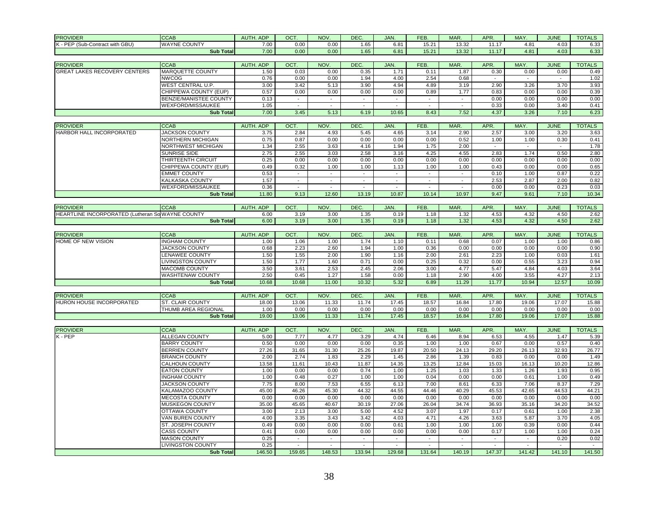| <b>PROVIDER</b>                                  | <b>CCAB</b>                   | AUTH. ADP | OCT.                     | NOV.   | DEC.                     | JAN.                        | FEB.           | MAR.                     | APR.   | MAY.   | <b>JUNE</b>    | <b>TOTALS</b> |
|--------------------------------------------------|-------------------------------|-----------|--------------------------|--------|--------------------------|-----------------------------|----------------|--------------------------|--------|--------|----------------|---------------|
| K - PEP (Sub-Contract with GBU)                  | <b>WAYNE COUNTY</b>           | 7.00      | 0.00                     | 0.00   | 1.65                     | 6.81                        | 15.21          | 13.32                    | 11.17  | 4.81   | 4.03           | 6.33          |
|                                                  | <b>Sub Total</b>              | 7.00      | 0.00                     | 0.00   | 1.65                     | 6.81                        | 15.21          | 13.32                    | 11.17  | 4.81   | 4.03           | 6.33          |
|                                                  |                               |           |                          |        |                          |                             |                |                          |        |        |                |               |
| <b>PROVIDER</b>                                  | <b>CCAB</b>                   | AUTH. ADP | OCT.                     | NOV.   | DEC.                     | JAN.                        | FEB.           | MAR.                     | APR.   | MAY.   | <b>JUNE</b>    | <b>TOTALS</b> |
| <b>GREAT LAKES RECOVERY CENTERS</b>              | MARQUETTE COUNTY              | 1.50      | 0.03                     | 0.00   | 0.35                     | 1.71                        | 0.11           | 1.87                     | 0.30   | 0.00   | 0.00           | 0.49          |
|                                                  | <b>NWCOG</b>                  | 0.76      | 0.00                     | 0.00   | 1.94                     | 4.00                        | 2.54           | 0.68                     | $\sim$ | $\sim$ | $\sim$         | 1.02          |
|                                                  | WEST CENTRAL U.P.             | 3.00      | 3.42                     | 5.13   | 3.90                     | 4.94                        | 4.89           | 3.19                     | 2.90   | 3.26   | 3.70           | 3.93          |
|                                                  | CHIPPEWA COUNTY (EUP)         | 0.57      | 0.00                     | 0.00   | 0.00                     | 0.00                        | 0.89           | 1.77                     | 0.83   | 0.00   | 0.00           | 0.39          |
|                                                  | <b>BENZIE/MANISTEE COUNTY</b> | 0.13      | $\sim$                   | $\sim$ | $\sim$                   | $\sim$                      | $\sim$         | $\sim$                   | 0.00   | 0.00   | 0.00           | 0.00          |
|                                                  | WEXFORD/MISSAUKEE             | 1.05      | $\sim$                   | $\sim$ | $\sim$                   | $\sim$                      | $\sim$         | $\blacksquare$           | 0.33   | 0.00   | 3.40           | 0.41          |
|                                                  | <b>Sub Total</b>              | 7.00      | 3.45                     | 5.13   | 6.19                     | 10.65                       | 8.43           | 7.52                     | 4.37   | 3.26   | 7.10           | 6.23          |
|                                                  |                               |           |                          |        |                          |                             |                |                          |        |        |                |               |
| <b>PROVIDER</b>                                  | <b>CCAB</b>                   | AUTH. ADP | OCT.                     | NOV.   | DEC.                     | JAN.                        | FEB.           | MAR.                     | APR.   | MAY.   | <b>JUNE</b>    | <b>TOTALS</b> |
| HARBOR HALL INCORPORATED                         | <b>JACKSON COUNTY</b>         | 3.75      | 2.84                     | 4.93   | 5.45                     | 4.65                        | 3.14           | 2.90                     | 2.57   | 3.00   | 3.20           | 3.63          |
|                                                  | NORTHERN MICHIGAN             | 0.75      | 0.87                     | 0.00   | 0.00                     | 0.00                        | 0.00           | 0.52                     | 1.00   | 1.00   | 0.30           | 0.41          |
|                                                  | NORTHWEST MICHIGAN            | 1.34      | 2.55                     | 3.63   | 4.16                     | 1.94                        | 1.75           | 2.00                     | $\sim$ | $\sim$ | $\blacksquare$ | 1.78          |
|                                                  | SUNRISE SIDE                  | 2.75      | 2.55                     | 3.03   | 2.58                     | 3.16                        | 4.25           | 4.55                     | 2.83   | 1.74   | 0.50           | 2.80          |
|                                                  | THIRTEENTH CIRCUIT            | 0.25      | 0.00                     | 0.00   | 0.00                     | 0.00                        | 0.00           | 0.00                     | 0.00   | 0.00   | 0.00           | 0.00          |
|                                                  | CHIPPEWA COUNTY (EUP)         | 0.49      | 0.32                     | 1.00   | 1.00                     | 1.13                        | 1.00           | 1.00                     | 0.43   | 0.00   | 0.00           | 0.65          |
|                                                  | <b>EMMET COUNTY</b>           | 0.53      | $\overline{\phantom{a}}$ | $\sim$ | $\overline{\phantom{a}}$ | $\blacksquare$              | $\blacksquare$ | $\Box$                   | 0.10   | 1.00   | 0.87           | 0.22          |
|                                                  | KALKASKA COUNTY               | 1.57      | $\blacksquare$           | $\sim$ | $\mathbf{r}$             | $\mathcal{L}_{\mathcal{A}}$ | $\blacksquare$ | $\mathbf{r}$             | 2.53   | 2.87   | 2.00           | 0.82          |
|                                                  | <b>WEXFORD/MISSAUKEE</b>      | 0.36      | $\sim$                   |        | $\sim$                   |                             | $\sim$         |                          | 0.00   | 0.00   | 0.23           | 0.03          |
|                                                  | <b>Sub Total</b>              | 11.80     | 9.13                     | 12.60  | 13.19                    | 10.87                       | 10.14          | 10.97                    | 9.47   | 9.61   | 7.10           | 10.34         |
|                                                  |                               |           |                          |        |                          |                             |                |                          |        |        |                |               |
| <b>PROVIDER</b>                                  | <b>CCAB</b>                   | AUTH. ADP | OCT.                     | NOV.   | DEC.                     | JAN.                        | FEB.           | MAR.                     | APR.   | MAY.   | <b>JUNE</b>    | <b>TOTALS</b> |
| HEARTLINE INCORPORATED (Lutheran So WAYNE COUNTY |                               | 6.00      | 3.19                     | 3.00   | 1.35                     | 0.19                        | 1.18           | 1.32                     | 4.53   | 4.32   | 4.50           | 2.62          |
|                                                  | <b>Sub Total</b>              | 6.00      | 3.19                     | 3.00   | 1.35                     | 0.19                        | 1.18           | 1.32                     | 4.53   | 4.32   | 4.50           | 2.62          |
|                                                  |                               |           |                          |        |                          |                             |                |                          |        |        |                |               |
| <b>PROVIDER</b>                                  | <b>CCAB</b>                   | AUTH. ADP | OCT.                     | NOV.   | DEC.                     | JAN.                        | FEB.           | MAR.                     | APR.   | MAY.   | <b>JUNE</b>    | <b>TOTALS</b> |
| HOME OF NEW VISION                               | <b>INGHAM COUNTY</b>          | 1.00      | 1.06                     | 1.00   | 1.74                     | 1.10                        | 0.11           | 0.68                     | 0.07   | 1.00   | 1.00           | 0.86          |
|                                                  | <b>JACKSON COUNTY</b>         | 0.68      | 2.23                     | 2.60   | 1.94                     | 1.00                        | 0.36           | 0.00                     | 0.00   | 0.00   | 0.00           | 0.90          |
|                                                  | <b>LENAWEE COUNTY</b>         | 1.50      | 1.55                     | 2.00   | 1.90                     | 1.16                        | 2.00           | 2.61                     | 2.23   | 1.00   | 0.03           | 1.61          |
|                                                  | <b>LIVINGSTON COUNTY</b>      | 1.50      | 1.77                     | 1.60   | 0.71                     | 0.00                        | 0.25           | 0.32                     | 0.00   | 0.55   | 3.23           | 0.94          |
|                                                  | <b>MACOMB COUNTY</b>          | 3.50      | 3.61                     | 2.53   | 2.45                     | 2.06                        | 3.00           | 4.77                     | 5.47   | 4.84   | 4.03           | 3.64          |
|                                                  | WASHTENAW COUNTY              | 2.50      | 0.45                     | 1.27   | 1.58                     | 0.00                        | 1.18           | 2.90                     | 4.00   | 3.55   | 4.27           | 2.13          |
|                                                  | <b>Sub Total</b>              | 10.68     | 10.68                    | 11.00  | 10.32                    | 5.32                        | 6.89           | 11.29                    | 11.77  | 10.94  | 12.57          | 10.09         |
| <b>PROVIDER</b>                                  | <b>CCAB</b>                   | AUTH, ADP | OCT.                     | NOV.   | DEC.                     | JAN.                        | FEB.           | MAR.                     | APR.   | MAY.   | <b>JUNE</b>    | <b>TOTALS</b> |
| HURON HOUSE INCORPORATED                         | <b>ST. CLAIR COUNTY</b>       | 18.00     | 13.06                    | 11.33  | 11.74                    | 17.45                       | 18.57          | 16.84                    | 17.80  | 19.06  | 17.07          | 15.88         |
|                                                  | THUMB AREA REGIONAL           | 1.00      | 0.00                     | 0.00   | 0.00                     | 0.00                        | 0.00           | 0.00                     | 0.00   | 0.00   | 0.00           | 0.00          |
|                                                  | <b>Sub Total</b>              | 19.00     | 13.06                    | 11.33  | 11.74                    | 17.45                       | 18.57          | 16.84                    | 17.80  | 19.06  | 17.07          | 15.88         |
|                                                  |                               |           |                          |        |                          |                             |                |                          |        |        |                |               |
| <b>PROVIDER</b>                                  | <b>CCAB</b>                   | AUTH, ADP | OCT.                     | NOV.   | DEC.                     | JAN.                        | FEB.           | MAR.                     | APR.   | MAY.   | <b>JUNE</b>    | <b>TOTALS</b> |
| K-PEP                                            | <b>ALLEGAN COUNTY</b>         | 5.00      | 7.77                     | 4.77   | 3.29                     | 4.74                        | 6.46           | 8.94                     | 6.53   | 4.55   | 1.47           | 5.39          |
|                                                  | <b>BARRY COUNTY</b>           | 0.50      | 0.00                     | 0.00   | 0.00                     | 0.35                        | 1.00           | 1.00                     | 0.67   | 0.00   | 0.57           | 0.40          |
|                                                  | <b>BERRIEN COUNTY</b>         | 27.26     | 31.65                    | 31.30  | 25.26                    | 19.87                       | 20.50          | 24.13                    | 29.20  | 26.13  | 32.93          | 26.77         |
|                                                  | <b>BRANCH COUNTY</b>          | 2.00      | 2.74                     | 1.83   | 2.29                     | 1.45                        | 2.86           | 1.39                     | 0.83   | 0.00   | 0.00           | 1.49          |
|                                                  | <b>CALHOUN COUNTY</b>         | 13.58     | 11.61                    | 10.43  | 11.87                    | 14.35                       | 13.25          | 12.84                    | 15.03  | 16.13  | 10.20          | 12.86         |
|                                                  | <b>EATON COUNTY</b>           | 1.00      | 0.00                     | 0.00   | 0.74                     | 1.00                        | 1.25           | 1.03                     | 1.33   | 1.26   | 1.93           | 0.95          |
|                                                  | <b>INGHAM COUNTY</b>          | 1.00      | 0.48                     | 0.27   | 1.00                     | 1.00                        | 0.04           | 0.00                     | 0.00   | 0.61   | 1.00           | 0.49          |
|                                                  | <b>JACKSON COUNTY</b>         | 7.75      | 8.00                     | 7.53   | 6.55                     | 6.13                        | 7.00           | 8.61                     | 6.33   | 7.06   | 8.37           | 7.29          |
|                                                  | KALAMAZOO COUNTY              | 45.00     | 46.26                    | 45.30  | 44.32                    | 44.55                       | 44.46          | 40.29                    | 45.53  | 42.65  | 44.53          | 44.21         |
|                                                  | <b>MECOSTA COUNTY</b>         | 0.00      | 0.00                     | 0.00   | 0.00                     | 0.00                        | 0.00           | 0.00                     | 0.00   | 0.00   | 0.00           | 0.00          |
|                                                  | MUSKEGON COUNTY               | 35.00     | 45.65                    | 40.67  | 30.19                    | 27.06                       | 26.04          | 34.74                    | 36.93  | 35.16  | 34.20          | 34.52         |
|                                                  | OTTAWA COUNTY                 | 3.00      | 2.13                     | 3.00   | 5.00                     | 4.52                        | 3.07           | 1.97                     | 0.17   | 0.61   | 1.00           | 2.38          |
|                                                  | VAN BUREN COUNTY              | 4.00      | 3.35                     | 3.43   | 3.42                     | 4.03                        | 4.71           | 4.26                     | 3.63   | 5.87   | 3.70           | 4.05          |
|                                                  | ST. JOSEPH COUNTY             | 0.49      | 0.00                     | 0.00   | 0.00                     | 0.61                        | 1.00           | 1.00                     | 1.00   | 0.39   | 0.00           | 0.44          |
|                                                  | <b>CASS COUNTY</b>            | 0.41      | 0.00                     | 0.00   | 0.00                     | 0.00                        | 0.00           | 0.00                     | 0.17   | 1.00   | 1.00           | 0.24          |
|                                                  | <b>MASON COUNTY</b>           | 0.25      | $\overline{\phantom{a}}$ | $\sim$ | $\overline{\phantom{a}}$ | $\sim$                      | $\sim$         | $\overline{\phantom{a}}$ | $\sim$ | $\sim$ | 0.20           | 0.02          |
|                                                  | <b>LIVINGSTON COUNTY</b>      | 0.25      | $\overline{a}$           | $\sim$ | $\overline{\phantom{a}}$ | $\overline{a}$              | $\sim$         |                          | $\sim$ | $\sim$ |                |               |
|                                                  | Sub Total                     | 146.50    | 159.65                   | 148.53 | 133.94                   | 129.68                      | 131.64         | 140.19                   | 147.37 | 141.42 | 141.10         | 141.50        |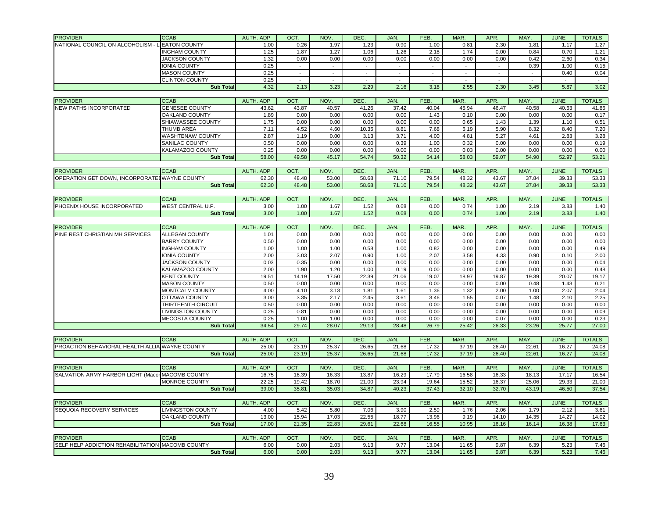| <b>PROVIDER</b>                                  | <b>CCAB</b>              | AUTH, ADP          | OCT.                     | NOV.         | DEC.                     | JAN.           | FEB.                     | MAR.           | APR.          | MAY.                     | <b>JUNE</b> | <b>TOTALS</b> |
|--------------------------------------------------|--------------------------|--------------------|--------------------------|--------------|--------------------------|----------------|--------------------------|----------------|---------------|--------------------------|-------------|---------------|
| NATIONAL COUNCIL ON ALCOHOLISM -                 | <b>EATON COUNTY</b>      | 1.00               | 0.26                     | 1.97         | 1.23                     | 0.90           | 1.00                     | 0.81           | 2.30          | 1.81                     | 1.17        | 1.27          |
|                                                  | <b>INGHAM COUNTY</b>     | 1.25               | 1.87                     | 1.27         | 1.06                     | 1.26           | 2.18                     | 1.74           | 0.00          | 0.84                     | 0.70        | 1.21          |
|                                                  | <b>JACKSON COUNTY</b>    | 1.32               | 0.00                     | 0.00         | 0.00                     | 0.00           | 0.00                     | 0.00           | 0.00          | 0.42                     | 2.60        | 0.34          |
|                                                  | <b>IONIA COUNTY</b>      | 0.25               |                          | $\mathbf{r}$ | $\overline{\phantom{a}}$ | $\blacksquare$ | $\blacksquare$           |                | $\sim$        | 0.39                     | 1.00        | 0.15          |
|                                                  | <b>MASON COUNTY</b>      | 0.25               | $\overline{\phantom{a}}$ | $\sim$       | $\overline{\phantom{a}}$ | $\blacksquare$ | $\sim$                   | $\blacksquare$ | $\sim$        | $\overline{\phantom{a}}$ | 0.40        | 0.04          |
|                                                  | <b>CLINTON COUNTY</b>    | 0.25               | $\overline{a}$           |              | $\overline{\phantom{a}}$ |                | $\overline{\phantom{a}}$ |                | $\sim$        |                          |             |               |
|                                                  | <b>Sub Total</b>         | 4.32               | 2.13                     | 3.23         | 2.29                     | 2.16           | 3.18                     | 2.55           | 2.30          | 3.45                     | 5.87        | 3.02          |
|                                                  |                          |                    |                          |              |                          |                |                          |                |               |                          |             |               |
| <b>PROVIDER</b>                                  | <b>CCAB</b>              | AUTH, ADP          | OCT.                     | NOV.         | <b>DEC</b>               | JAN.           | FEB.                     | MAR.           | APR.          | MAY.                     | <b>JUNE</b> | <b>TOTALS</b> |
| <b>NEW PATHS INCORPORATED</b>                    | <b>GENESEE COUNTY</b>    | 43.62              | 43.87                    | 40.57        | 41.26                    | 37.42          | 40.04                    | 45.94          | 46.47         | 40.58                    | 40.63       | 41.86         |
|                                                  | <b>OAKLAND COUNTY</b>    | 1.89               | 0.00                     | 0.00         | 0.00                     | 0.00           | 1.43                     | 0.10           | 0.00          | 0.00                     | 0.00        | 0.17          |
|                                                  | SHIAWASSEE COUNTY        | 1.75               | 0.00                     | 0.00         | 0.00                     | 0.00           | 0.00                     | 0.65           | 1.43          | 1.39                     | 1.10        | 0.51          |
|                                                  | THUMB AREA               | 7.11               | 4.52                     | 4.60         | 10.35                    | 8.81           | 7.68                     | 6.19           | 5.90          | 8.32                     | 8.40        | 7.20          |
|                                                  | WASHTENAW COUNTY         | 2.87               | 1.19                     | 0.00         | 3.13                     | 3.71           | 4.00                     | 4.81           | 5.27          | 4.61                     | 2.83        | 3.28          |
|                                                  | <b>SANILAC COUNTY</b>    | 0.50               | 0.00                     | 0.00         | 0.00                     | 0.39           | 1.00                     | 0.32           | 0.00          | 0.00                     | 0.00        | 0.19          |
|                                                  | KALAMAZOO COUNTY         | 0.25               | 0.00                     | 0.00         | 0.00                     | 0.00           | 0.00                     | 0.03           | 0.00          | 0.00                     | 0.00        | 0.00          |
|                                                  | <b>Sub Total</b>         | 58.00              | 49.58                    | 45.17        | 54.74                    | 50.32          | 54.14                    | 58.03          | 59.07         | 54.90                    | 52.97       | 53.21         |
|                                                  |                          |                    |                          |              |                          |                |                          |                |               |                          |             |               |
| <b>PROVIDER</b>                                  | <b>CCAB</b>              | AUTH, ADP          | OCT.                     | NOV.         | DEC.                     | JAN.           | FEB.                     | MAR.           | APR.          | MAY.                     | <b>JUNE</b> | <b>TOTALS</b> |
| OPERATION GET DOWN, INCORPORATED WAYNE COUNTY    |                          | 62.30              | 48.48                    | 53.00        | 58.68                    | 71.10          | 79.54                    | 48.32          | 43.67         | 37.84                    | 39.33       | 53.33         |
|                                                  | <b>Sub Total</b>         | 62.30              | 48.48                    | 53.00        | 58.68                    | 71.10          | 79.54                    | 48.32          | 43.67         | 37.84                    | 39.33       | 53.33         |
|                                                  |                          |                    |                          |              |                          |                |                          |                |               |                          |             |               |
| <b>PROVIDER</b>                                  | <b>CCAB</b>              | AUTH. ADP          | OCT.                     | NOV.         | DEC.                     | JAN.           | FEB.                     | MAR.           | APR.          | MAY.                     | <b>JUNE</b> | <b>TOTALS</b> |
| PHOENIX HOUSE INCORPORATED                       | WEST CENTRAL U.P.        | 3.00               | 1.00                     | 1.67         | 1.52                     | 0.68           | 0.00                     | 0.74           | 1.00          | 2.19                     | 3.83        | 1.40          |
|                                                  | <b>Sub Total</b>         | 3.00               | 1.00                     | 1.67         | 1.52                     | 0.68           | 0.00                     | 0.74           | 1.00          | 2.19                     | 3.83        | 1.40          |
|                                                  |                          |                    |                          |              |                          |                |                          |                |               |                          |             |               |
| <b>PROVIDER</b>                                  | <b>CCAB</b>              | <b>AUTH. ADP</b>   | OCT.                     | NOV.         | DEC.                     | JAN.           | FEB.                     | MAR.           | APR.          | MAY.                     | <b>JUNE</b> | <b>TOTALS</b> |
| PINE REST CHRISTIAN MH SERVICES                  | <b>ALLEGAN COUNTY</b>    | 1.01               | 0.00                     | 0.00         | 0.00                     | 0.00           | 0.00                     | 0.00           | 0.00          | 0.00                     | 0.00        | 0.00          |
|                                                  | <b>BARRY COUNTY</b>      | 0.50               | 0.00                     | 0.00         | 0.00                     | 0.00           | 0.00                     | 0.00           | 0.00          | 0.00                     | 0.00        | 0.00          |
|                                                  | <b>INGHAM COUNTY</b>     | 1.00               | 1.00                     | 1.00         | 0.58                     | 1.00           | 0.82                     | 0.00           | 0.00          | 0.00                     | 0.00        | 0.49          |
|                                                  | <b>IONIA COUNTY</b>      | 2.00               | 3.03                     | 2.07         | 0.90                     | 1.00           | 2.07                     | 3.58           | 4.33          | 0.90                     | 0.10        | 2.00          |
|                                                  | <b>JACKSON COUNTY</b>    | 0.03               | 0.35                     | 0.00         | 0.00                     | 0.00           | 0.00                     | 0.00           | 0.00          | 0.00                     | 0.00        | 0.04          |
|                                                  | KALAMAZOO COUNTY         | 2.00               | 1.90                     | 1.20         | 1.00                     | 0.19           | 0.00                     | 0.00           | 0.00          | 0.00                     | 0.00        | 0.48          |
|                                                  | <b>KENT COUNTY</b>       | 19.51              | 14.19                    | 17.50        | 22.39                    | 21.06          | 19.07                    | 18.97          | 19.87         | 19.39                    | 20.07       | 19.17         |
|                                                  | <b>MASON COUNTY</b>      | 0.50               | 0.00                     | 0.00         | 0.00                     | 0.00           | 0.00                     | 0.00           | 0.00          | 0.48                     | 1.43        | 0.21          |
|                                                  | <b>MONTCALM COUNTY</b>   | 4.00               | 4.10                     | 3.13         | 1.81                     | 1.61           | 1.36                     | 1.32           | 2.00          | 1.00                     | 2.07        | 2.04          |
|                                                  | OTTAWA COUNTY            | 3.00               | 3.35                     | 2.17         | 2.45                     | 3.61           | 3.46                     | 1.55           | 0.07          | 1.48                     | 2.10        | 2.25          |
|                                                  | THIRTEENTH CIRCUIT       | 0.50               | 0.00                     | 0.00         | 0.00                     | 0.00           | 0.00                     | 0.00           | 0.00          | 0.00                     | 0.00        | 0.00          |
|                                                  | <b>LIVINGSTON COUNTY</b> | 0.25               | 0.81                     | 0.00         | 0.00                     | 0.00           | 0.00                     | 0.00           | 0.00          | 0.00                     | 0.00        | 0.09          |
|                                                  | <b>MECOSTA COUNTY</b>    | 0.25               | 1.00                     | 1.00         | 0.00                     | 0.00           | 0.00                     | 0.00           | 0.07          | 0.00                     | 0.00        | 0.23          |
|                                                  | <b>Sub Total</b>         | 34.54              | 29.74                    | 28.07        | 29.13                    | 28.48          | 26.79                    | 25.42          | 26.33         | 23.26                    | 25.77       | 27.00         |
| <b>PROVIDER</b>                                  | <b>CCAB</b>              |                    |                          | NOV.         |                          | JAN.           |                          | MAR.           |               |                          | <b>JUNE</b> | <b>TOTALS</b> |
| PROACTION BEHAVIORAL HEALTH ALLIA WAYNE COUNTY   |                          | AUTH. ADP<br>25.00 | OCT.<br>23.19            | 25.37        | <b>DEC</b><br>26.65      | 21.68          | FEB.<br>17.32            | 37.19          | APR.<br>26.40 | MAY.<br>22.61            | 16.27       | 24.08         |
|                                                  | <b>Sub Total</b>         | 25.00              | 23.19                    | 25.37        | 26.65                    | 21.68          | 17.32                    | 37.19          | 26.40         | 22.61                    | 16.27       | 24.08         |
|                                                  |                          |                    |                          |              |                          |                |                          |                |               |                          |             |               |
| <b>PROVIDER</b>                                  | <b>CCAB</b>              | AUTH. ADP          | OCT.                     | NOV.         | DEC.                     | JAN.           | FEB.                     | MAR.           | APR.          | MAY.                     | <b>JUNE</b> | <b>TOTALS</b> |
| SALVATION ARMY HARBOR LIGHT (Maco                | <b>MACOMB COUNTY</b>     | 16.75              | 16.39                    | 16.33        | 13.87                    | 16.29          | 17.79                    | 16.58          | 16.33         | 18.13                    | 17.17       | 16.54         |
|                                                  | <b>MONROE COUNTY</b>     | 22.25              | 19.42                    | 18.70        | 21.00                    | 23.94          | 19.64                    | 15.52          | 16.37         | 25.06                    | 29.33       | 21.00         |
|                                                  | <b>Sub Total</b>         | 39.00              | 35.81                    | 35.03        | 34.87                    | 40.23          | 37.43                    | 32.10          | 32.70         | 43.19                    | 46.50       | 37.54         |
|                                                  |                          |                    |                          |              |                          |                |                          |                |               |                          |             |               |
| <b>PROVIDER</b>                                  | <b>CCAB</b>              | AUTH. ADP          | OCT.                     | NOV.         | DEC.                     | JAN.           | FEB.                     | MAR.           | APR.          | MAY.                     | <b>JUNE</b> | <b>TOTALS</b> |
| SEQUOIA RECOVERY SERVICES                        | LIVINGSTON COUNTY        | 4.00               | 5.42                     | 5.80         | 7.06                     | 3.90           | 2.59                     | 1.76           | 2.06          | 1.79                     | 2.12        | 3.61          |
|                                                  | <b>OAKLAND COUNTY</b>    | 13.00              | 15.94                    | 17.03        | 22.55                    | 18.77          | 13.96                    | 9.19           | 14.10         | 14.35                    | 14.27       | 14.02         |
|                                                  | <b>Sub Total</b>         | 17.00              | 21.35                    | 22.83        | 29.61                    | 22.68          | 16.55                    | 10.95          | 16.16         | 16.14                    | 16.38       | 17.63         |
|                                                  |                          |                    |                          |              |                          |                |                          |                |               |                          |             |               |
| <b>PROVIDER</b>                                  | <b>CCAB</b>              | AUTH. ADP          | OCT.                     | NOV.         | DEC.                     | JAN.           | FEB.                     | MAR.           | APR.          | MAY.                     | <b>JUNE</b> | <b>TOTALS</b> |
| SELF HELP ADDICTION REHABILITATION MACOMB COUNTY |                          | 6.00               | 0.00                     | 2.03         | 9.13                     | 9.77           | 13.04                    | 11.65          | 9.87          | 6.39                     | 5.23        | 7.46          |
|                                                  | <b>Sub Total</b>         | 6.00               | 0.00                     | 2.03         | 9.13                     | 9.77           | 13.04                    | 11.65          | 9.87          | 6.39                     | 5.23        | 7.46          |